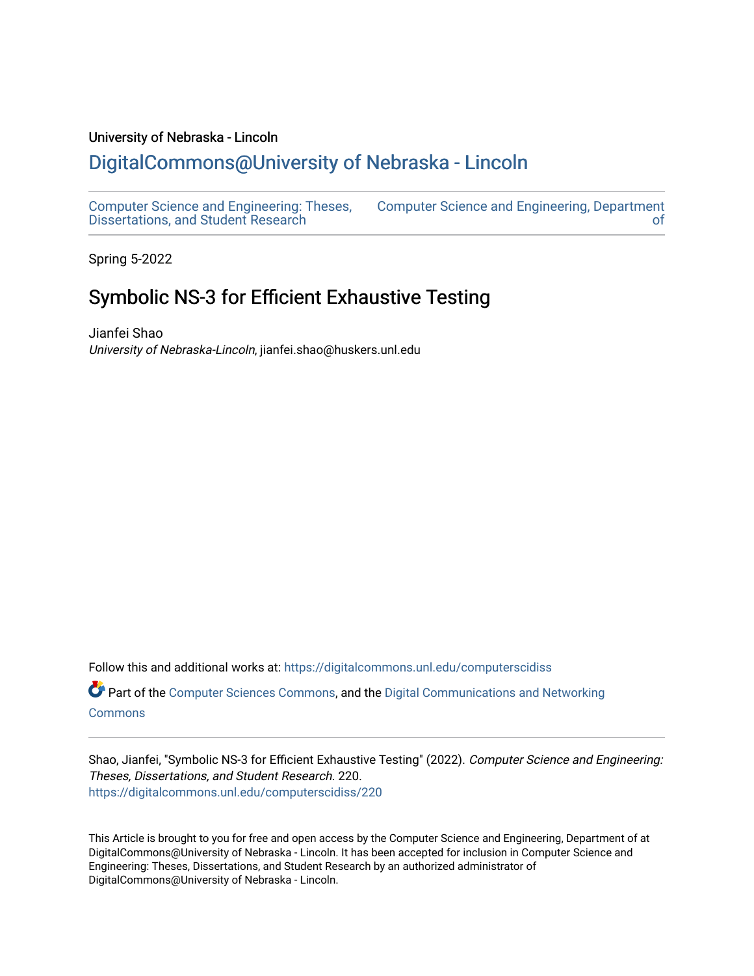#### University of Nebraska - Lincoln

#### [DigitalCommons@University of Nebraska - Lincoln](https://digitalcommons.unl.edu/)

[Computer Science and Engineering: Theses,](https://digitalcommons.unl.edu/computerscidiss)  [Dissertations, and Student Research](https://digitalcommons.unl.edu/computerscidiss)  [Computer Science and Engineering, Department](https://digitalcommons.unl.edu/computerscienceandengineering)  [of](https://digitalcommons.unl.edu/computerscienceandengineering) 

Spring 5-2022

### Symbolic NS-3 for Efficient Exhaustive Testing

Jianfei Shao University of Nebraska-Lincoln, jianfei.shao@huskers.unl.edu

Follow this and additional works at: [https://digitalcommons.unl.edu/computerscidiss](https://digitalcommons.unl.edu/computerscidiss?utm_source=digitalcommons.unl.edu%2Fcomputerscidiss%2F220&utm_medium=PDF&utm_campaign=PDFCoverPages) 

Part of the [Computer Sciences Commons](http://network.bepress.com/hgg/discipline/142?utm_source=digitalcommons.unl.edu%2Fcomputerscidiss%2F220&utm_medium=PDF&utm_campaign=PDFCoverPages), and the [Digital Communications and Networking](http://network.bepress.com/hgg/discipline/262?utm_source=digitalcommons.unl.edu%2Fcomputerscidiss%2F220&utm_medium=PDF&utm_campaign=PDFCoverPages)  [Commons](http://network.bepress.com/hgg/discipline/262?utm_source=digitalcommons.unl.edu%2Fcomputerscidiss%2F220&utm_medium=PDF&utm_campaign=PDFCoverPages)

Shao, Jianfei, "Symbolic NS-3 for Efficient Exhaustive Testing" (2022). Computer Science and Engineering: Theses, Dissertations, and Student Research. 220. [https://digitalcommons.unl.edu/computerscidiss/220](https://digitalcommons.unl.edu/computerscidiss/220?utm_source=digitalcommons.unl.edu%2Fcomputerscidiss%2F220&utm_medium=PDF&utm_campaign=PDFCoverPages) 

This Article is brought to you for free and open access by the Computer Science and Engineering, Department of at DigitalCommons@University of Nebraska - Lincoln. It has been accepted for inclusion in Computer Science and Engineering: Theses, Dissertations, and Student Research by an authorized administrator of DigitalCommons@University of Nebraska - Lincoln.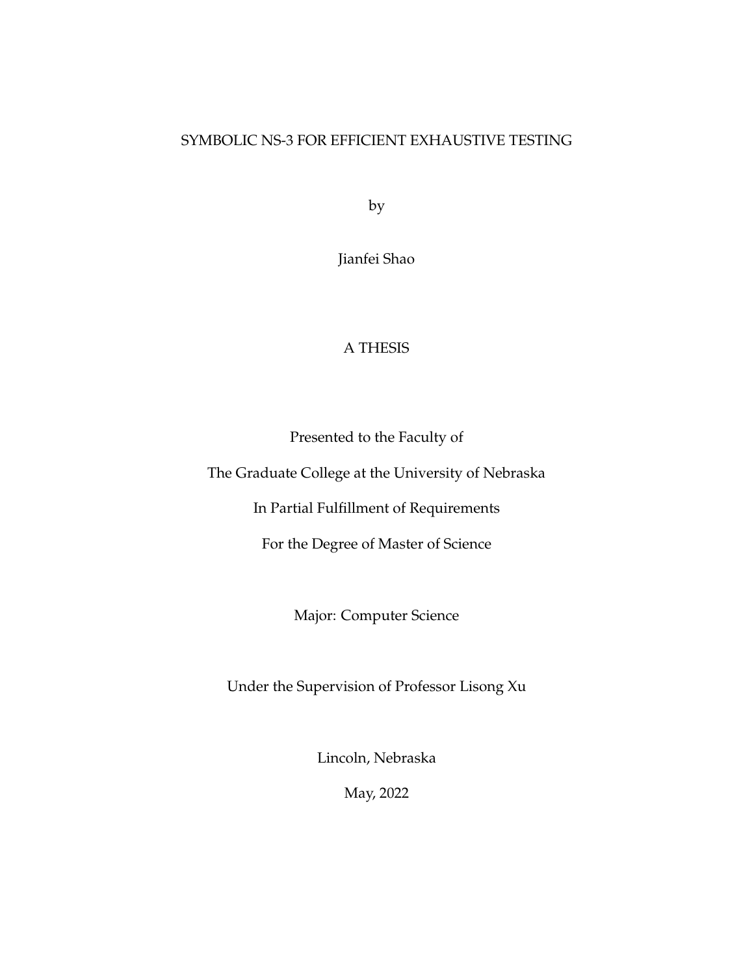#### SYMBOLIC NS-3 FOR EFFICIENT EXHAUSTIVE TESTING

by

Jianfei Shao

#### A THESIS

Presented to the Faculty of

The Graduate College at the University of Nebraska

In Partial Fulfillment of Requirements

For the Degree of Master of Science

Major: Computer Science

Under the Supervision of Professor Lisong Xu

Lincoln, Nebraska

May, 2022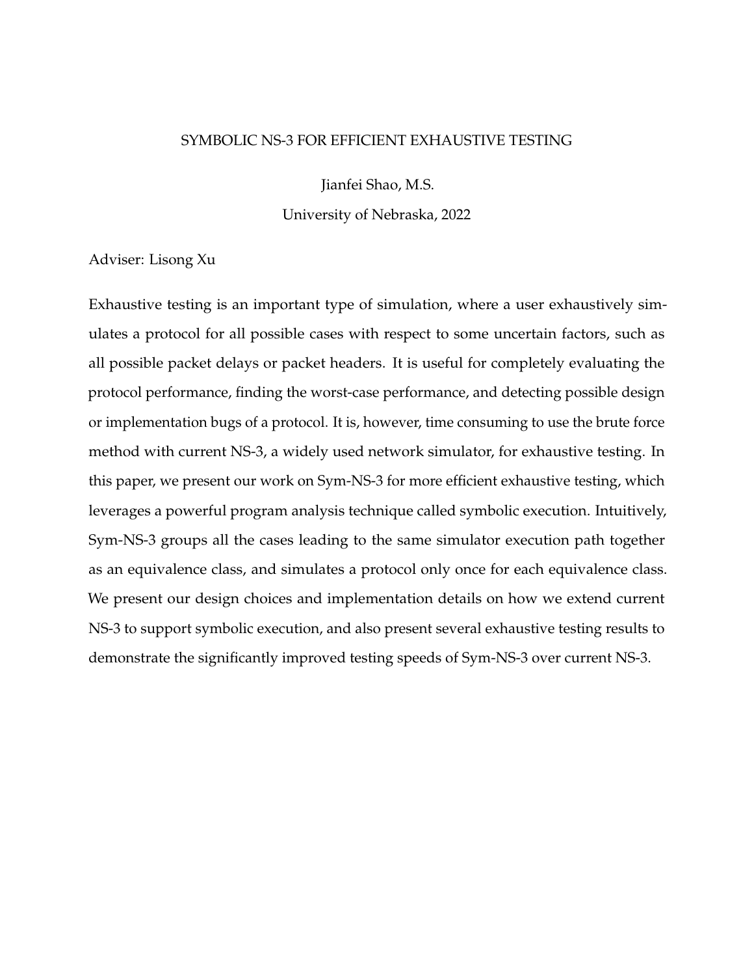#### SYMBOLIC NS-3 FOR EFFICIENT EXHAUSTIVE TESTING

Jianfei Shao, M.S.

University of Nebraska, 2022

Adviser: Lisong Xu

Exhaustive testing is an important type of simulation, where a user exhaustively simulates a protocol for all possible cases with respect to some uncertain factors, such as all possible packet delays or packet headers. It is useful for completely evaluating the protocol performance, finding the worst-case performance, and detecting possible design or implementation bugs of a protocol. It is, however, time consuming to use the brute force method with current NS-3, a widely used network simulator, for exhaustive testing. In this paper, we present our work on Sym-NS-3 for more efficient exhaustive testing, which leverages a powerful program analysis technique called symbolic execution. Intuitively, Sym-NS-3 groups all the cases leading to the same simulator execution path together as an equivalence class, and simulates a protocol only once for each equivalence class. We present our design choices and implementation details on how we extend current NS-3 to support symbolic execution, and also present several exhaustive testing results to demonstrate the significantly improved testing speeds of Sym-NS-3 over current NS-3.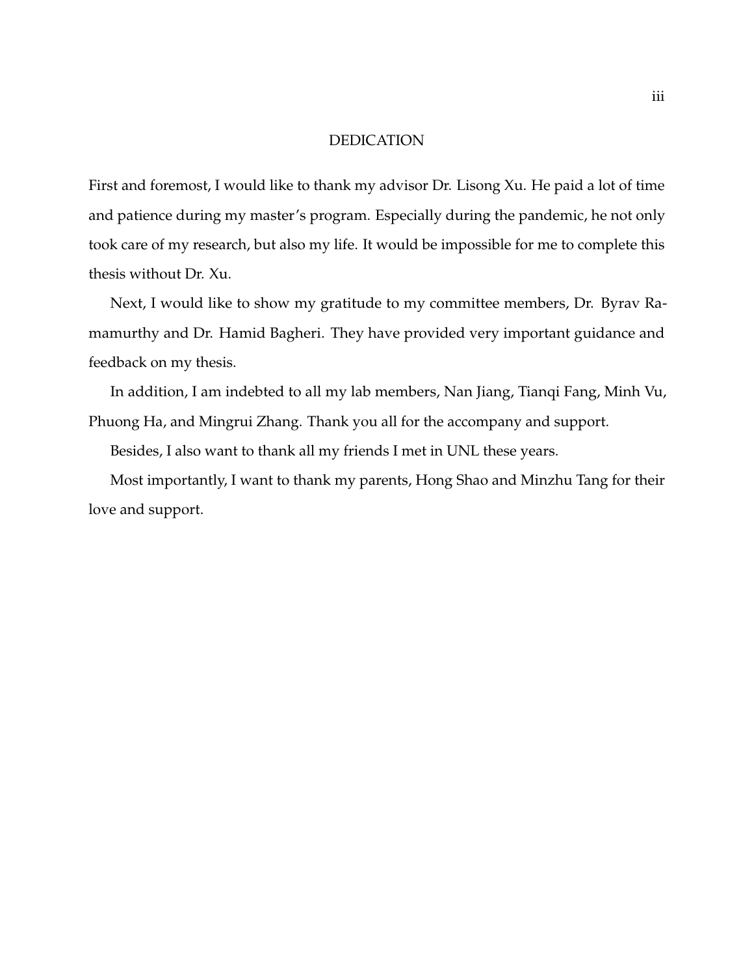#### DEDICATION

First and foremost, I would like to thank my advisor Dr. Lisong Xu. He paid a lot of time and patience during my master's program. Especially during the pandemic, he not only took care of my research, but also my life. It would be impossible for me to complete this thesis without Dr. Xu.

Next, I would like to show my gratitude to my committee members, Dr. Byrav Ramamurthy and Dr. Hamid Bagheri. They have provided very important guidance and feedback on my thesis.

In addition, I am indebted to all my lab members, Nan Jiang, Tianqi Fang, Minh Vu, Phuong Ha, and Mingrui Zhang. Thank you all for the accompany and support.

Besides, I also want to thank all my friends I met in UNL these years.

Most importantly, I want to thank my parents, Hong Shao and Minzhu Tang for their love and support.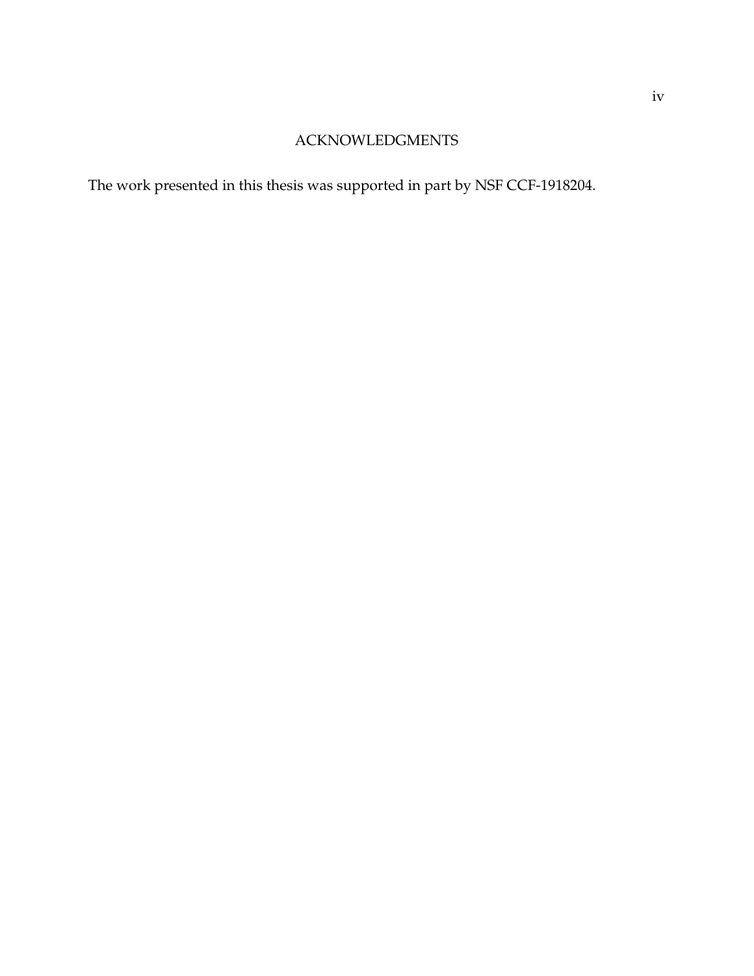#### ACKNOWLEDGMENTS

The work presented in this thesis was supported in part by NSF CCF-1918204.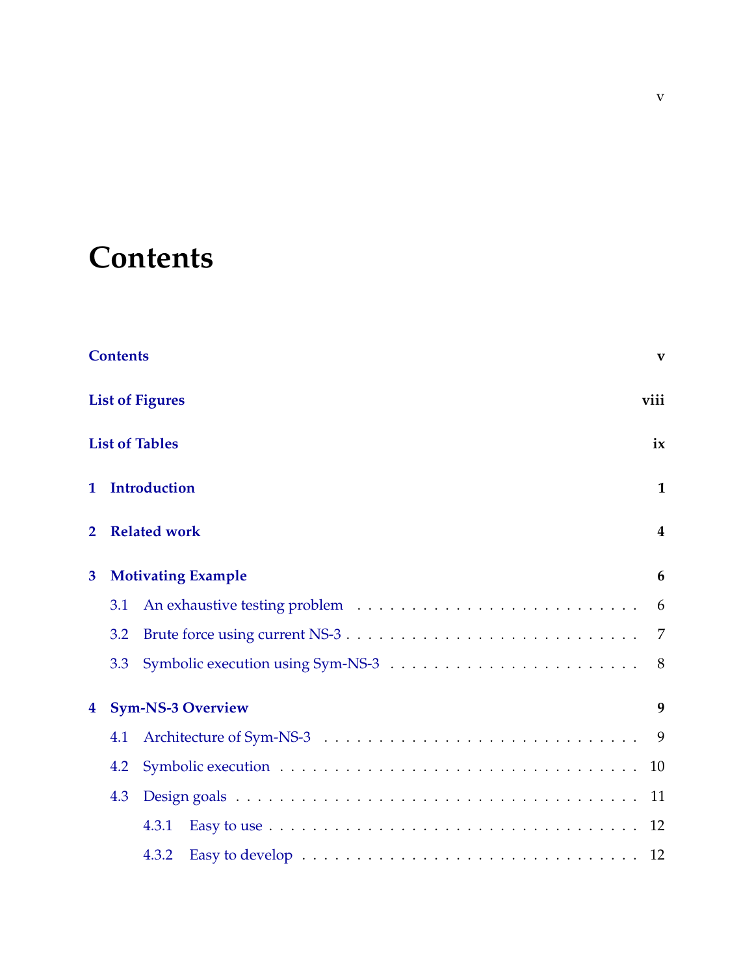# <span id="page-5-0"></span>**Contents**

|                | <b>Contents</b> |                           | $\mathbf{v}$   |
|----------------|-----------------|---------------------------|----------------|
|                |                 | <b>List of Figures</b>    | viii           |
|                |                 | <b>List of Tables</b>     | ix             |
| 1              |                 | <b>Introduction</b>       | $\mathbf{1}$   |
| $\overline{2}$ |                 | <b>Related work</b>       | 4              |
| 3              |                 | <b>Motivating Example</b> | 6              |
|                | 3.1             |                           | 6              |
|                | 3.2             |                           | $\overline{7}$ |
|                | 3.3             |                           | 8              |
| 4              |                 | <b>Sym-NS-3 Overview</b>  | 9              |
|                | 4.1             |                           | - 9            |
|                | 4.2             |                           | 10             |
|                | 4.3             |                           | 11             |
|                |                 | 4.3.1                     | 12             |
|                |                 | 4.3.2                     |                |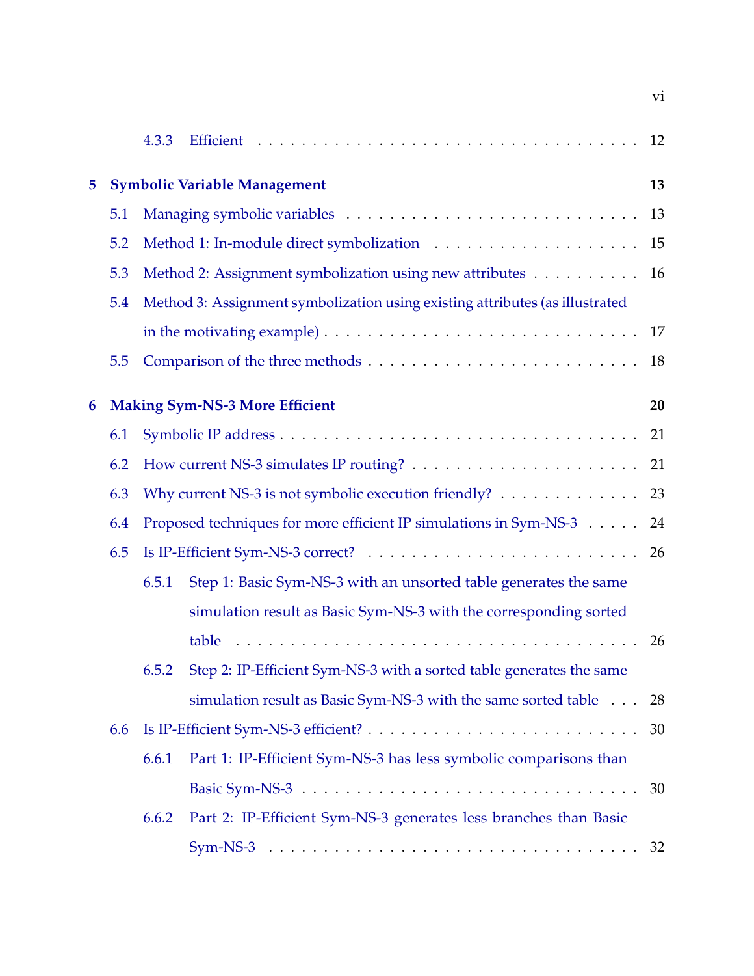|   |     | 4.3.3                                                             |                                                                                                                                    | 12 |
|---|-----|-------------------------------------------------------------------|------------------------------------------------------------------------------------------------------------------------------------|----|
| 5 |     |                                                                   | <b>Symbolic Variable Management</b>                                                                                                | 13 |
|   | 5.1 |                                                                   |                                                                                                                                    | 13 |
|   | 5.2 |                                                                   |                                                                                                                                    | 15 |
|   | 5.3 |                                                                   | Method 2: Assignment symbolization using new attributes                                                                            | 16 |
|   | 5.4 |                                                                   | Method 3: Assignment symbolization using existing attributes (as illustrated                                                       |    |
|   |     |                                                                   | in the motivating example) $\dots \dots \dots \dots \dots \dots \dots \dots \dots \dots \dots \dots \dots \dots \dots \dots \dots$ |    |
|   | 5.5 |                                                                   |                                                                                                                                    | 18 |
| 6 |     |                                                                   | <b>Making Sym-NS-3 More Efficient</b>                                                                                              | 20 |
|   | 6.1 |                                                                   |                                                                                                                                    | 21 |
|   | 6.2 |                                                                   | How current NS-3 simulates IP routing? $\dots \dots \dots \dots \dots \dots \dots$                                                 | 21 |
|   | 6.3 |                                                                   | Why current NS-3 is not symbolic execution friendly? $\dots \dots \dots \dots$                                                     | 23 |
|   | 6.4 | Proposed techniques for more efficient IP simulations in Sym-NS-3 |                                                                                                                                    |    |
|   | 6.5 |                                                                   |                                                                                                                                    |    |
|   |     | 6.5.1                                                             | Step 1: Basic Sym-NS-3 with an unsorted table generates the same                                                                   |    |
|   |     |                                                                   | simulation result as Basic Sym-NS-3 with the corresponding sorted                                                                  |    |
|   |     |                                                                   |                                                                                                                                    |    |
|   |     | 6.5.2                                                             | Step 2: IP-Efficient Sym-NS-3 with a sorted table generates the same                                                               |    |
|   |     |                                                                   | simulation result as Basic Sym-NS-3 with the same sorted table                                                                     | 28 |
|   | 6.6 |                                                                   |                                                                                                                                    | 30 |
|   |     | 6.6.1                                                             | Part 1: IP-Efficient Sym-NS-3 has less symbolic comparisons than                                                                   |    |
|   |     |                                                                   |                                                                                                                                    | 30 |
|   |     | 6.6.2                                                             | Part 2: IP-Efficient Sym-NS-3 generates less branches than Basic                                                                   |    |
|   |     |                                                                   |                                                                                                                                    | 32 |

vi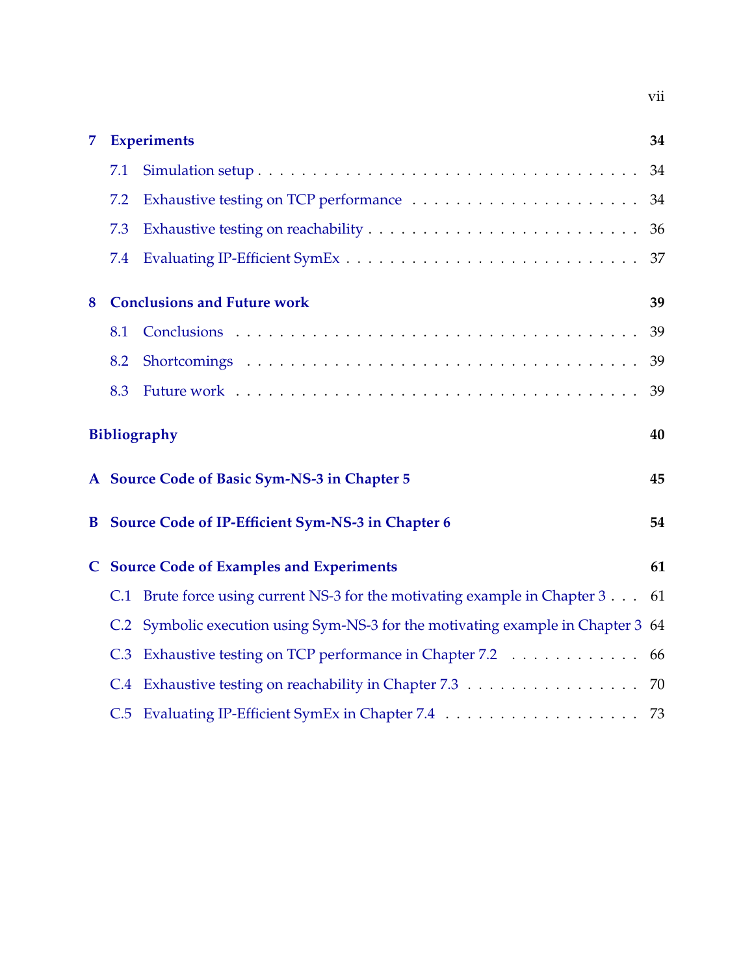| $\overline{7}$ |                                                                                  | <b>Experiments</b>                                                            | 34 |
|----------------|----------------------------------------------------------------------------------|-------------------------------------------------------------------------------|----|
|                | 7.1                                                                              |                                                                               | 34 |
|                | 7.2                                                                              |                                                                               |    |
|                | 7.3                                                                              |                                                                               | 36 |
|                | 7.4                                                                              |                                                                               |    |
| 8              |                                                                                  | <b>Conclusions and Future work</b>                                            | 39 |
|                | 8.1                                                                              |                                                                               | 39 |
|                | 8.2                                                                              |                                                                               | 39 |
|                | 8.3                                                                              |                                                                               | 39 |
|                |                                                                                  | <b>Bibliography</b>                                                           | 40 |
|                |                                                                                  | A Source Code of Basic Sym-NS-3 in Chapter 5                                  | 45 |
|                |                                                                                  | <b>B</b> Source Code of IP-Efficient Sym-NS-3 in Chapter 6                    | 54 |
| $\mathbf{C}$   |                                                                                  | <b>Source Code of Examples and Experiments</b>                                | 61 |
|                |                                                                                  | C.1 Brute force using current NS-3 for the motivating example in Chapter 3 61 |    |
|                | C.2 Symbolic execution using Sym-NS-3 for the motivating example in Chapter 3 64 |                                                                               |    |
|                |                                                                                  | C.3 Exhaustive testing on TCP performance in Chapter 7.2 66                   |    |
|                |                                                                                  | C.4 Exhaustive testing on reachability in Chapter 7.3 70                      |    |
|                |                                                                                  |                                                                               |    |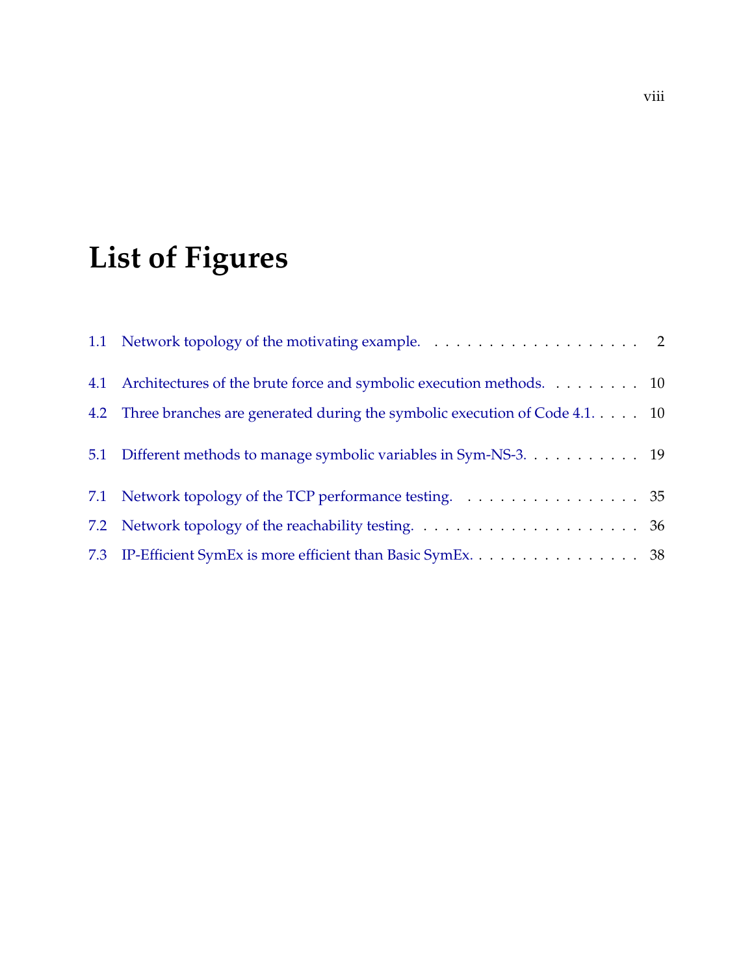# <span id="page-8-0"></span>**List of Figures**

| 4.1 Architectures of the brute force and symbolic execution methods. 10        |  |
|--------------------------------------------------------------------------------|--|
| 4.2 Three branches are generated during the symbolic execution of Code 4.1. 10 |  |
| 5.1 Different methods to manage symbolic variables in Sym-NS-3. 19             |  |
| 7.1 Network topology of the TCP performance testing. 35                        |  |
|                                                                                |  |
| 7.3 IP-Efficient SymEx is more efficient than Basic SymEx. 38                  |  |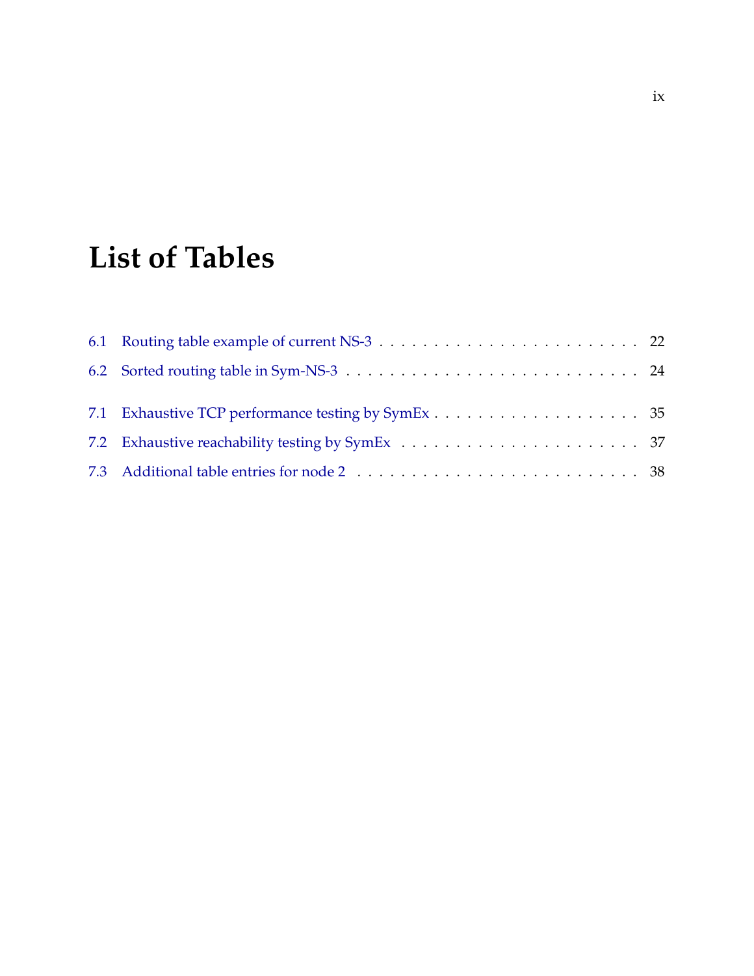# <span id="page-9-0"></span>**List of Tables**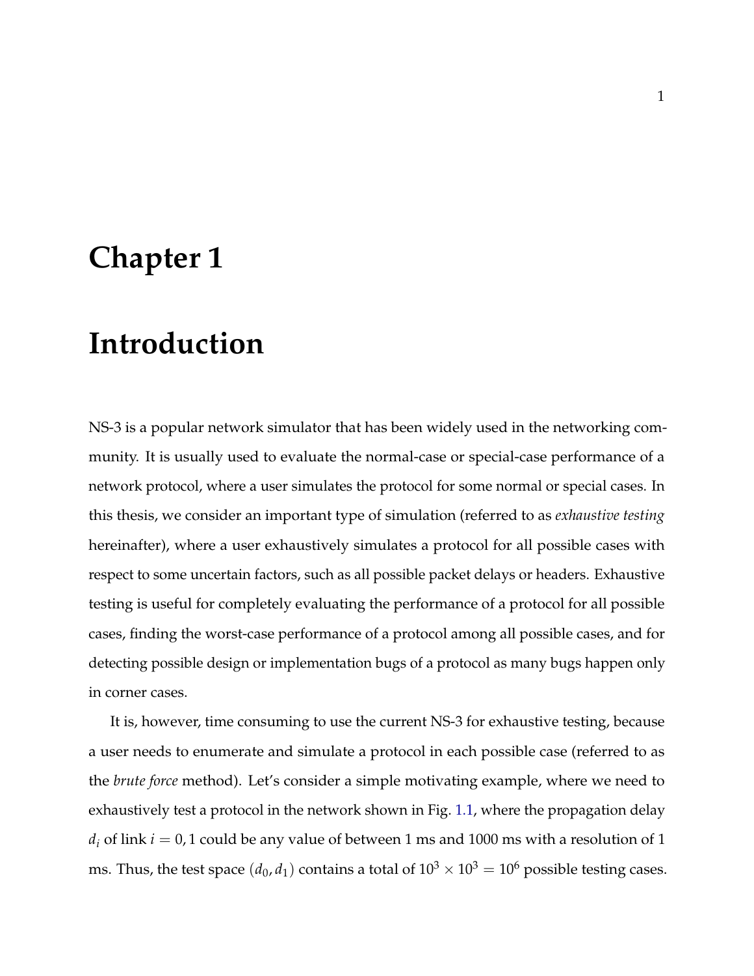# <span id="page-10-0"></span>**Chapter 1**

## **Introduction**

NS-3 is a popular network simulator that has been widely used in the networking community. It is usually used to evaluate the normal-case or special-case performance of a network protocol, where a user simulates the protocol for some normal or special cases. In this thesis, we consider an important type of simulation (referred to as *exhaustive testing* hereinafter), where a user exhaustively simulates a protocol for all possible cases with respect to some uncertain factors, such as all possible packet delays or headers. Exhaustive testing is useful for completely evaluating the performance of a protocol for all possible cases, finding the worst-case performance of a protocol among all possible cases, and for detecting possible design or implementation bugs of a protocol as many bugs happen only in corner cases.

It is, however, time consuming to use the current NS-3 for exhaustive testing, because a user needs to enumerate and simulate a protocol in each possible case (referred to as the *brute force* method). Let's consider a simple motivating example, where we need to exhaustively test a protocol in the network shown in Fig. [1.1,](#page-11-0) where the propagation delay  $d_i$  of link  $i = 0$ , 1 could be any value of between 1 ms and 1000 ms with a resolution of 1 ms. Thus, the test space  $(d_0, d_1)$  contains a total of  $10^3 \times 10^3 = 10^6$  possible testing cases.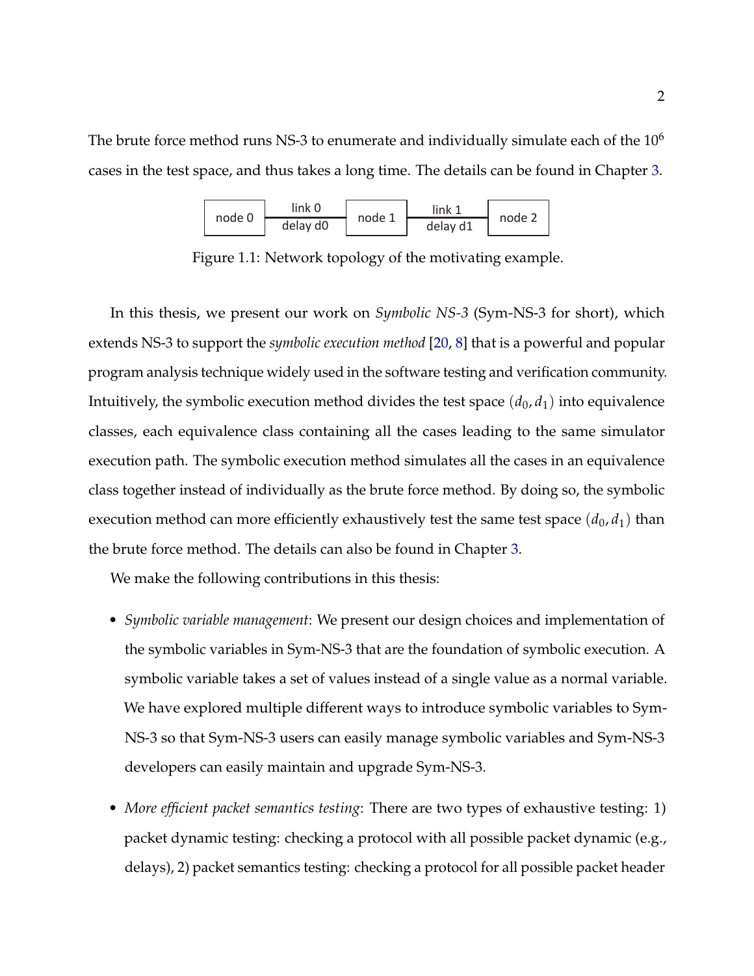The brute force method runs NS-3 to enumerate and individually simulate each of the 10<sup>6</sup> cases in the test space, and thus takes a long time. The details can be found in Chapter [3.](#page-15-0)



<span id="page-11-0"></span>Figure 1.1: Network topology of the motivating example.

In this thesis, we present our work on *Symbolic NS-3* (Sym-NS-3 for short), which extends NS-3 to support the *symbolic execution method* [\[20,](#page-51-0) [8\]](#page-50-0) that is a powerful and popular program analysis technique widely used in the software testing and verification community. Intuitively, the symbolic execution method divides the test space  $(d_0, d_1)$  into equivalence classes, each equivalence class containing all the cases leading to the same simulator execution path. The symbolic execution method simulates all the cases in an equivalence class together instead of individually as the brute force method. By doing so, the symbolic execution method can more efficiently exhaustively test the same test space  $(d_0, d_1)$  than the brute force method. The details can also be found in Chapter [3.](#page-15-0)

We make the following contributions in this thesis:

- *Symbolic variable management*: We present our design choices and implementation of the symbolic variables in Sym-NS-3 that are the foundation of symbolic execution. A symbolic variable takes a set of values instead of a single value as a normal variable. We have explored multiple different ways to introduce symbolic variables to Sym-NS-3 so that Sym-NS-3 users can easily manage symbolic variables and Sym-NS-3 developers can easily maintain and upgrade Sym-NS-3.
- *More efficient packet semantics testing*: There are two types of exhaustive testing: 1) packet dynamic testing: checking a protocol with all possible packet dynamic (e.g., delays), 2) packet semantics testing: checking a protocol for all possible packet header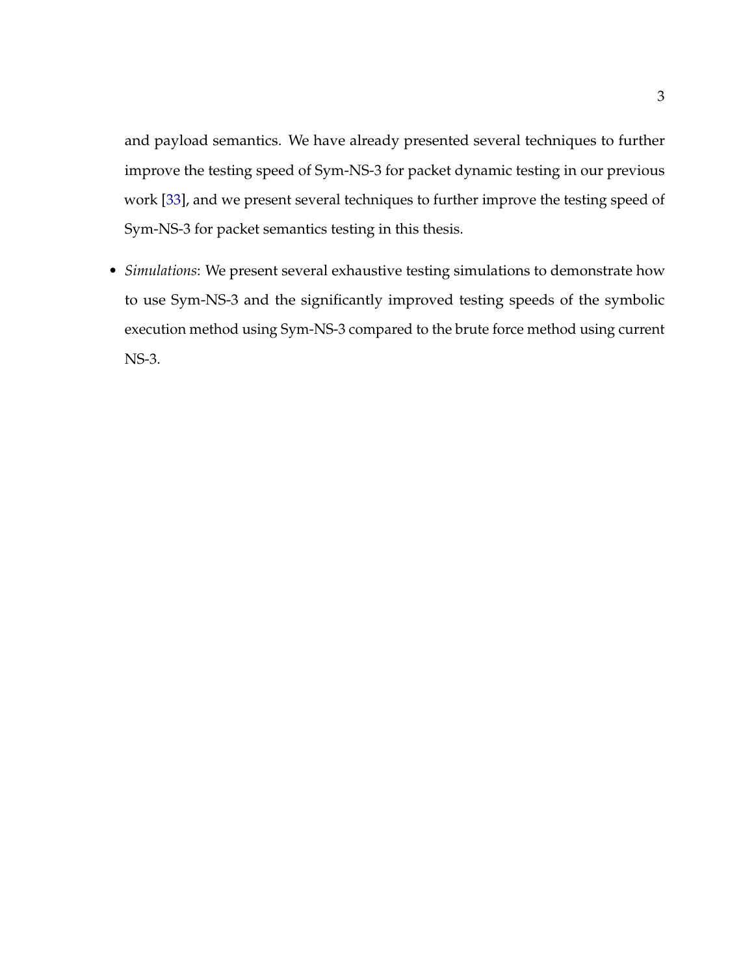and payload semantics. We have already presented several techniques to further improve the testing speed of Sym-NS-3 for packet dynamic testing in our previous work [\[33\]](#page-53-0), and we present several techniques to further improve the testing speed of Sym-NS-3 for packet semantics testing in this thesis.

• *Simulations*: We present several exhaustive testing simulations to demonstrate how to use Sym-NS-3 and the significantly improved testing speeds of the symbolic execution method using Sym-NS-3 compared to the brute force method using current NS-3.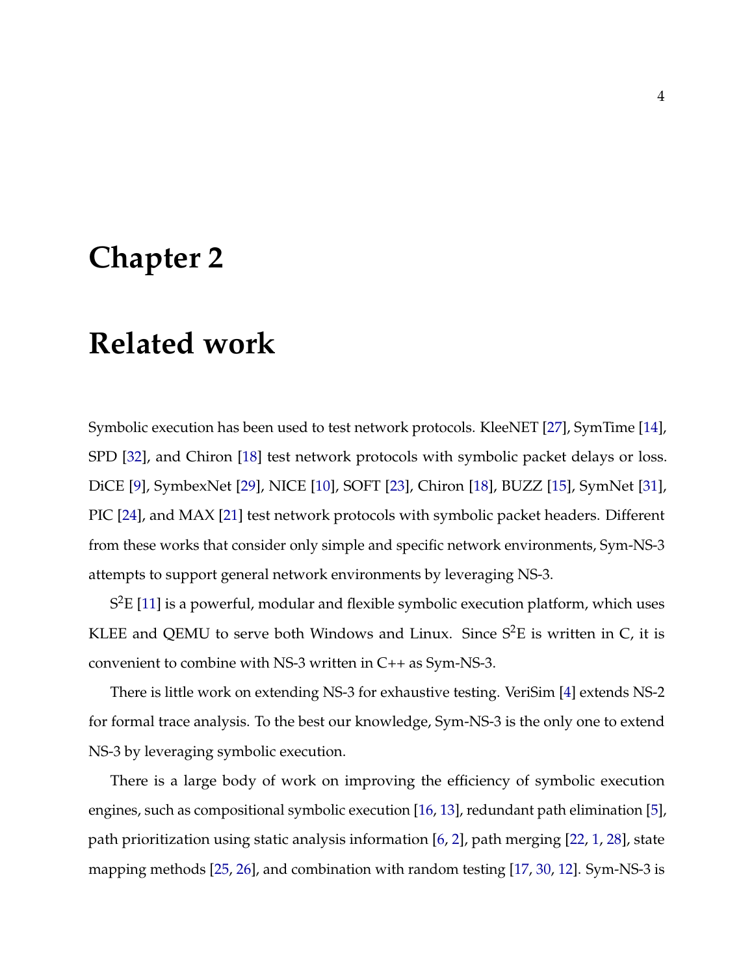## <span id="page-13-0"></span>**Chapter 2**

## **Related work**

Symbolic execution has been used to test network protocols. KleeNET [\[27\]](#page-52-0), SymTime [\[14\]](#page-50-1), SPD [\[32\]](#page-53-1), and Chiron [\[18\]](#page-51-1) test network protocols with symbolic packet delays or loss. DiCE [\[9\]](#page-50-2), SymbexNet [\[29\]](#page-52-1), NICE [\[10\]](#page-50-3), SOFT [\[23\]](#page-51-2), Chiron [\[18\]](#page-51-1), BUZZ [\[15\]](#page-50-4), SymNet [\[31\]](#page-52-2), PIC [\[24\]](#page-52-3), and MAX [\[21\]](#page-51-3) test network protocols with symbolic packet headers. Different from these works that consider only simple and specific network environments, Sym-NS-3 attempts to support general network environments by leveraging NS-3.

 $S^2E$  [\[11\]](#page-50-5) is a powerful, modular and flexible symbolic execution platform, which uses KLEE and QEMU to serve both Windows and Linux. Since  $S^2E$  is written in C, it is convenient to combine with NS-3 written in C++ as Sym-NS-3.

There is little work on extending NS-3 for exhaustive testing. VeriSim [\[4\]](#page-49-1) extends NS-2 for formal trace analysis. To the best our knowledge, Sym-NS-3 is the only one to extend NS-3 by leveraging symbolic execution.

There is a large body of work on improving the efficiency of symbolic execution engines, such as compositional symbolic execution [\[16,](#page-51-4) [13\]](#page-50-6), redundant path elimination [\[5\]](#page-49-2), path prioritization using static analysis information [\[6,](#page-49-3) [2\]](#page-49-4), path merging [\[22,](#page-51-5) [1,](#page-49-5) [28\]](#page-52-4), state mapping methods [\[25,](#page-52-5) [26\]](#page-52-6), and combination with random testing [\[17,](#page-51-6) [30,](#page-52-7) [12\]](#page-50-7). Sym-NS-3 is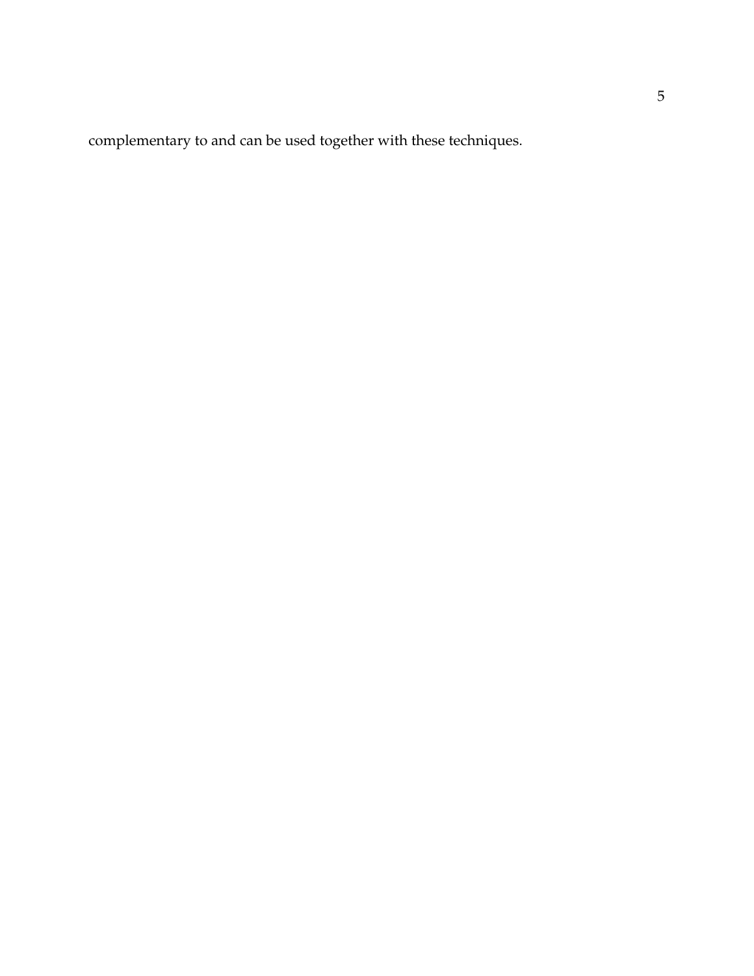complementary to and can be used together with these techniques.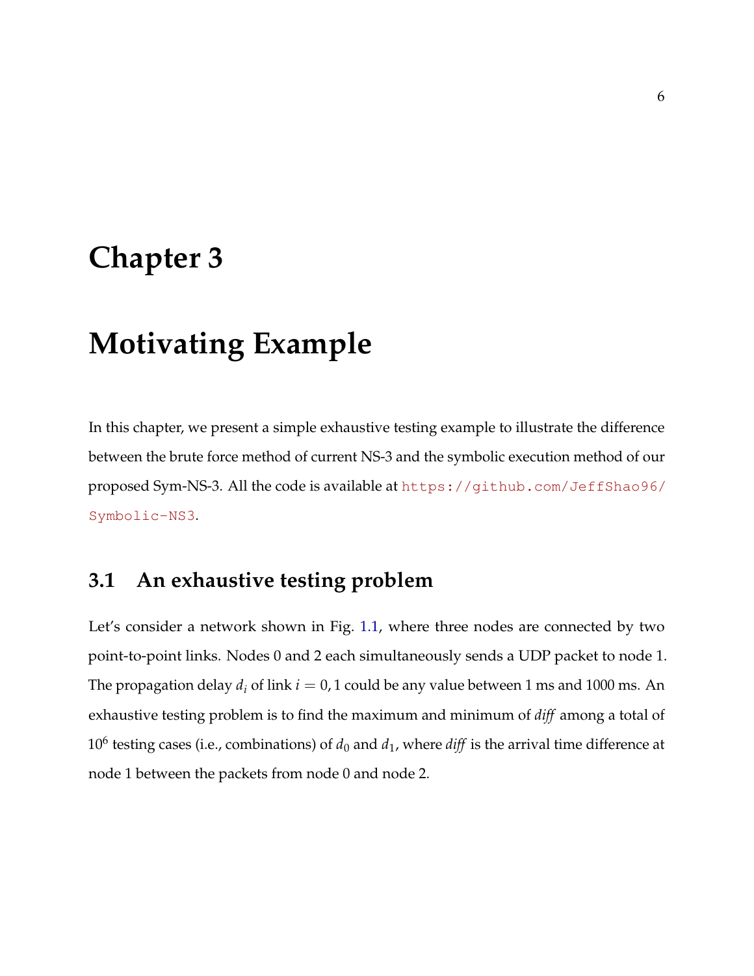# <span id="page-15-0"></span>**Chapter 3**

# **Motivating Example**

In this chapter, we present a simple exhaustive testing example to illustrate the difference between the brute force method of current NS-3 and the symbolic execution method of our proposed Sym-NS-3. All the code is available at [https://github.com/JeffShao96/](https://github.com/JeffShao96/Symbolic-NS3) [Symbolic-NS3](https://github.com/JeffShao96/Symbolic-NS3).

### <span id="page-15-1"></span>**3.1 An exhaustive testing problem**

Let's consider a network shown in Fig. [1.1,](#page-11-0) where three nodes are connected by two point-to-point links. Nodes 0 and 2 each simultaneously sends a UDP packet to node 1. The propagation delay  $d_i$  of link  $i = 0, 1$  could be any value between 1 ms and 1000 ms. An exhaustive testing problem is to find the maximum and minimum of *diff* among a total of 10<sup>6</sup> testing cases (i.e., combinations) of  $d_0$  and  $d_1$ , where  $diff$  is the arrival time difference at node 1 between the packets from node 0 and node 2.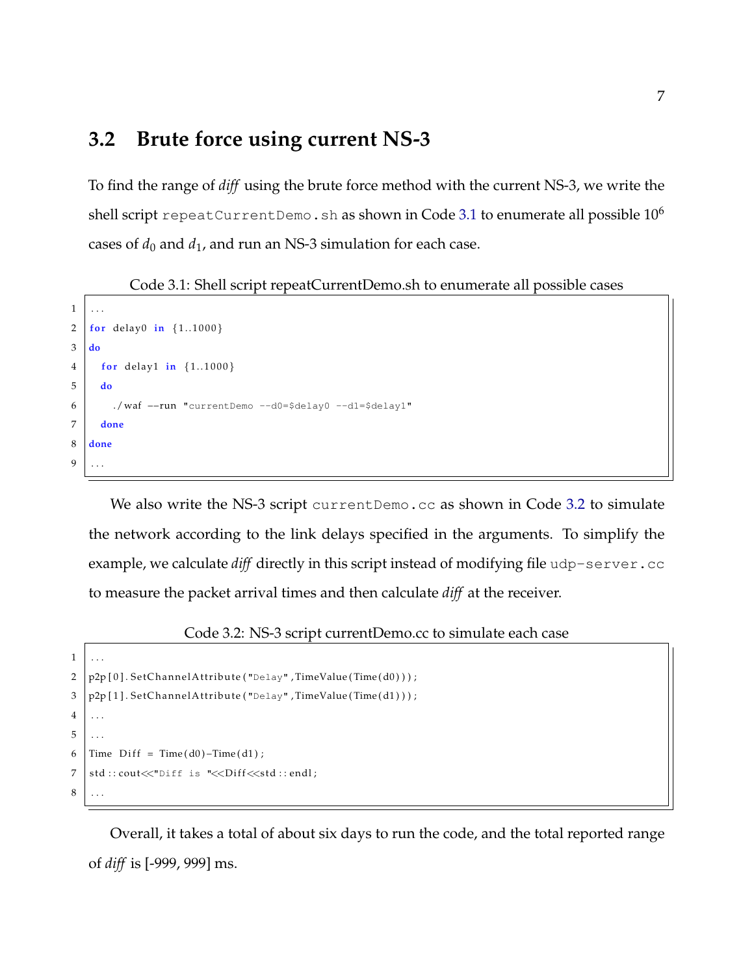### <span id="page-16-0"></span>**3.2 Brute force using current NS-3**

To find the range of *diff* using the brute force method with the current NS-3, we write the shell script repeatCurrentDemo.sh as shown in Code [3.1](#page-16-1) to enumerate all possible  $10<sup>6</sup>$ cases of  $d_0$  and  $d_1$ , and run an NS-3 simulation for each case.

<span id="page-16-1"></span>Code 3.1: Shell script repeatCurrentDemo.sh to enumerate all possible cases

```
1 \mid \ldots2 for delay0 in {1..1000}
3 do
4 for delay1 in {1..1000}
5 do
6 ./ waf −−run "currentDemo --d0=$delay0 --d1=$delay1"
7 done
8 done
\mathbf{q}
```
We also write the NS-3 script currentDemo.cc as shown in Code [3.2](#page-16-2) to simulate the network according to the link delays specified in the arguments. To simplify the example, we calculate *diff* directly in this script instead of modifying file udp-server.cc to measure the packet arrival times and then calculate *diff* at the receiver.

#### Code 3.2: NS-3 script currentDemo.cc to simulate each case

```
\,12 p2p[0]. SetChannelAttribute ("Delay", TimeValue (Time(d0)));
3 | p2p [1]. SetChannelAttribute ("Delay", TimeValue (Time(d1)));
4 \mid \ldots5 \mid \ldots6 Time Diff = Time(d0)-Time(d1);
7 | std :: cout\ll"Diff is "\llDiff\llstd :: endl;
8 \mid \ldots
```
Overall, it takes a total of about six days to run the code, and the total reported range of *diff* is [-999, 999] ms.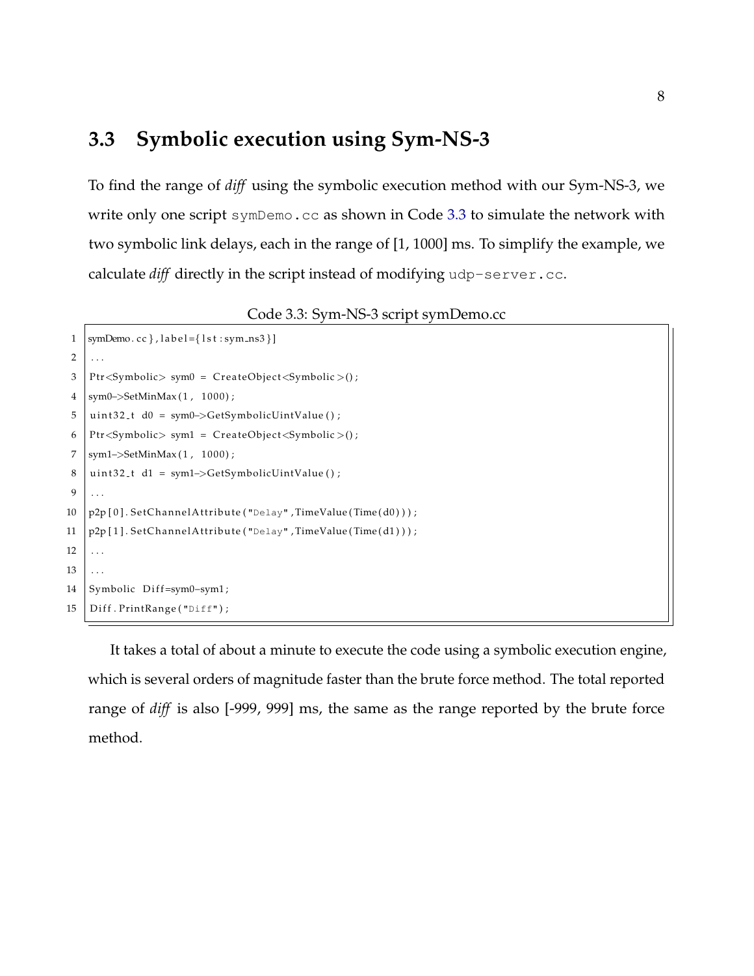## <span id="page-17-0"></span>**3.3 Symbolic execution using Sym-NS-3**

To find the range of *diff* using the symbolic execution method with our Sym-NS-3, we write only one script symDemo.cc as shown in Code [3.3](#page-17-1) to simulate the network with two symbolic link delays, each in the range of [1, 1000] ms. To simplify the example, we calculate *diff* directly in the script instead of modifying udp-server.cc.

Code 3.3: Sym-NS-3 script symDemo.cc

```
1 symDemo. cc, label={list:sym_nss}]
\mathbf 23 \mid \text{Ptr} \leq \text{Symbolic} > \text{sym0} = \text{CreateObject} \leq \text{Symbolic} > ();
4 | sym0->SetMinMax(1, 1000);
5 | uint32_t d0 = sym0->GetSymbolicUintValue();
6 | Ptr<Symbolic> sym1 = CreateObject<Symbolic>();
7 | sym1–>SetMinMax(1, 1000);
8 \mid uint32_t d1 = sym1->GetSymbolicUintValue();
\overline{9}10 \vert p2p [0]. SetChannelAttribute ("Delay", TimeValue (Time(d0)));
11 \vert p2p[1]. SetChannelAttribute ("Delay", TimeValue (Time(d1)));
12 ...
13 ...
14 Symbolic Diff=sym0-sym1;
15 | Diff . PrintRange ("Diff");
```
It takes a total of about a minute to execute the code using a symbolic execution engine, which is several orders of magnitude faster than the brute force method. The total reported range of *diff* is also [-999, 999] ms, the same as the range reported by the brute force method.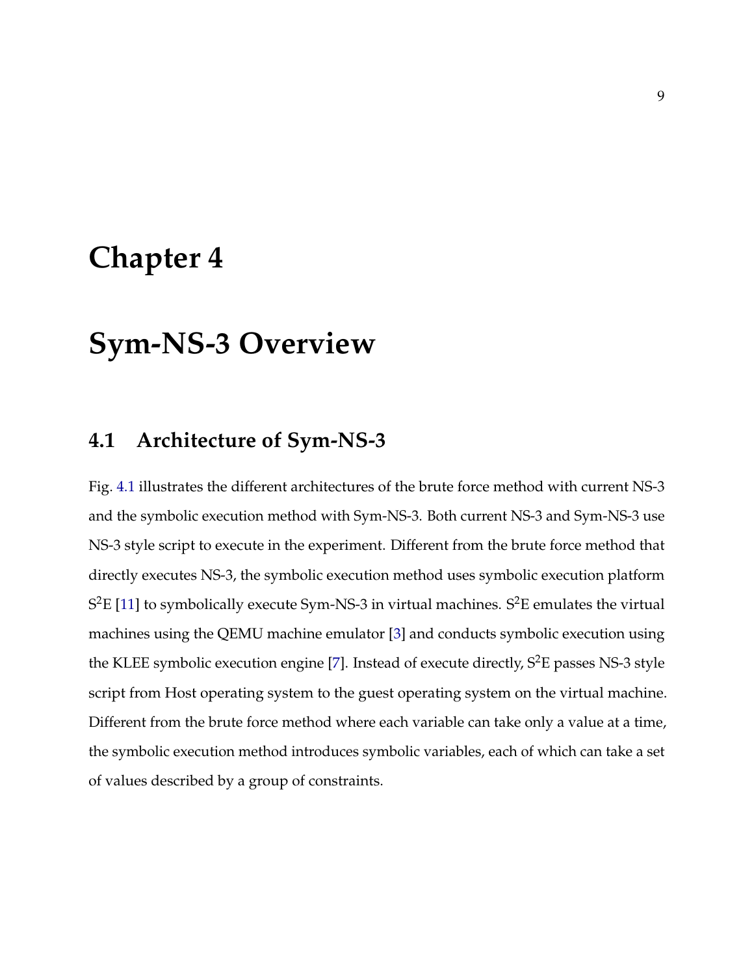## <span id="page-18-0"></span>**Chapter 4**

# **Sym-NS-3 Overview**

#### <span id="page-18-1"></span>**4.1 Architecture of Sym-NS-3**

Fig. [4.1](#page-19-1) illustrates the different architectures of the brute force method with current NS-3 and the symbolic execution method with Sym-NS-3. Both current NS-3 and Sym-NS-3 use NS-3 style script to execute in the experiment. Different from the brute force method that directly executes NS-3, the symbolic execution method uses symbolic execution platform  $S^2E$  [\[11\]](#page-50-5) to symbolically execute Sym-NS-3 in virtual machines.  $S^2E$  emulates the virtual machines using the QEMU machine emulator [\[3\]](#page-49-6) and conducts symbolic execution using the KLEE symbolic execution engine [\[7\]](#page-50-8). Instead of execute directly,  $S^2E$  passes NS-3 style script from Host operating system to the guest operating system on the virtual machine. Different from the brute force method where each variable can take only a value at a time, the symbolic execution method introduces symbolic variables, each of which can take a set of values described by a group of constraints.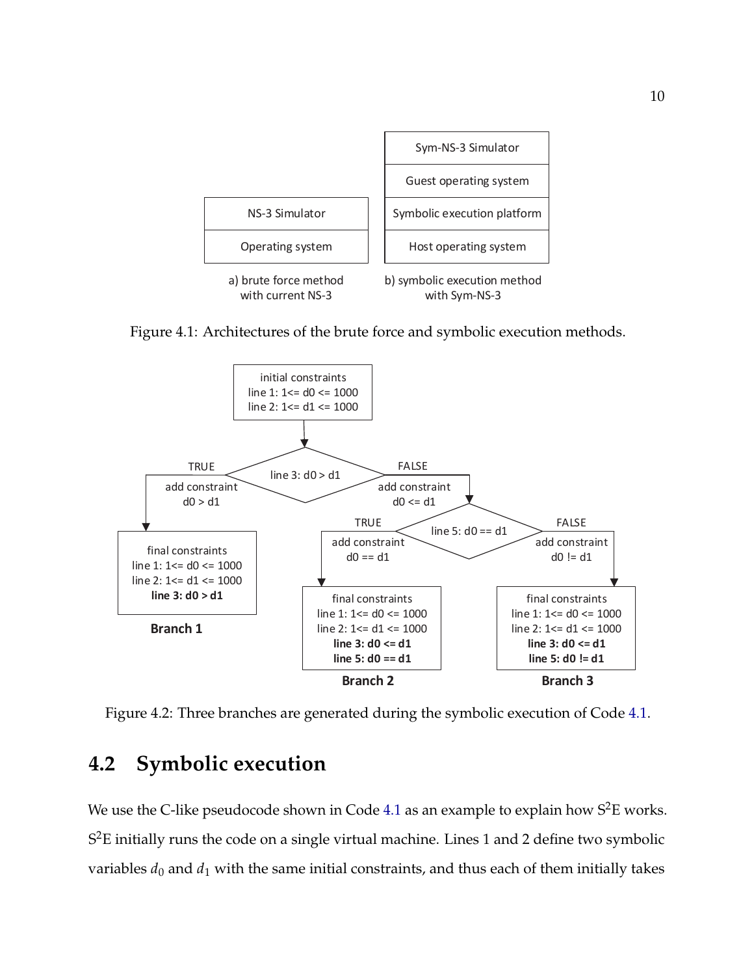

<span id="page-19-1"></span>Figure 4.1: Architectures of the brute force and symbolic execution methods.



<span id="page-19-2"></span>Figure 4.2: Three branches are generated during the symbolic execution of Code [4.1.](#page-20-1)

### <span id="page-19-0"></span>**4.2 Symbolic execution**

We use the C-like pseudocode shown in Code [4.1](#page-20-1) as an example to explain how  $S^2E$  works.  $\mathrm{S}^2\mathrm{E}$  initially runs the code on a single virtual machine. Lines 1 and 2 define two symbolic variables  $d_0$  and  $d_1$  with the same initial constraints, and thus each of them initially takes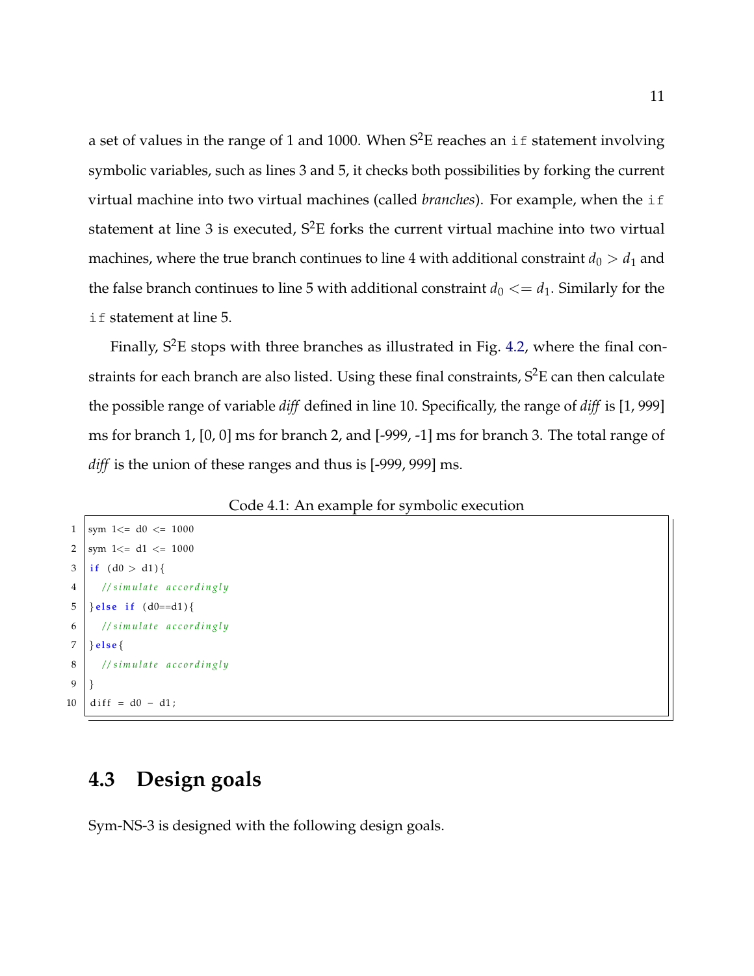a set of values in the range of 1 and 1000. When S<sup>2</sup>E reaches an if statement involving symbolic variables, such as lines 3 and 5, it checks both possibilities by forking the current virtual machine into two virtual machines (called *branches*). For example, when the if statement at line 3 is executed,  $S^2E$  forks the current virtual machine into two virtual machines, where the true branch continues to line 4 with additional constraint  $d_0 > d_1$  and the false branch continues to line 5 with additional constraint  $d_0 \leq d_1$ . Similarly for the if statement at line 5.

Finally,  $S^2E$  stops with three branches as illustrated in Fig. [4.2,](#page-19-2) where the final constraints for each branch are also listed. Using these final constraints,  $S^2E$  can then calculate the possible range of variable *diff* defined in line 10. Specifically, the range of *diff* is [1, 999] ms for branch 1, [0, 0] ms for branch 2, and [-999, -1] ms for branch 3. The total range of *diff* is the union of these ranges and thus is [-999, 999] ms.

Code 4.1: An example for symbolic execution

```
1 | sym 1 \le d0 \le 10002 | sym 1 \le d1 \le 10003 | \textbf{if} (d0 > d1)4 //simulate accordingly
5 } else if (d0=-d1) {
6 //simulate accordingly
7 } e ls e {
8 //simulate accordingly
9 }
10 diff = d0 - d1;
```
### <span id="page-20-0"></span>**4.3 Design goals**

Sym-NS-3 is designed with the following design goals.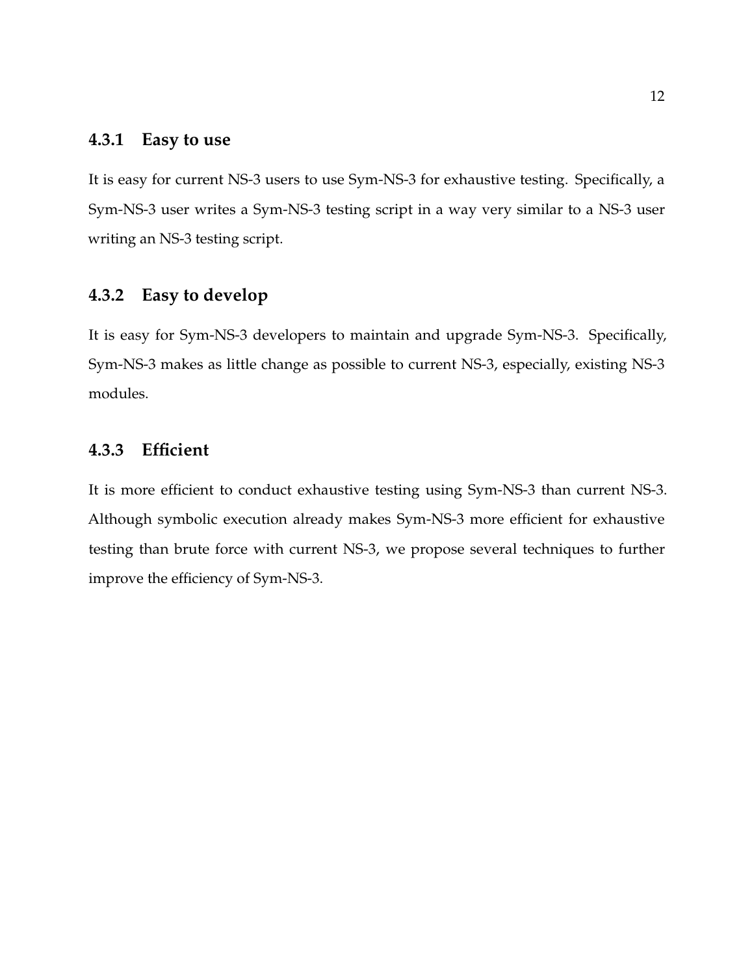#### <span id="page-21-0"></span>**4.3.1 Easy to use**

It is easy for current NS-3 users to use Sym-NS-3 for exhaustive testing. Specifically, a Sym-NS-3 user writes a Sym-NS-3 testing script in a way very similar to a NS-3 user writing an NS-3 testing script.

#### <span id="page-21-1"></span>**4.3.2 Easy to develop**

It is easy for Sym-NS-3 developers to maintain and upgrade Sym-NS-3. Specifically, Sym-NS-3 makes as little change as possible to current NS-3, especially, existing NS-3 modules.

#### <span id="page-21-2"></span>**4.3.3 Efficient**

It is more efficient to conduct exhaustive testing using Sym-NS-3 than current NS-3. Although symbolic execution already makes Sym-NS-3 more efficient for exhaustive testing than brute force with current NS-3, we propose several techniques to further improve the efficiency of Sym-NS-3.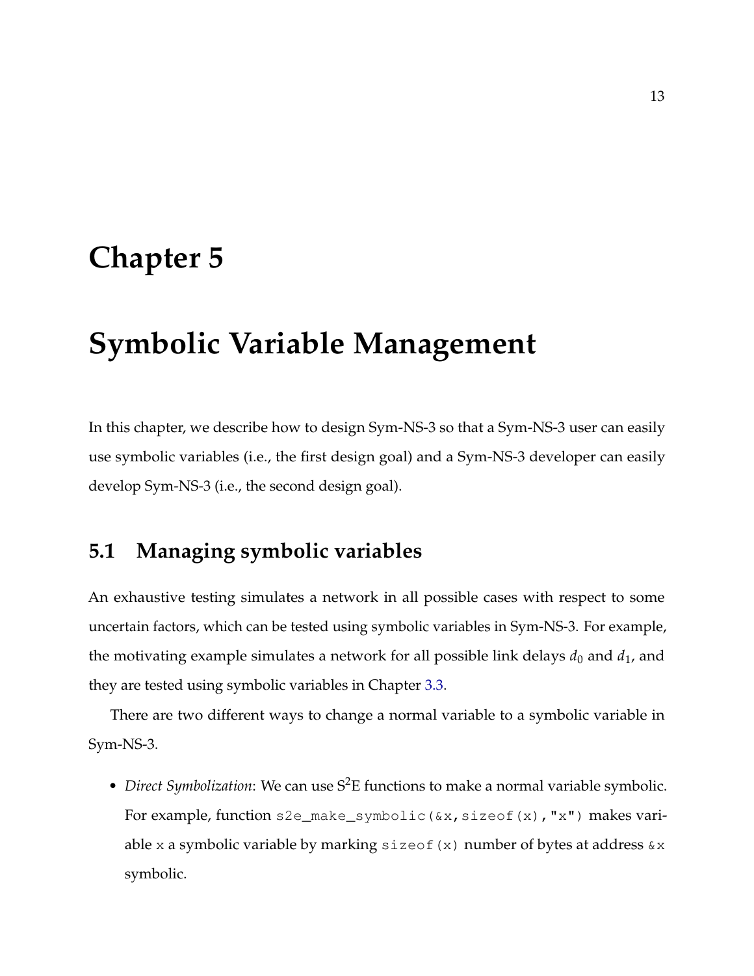# <span id="page-22-0"></span>**Chapter 5**

# **Symbolic Variable Management**

In this chapter, we describe how to design Sym-NS-3 so that a Sym-NS-3 user can easily use symbolic variables (i.e., the first design goal) and a Sym-NS-3 developer can easily develop Sym-NS-3 (i.e., the second design goal).

## <span id="page-22-1"></span>**5.1 Managing symbolic variables**

An exhaustive testing simulates a network in all possible cases with respect to some uncertain factors, which can be tested using symbolic variables in Sym-NS-3. For example, the motivating example simulates a network for all possible link delays  $d_0$  and  $d_1$ , and they are tested using symbolic variables in Chapter [3.3.](#page-17-0)

There are two different ways to change a normal variable to a symbolic variable in Sym-NS-3.

• *Direct Symbolization*: We can use S<sup>2</sup>E functions to make a normal variable symbolic. For example, function s2e\_make\_symbolic(&x, sizeof(x), "x") makes variable x a symbolic variable by marking  $sizeof(x)$  number of bytes at address  $&x$ symbolic.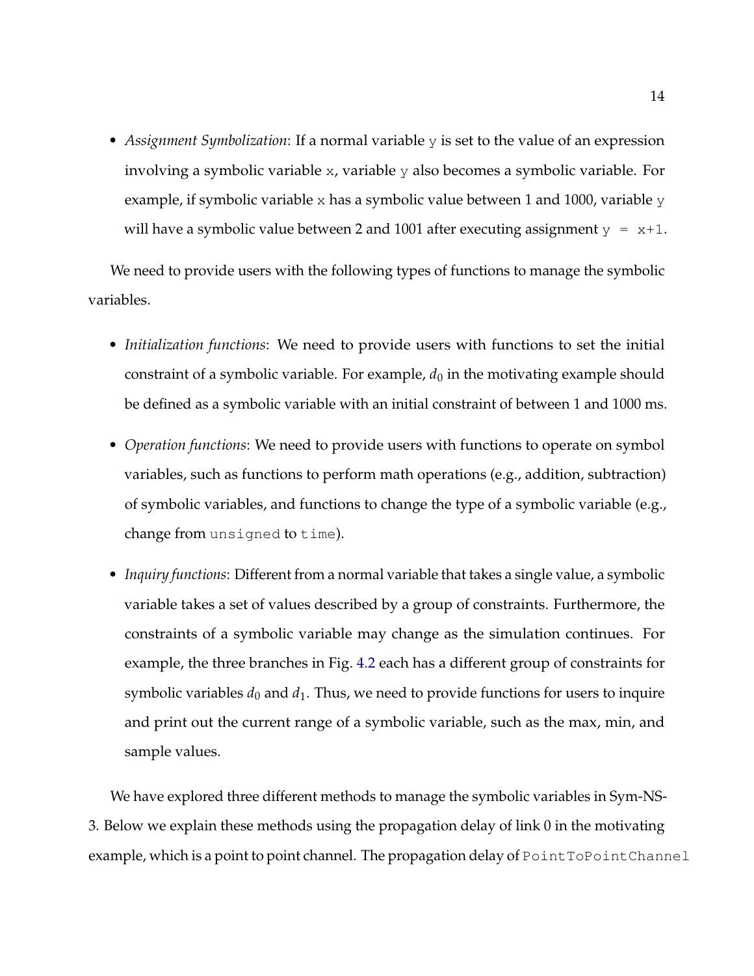• *Assignment Symbolization*: If a normal variable y is set to the value of an expression involving a symbolic variable x, variable y also becomes a symbolic variable. For example, if symbolic variable x has a symbolic value between 1 and 1000, variable y will have a symbolic value between 2 and 1001 after executing assignment  $y = x+1$ .

We need to provide users with the following types of functions to manage the symbolic variables.

- *Initialization functions*: We need to provide users with functions to set the initial constraint of a symbolic variable. For example,  $d_0$  in the motivating example should be defined as a symbolic variable with an initial constraint of between 1 and 1000 ms.
- *Operation functions*: We need to provide users with functions to operate on symbol variables, such as functions to perform math operations (e.g., addition, subtraction) of symbolic variables, and functions to change the type of a symbolic variable (e.g., change from unsigned to time).
- *Inquiry functions*: Different from a normal variable that takes a single value, a symbolic variable takes a set of values described by a group of constraints. Furthermore, the constraints of a symbolic variable may change as the simulation continues. For example, the three branches in Fig. [4.2](#page-19-2) each has a different group of constraints for symbolic variables  $d_0$  and  $d_1$ . Thus, we need to provide functions for users to inquire and print out the current range of a symbolic variable, such as the max, min, and sample values.

We have explored three different methods to manage the symbolic variables in Sym-NS-3. Below we explain these methods using the propagation delay of link 0 in the motivating example, which is a point to point channel. The propagation delay of Point ToPoint Channel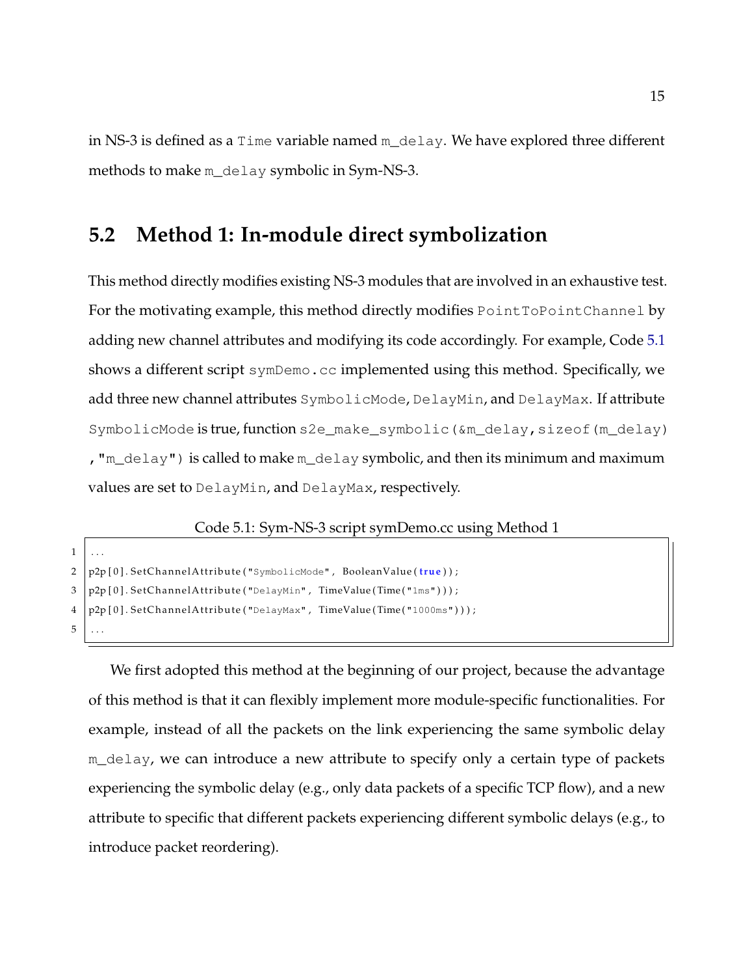in NS-3 is defined as a Time variable named m\_delay. We have explored three different methods to make m\_delay symbolic in Sym-NS-3.

#### <span id="page-24-0"></span>**5.2 Method 1: In-module direct symbolization**

This method directly modifies existing NS-3 modules that are involved in an exhaustive test. For the motivating example, this method directly modifies PointToPointChannel by adding new channel attributes and modifying its code accordingly. For example, Code [5.1](#page-24-1) shows a different script symDemo.cc implemented using this method. Specifically, we add three new channel attributes SymbolicMode, DelayMin, and DelayMax. If attribute SymbolicMode is true, function s2e\_make\_symbolic(&m\_delay, sizeof(m\_delay) ,"m\_delay") is called to make m\_delay symbolic, and then its minimum and maximum values are set to DelayMin, and DelayMax, respectively.

Code 5.1: Sym-NS-3 script symDemo.cc using Method 1

<span id="page-24-1"></span>

| $1 \mid$ | $\ldots$                                                                      |
|----------|-------------------------------------------------------------------------------|
|          | $2   p2p   0 $ . SetChannelAttribute ("SymbolicMode", BooleanValue (true));   |
|          | $3   p2p   0 $ . SetChannelAttribute ("DelayMin", TimeValue (Time ("1ms")));  |
|          | $4   p2p[0]$ . SetChannelAttribute ("DelayMax", TimeValue (Time ("1000ms"))); |
|          | $\cdot$ $\cdot$ $\cdot$                                                       |

We first adopted this method at the beginning of our project, because the advantage of this method is that it can flexibly implement more module-specific functionalities. For example, instead of all the packets on the link experiencing the same symbolic delay m\_delay, we can introduce a new attribute to specify only a certain type of packets experiencing the symbolic delay (e.g., only data packets of a specific TCP flow), and a new attribute to specific that different packets experiencing different symbolic delays (e.g., to introduce packet reordering).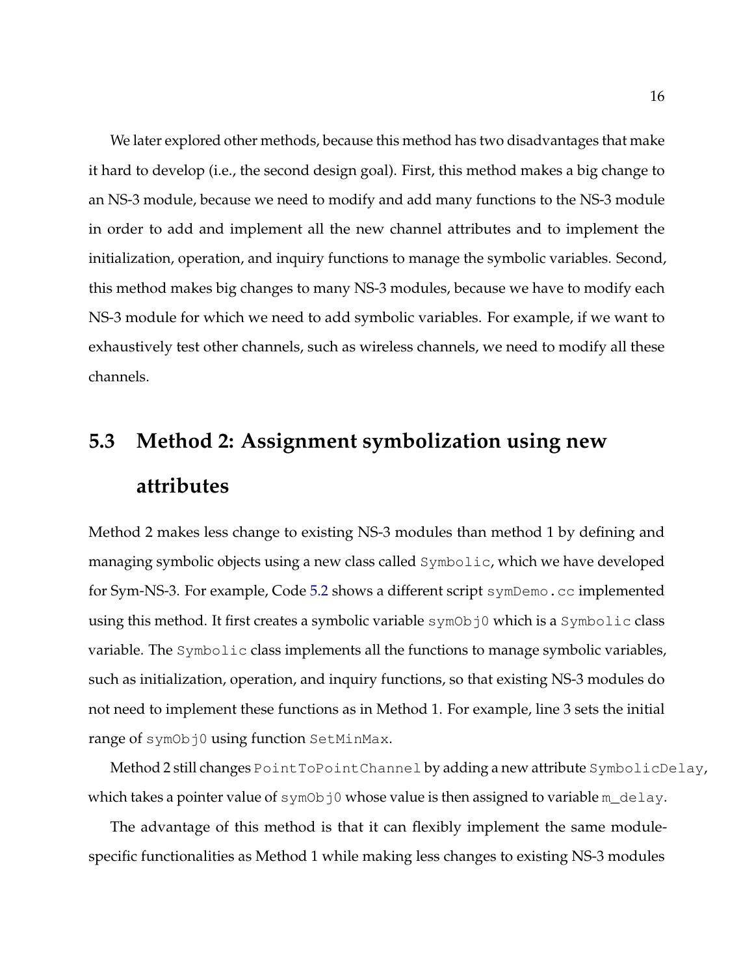We later explored other methods, because this method has two disadvantages that make it hard to develop (i.e., the second design goal). First, this method makes a big change to an NS-3 module, because we need to modify and add many functions to the NS-3 module in order to add and implement all the new channel attributes and to implement the initialization, operation, and inquiry functions to manage the symbolic variables. Second, this method makes big changes to many NS-3 modules, because we have to modify each NS-3 module for which we need to add symbolic variables. For example, if we want to exhaustively test other channels, such as wireless channels, we need to modify all these channels.

# <span id="page-25-0"></span>**5.3 Method 2: Assignment symbolization using new attributes**

Method 2 makes less change to existing NS-3 modules than method 1 by defining and managing symbolic objects using a new class called Symbolic, which we have developed for Sym-NS-3. For example, Code [5.2](#page-26-1) shows a different script symDemo.cc implemented using this method. It first creates a symbolic variable symObj0 which is a Symbolic class variable. The Symbolic class implements all the functions to manage symbolic variables, such as initialization, operation, and inquiry functions, so that existing NS-3 modules do not need to implement these functions as in Method 1. For example, line 3 sets the initial range of symObj0 using function SetMinMax.

Method 2 still changes PointToPointChannel by adding a new attribute SymbolicDelay, which takes a pointer value of  $symObj0$  whose value is then assigned to variable  $m$  delay.

The advantage of this method is that it can flexibly implement the same modulespecific functionalities as Method 1 while making less changes to existing NS-3 modules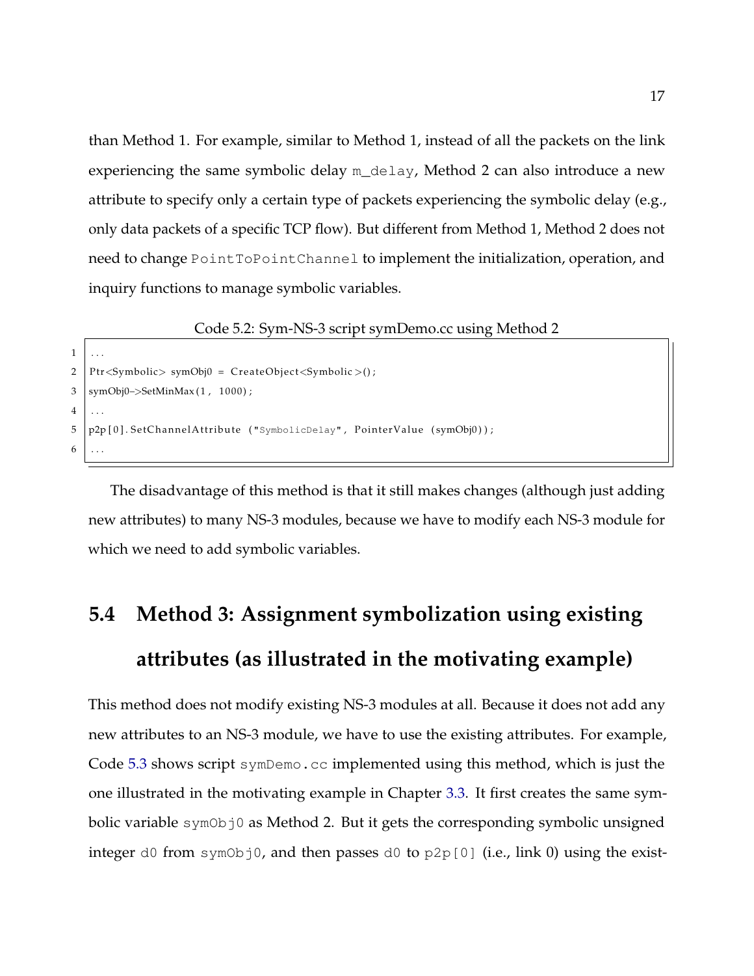than Method 1. For example, similar to Method 1, instead of all the packets on the link experiencing the same symbolic delay m\_delay, Method 2 can also introduce a new attribute to specify only a certain type of packets experiencing the symbolic delay (e.g., only data packets of a specific TCP flow). But different from Method 1, Method 2 does not need to change PointToPointChannel to implement the initialization, operation, and inquiry functions to manage symbolic variables.

Code 5.2: Sym-NS-3 script symDemo.cc using Method 2

```
1 \mid \ldots2 Ptr<Symbolic> symObj0 = CreateObject<Symbolic >() ;
3 | symObj0−>SetMinMax(1, 1000);
\overline{4}5 | p2p [0]. SetChannelAttribute ("SymbolicDelay", PointerValue (symObj0));
6
```
The disadvantage of this method is that it still makes changes (although just adding new attributes) to many NS-3 modules, because we have to modify each NS-3 module for which we need to add symbolic variables.

# <span id="page-26-0"></span>**5.4 Method 3: Assignment symbolization using existing attributes (as illustrated in the motivating example)**

This method does not modify existing NS-3 modules at all. Because it does not add any new attributes to an NS-3 module, we have to use the existing attributes. For example, Code [5.3](#page-27-1) shows script symDemo.cc implemented using this method, which is just the one illustrated in the motivating example in Chapter [3.3.](#page-17-0) It first creates the same symbolic variable symObj0 as Method 2. But it gets the corresponding symbolic unsigned integer d0 from symObj0, and then passes d0 to  $p2p[0]$  (i.e., link 0) using the exist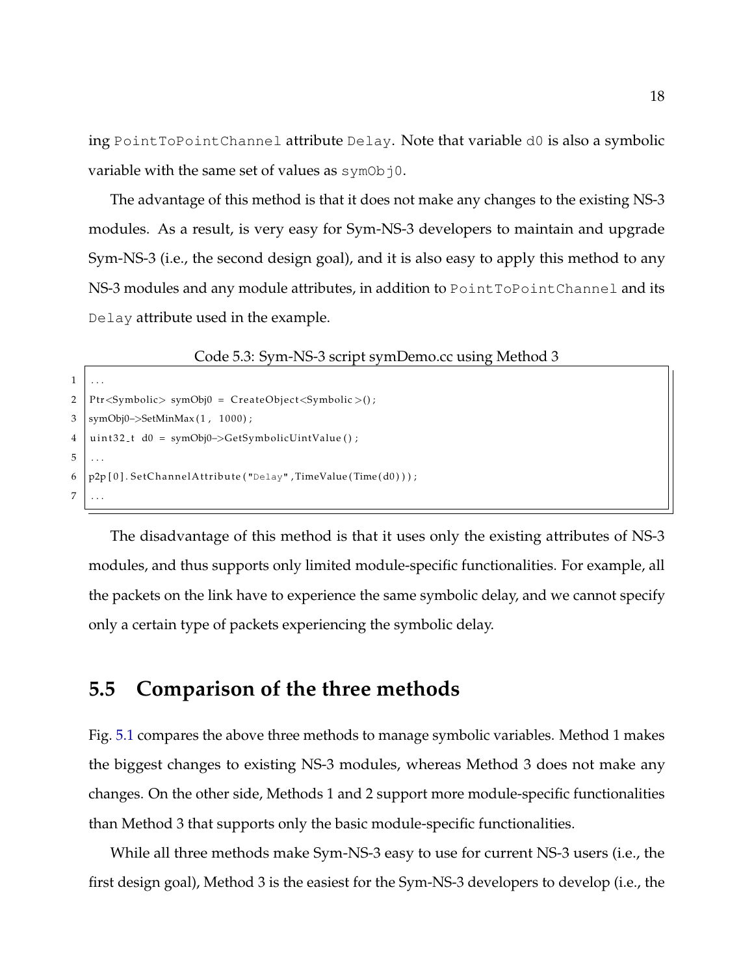ing PointToPointChannel attribute Delay. Note that variable d0 is also a symbolic variable with the same set of values as  $symObj0$ .

The advantage of this method is that it does not make any changes to the existing NS-3 modules. As a result, is very easy for Sym-NS-3 developers to maintain and upgrade Sym-NS-3 (i.e., the second design goal), and it is also easy to apply this method to any NS-3 modules and any module attributes, in addition to PointToPointChannel and its Delay attribute used in the example.

Code 5.3: Sym-NS-3 script symDemo.cc using Method 3

```
\overline{1}2 Ptr<Symbolic> symObj0 = CreateObject<Symbolic >() ;
3 symObj0->SetMinMax(1, 1000);
4 | uint32_t d0 = symObj0->GetSymbolicUintValue();
5
6 p2p[0]. SetChannelAttribute ("Delay", TimeValue (Time(d0)));
7
```
The disadvantage of this method is that it uses only the existing attributes of NS-3 modules, and thus supports only limited module-specific functionalities. For example, all the packets on the link have to experience the same symbolic delay, and we cannot specify only a certain type of packets experiencing the symbolic delay.

#### <span id="page-27-0"></span>**5.5 Comparison of the three methods**

Fig. [5.1](#page-28-0) compares the above three methods to manage symbolic variables. Method 1 makes the biggest changes to existing NS-3 modules, whereas Method 3 does not make any changes. On the other side, Methods 1 and 2 support more module-specific functionalities than Method 3 that supports only the basic module-specific functionalities.

While all three methods make Sym-NS-3 easy to use for current NS-3 users (i.e., the first design goal), Method 3 is the easiest for the Sym-NS-3 developers to develop (i.e., the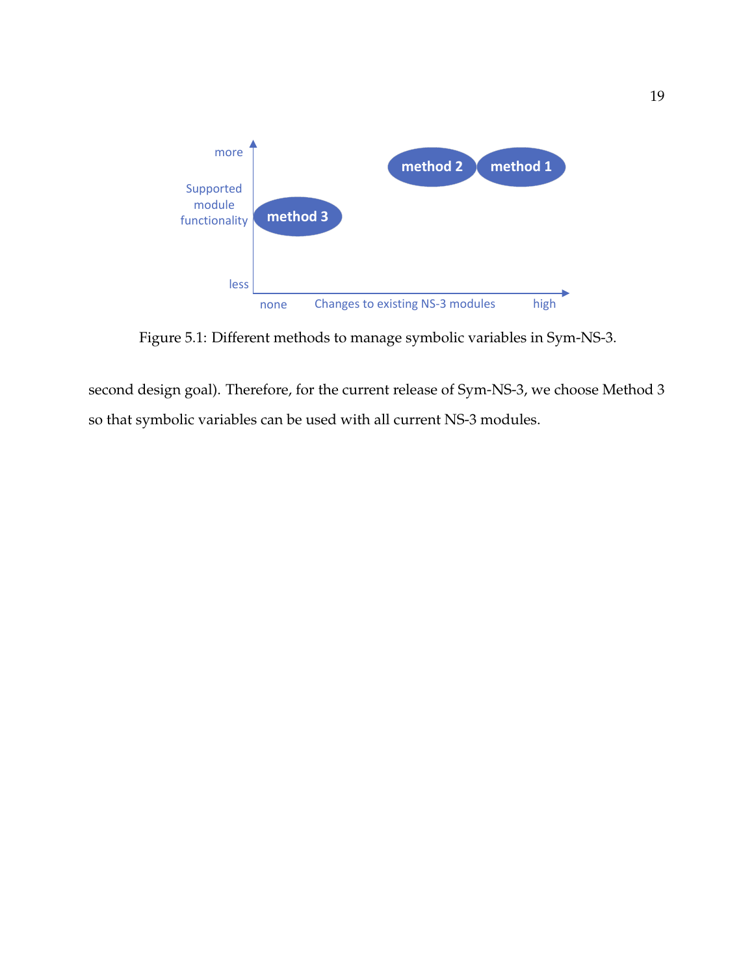

<span id="page-28-0"></span>Figure 5.1: Different methods to manage symbolic variables in Sym-NS-3.

second design goal). Therefore, for the current release of Sym-NS-3, we choose Method 3 so that symbolic variables can be used with all current NS-3 modules.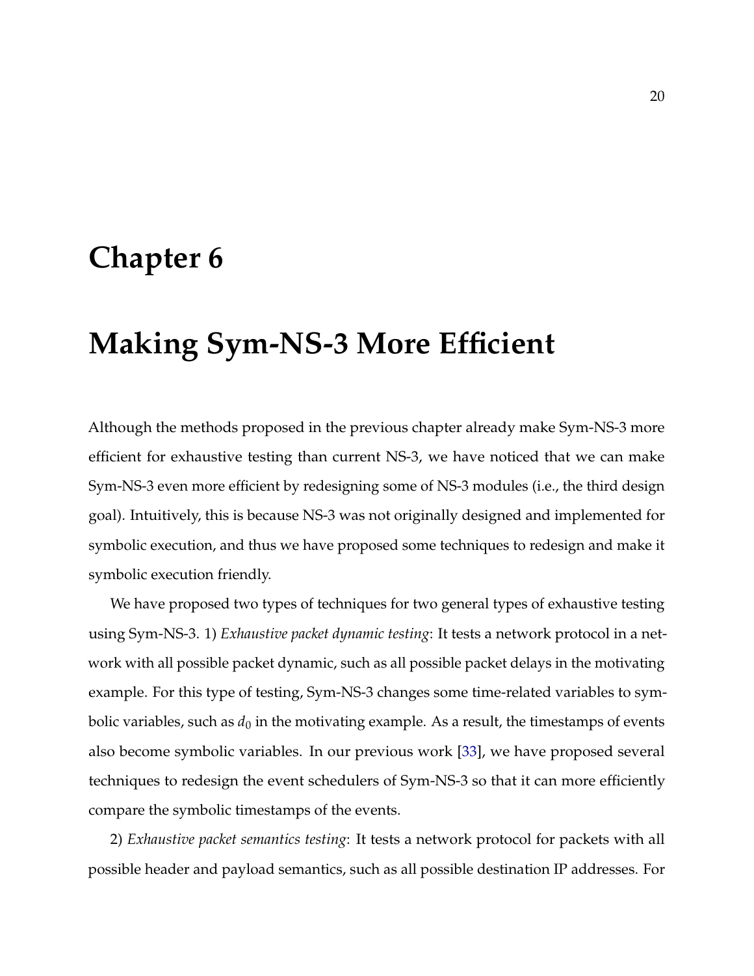# <span id="page-29-0"></span>**Chapter 6**

# **Making Sym-NS-3 More Efficient**

Although the methods proposed in the previous chapter already make Sym-NS-3 more efficient for exhaustive testing than current NS-3, we have noticed that we can make Sym-NS-3 even more efficient by redesigning some of NS-3 modules (i.e., the third design goal). Intuitively, this is because NS-3 was not originally designed and implemented for symbolic execution, and thus we have proposed some techniques to redesign and make it symbolic execution friendly.

We have proposed two types of techniques for two general types of exhaustive testing using Sym-NS-3. 1) *Exhaustive packet dynamic testing*: It tests a network protocol in a network with all possible packet dynamic, such as all possible packet delays in the motivating example. For this type of testing, Sym-NS-3 changes some time-related variables to symbolic variables, such as  $d_0$  in the motivating example. As a result, the timestamps of events also become symbolic variables. In our previous work [\[33\]](#page-53-0), we have proposed several techniques to redesign the event schedulers of Sym-NS-3 so that it can more efficiently compare the symbolic timestamps of the events.

2) *Exhaustive packet semantics testing*: It tests a network protocol for packets with all possible header and payload semantics, such as all possible destination IP addresses. For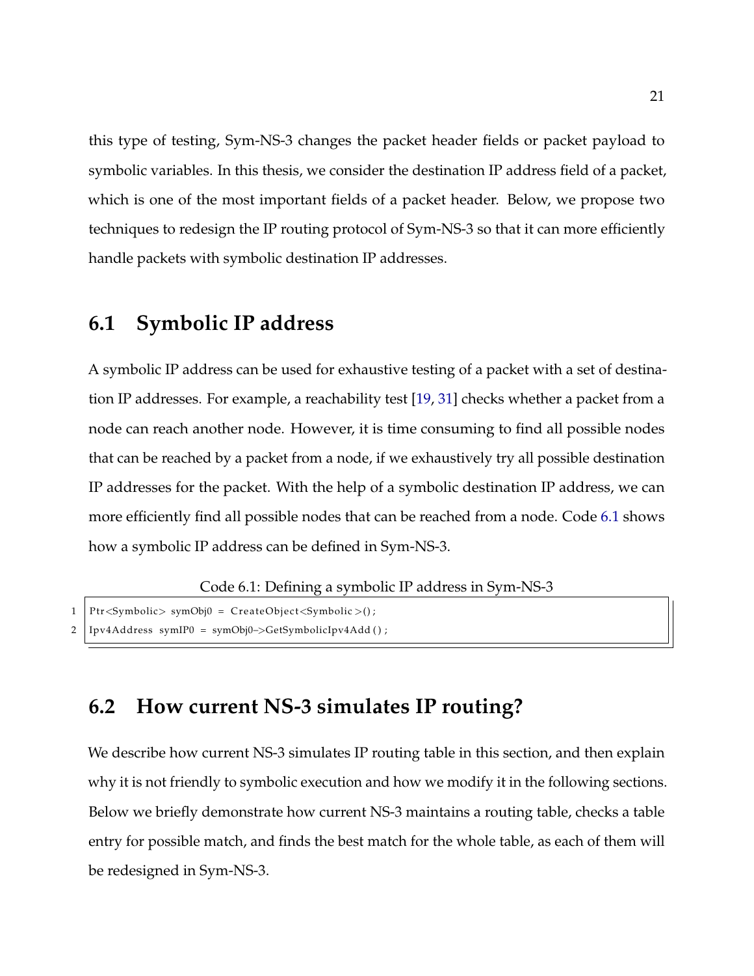this type of testing, Sym-NS-3 changes the packet header fields or packet payload to symbolic variables. In this thesis, we consider the destination IP address field of a packet, which is one of the most important fields of a packet header. Below, we propose two techniques to redesign the IP routing protocol of Sym-NS-3 so that it can more efficiently handle packets with symbolic destination IP addresses.

#### <span id="page-30-0"></span>**6.1 Symbolic IP address**

A symbolic IP address can be used for exhaustive testing of a packet with a set of destination IP addresses. For example, a reachability test [\[19,](#page-51-7) [31\]](#page-52-2) checks whether a packet from a node can reach another node. However, it is time consuming to find all possible nodes that can be reached by a packet from a node, if we exhaustively try all possible destination IP addresses for the packet. With the help of a symbolic destination IP address, we can more efficiently find all possible nodes that can be reached from a node. Code [6.1](#page-30-2) shows how a symbolic IP address can be defined in Sym-NS-3.

Code 6.1: Defining a symbolic IP address in Sym-NS-3

```
1 Ptr<Symbolic> symObj0 = CreateObject<Symbolic >() ;
```

```
2 Ipv4Address symIP0 = symObj0−>GetSymbolicIpv4Add ( ) ;
```
### <span id="page-30-1"></span>**6.2 How current NS-3 simulates IP routing?**

We describe how current NS-3 simulates IP routing table in this section, and then explain why it is not friendly to symbolic execution and how we modify it in the following sections. Below we briefly demonstrate how current NS-3 maintains a routing table, checks a table entry for possible match, and finds the best match for the whole table, as each of them will be redesigned in Sym-NS-3.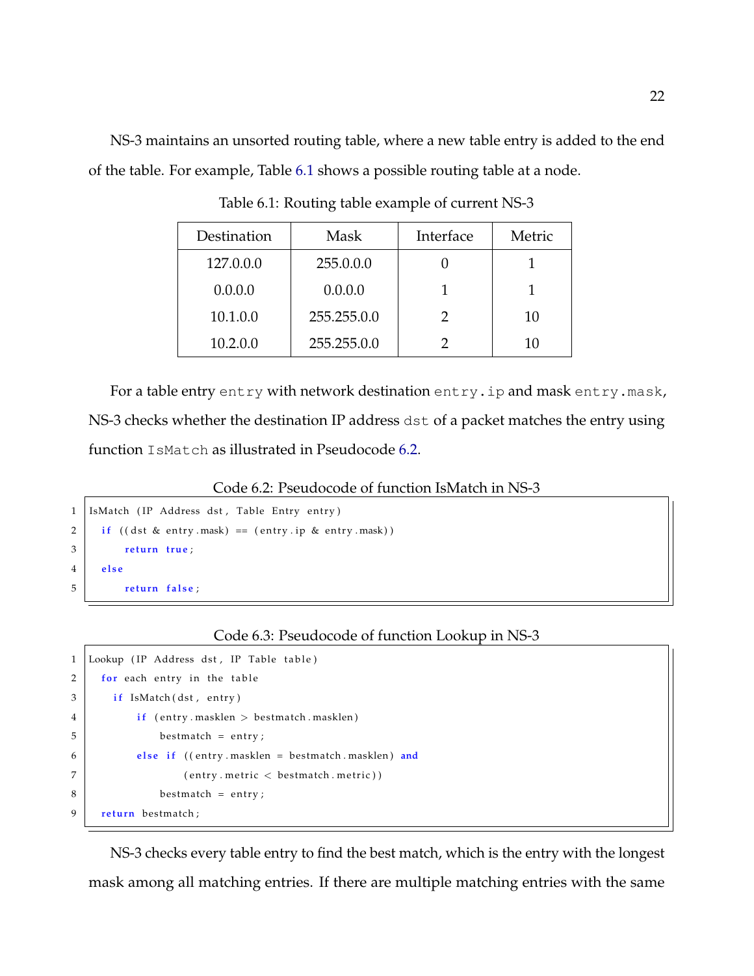NS-3 maintains an unsorted routing table, where a new table entry is added to the end of the table. For example, Table [6.1](#page-31-0) shows a possible routing table at a node.

| Destination | Mask        | Interface | Metric |
|-------------|-------------|-----------|--------|
| 127.0.0.0   | 255.0.0.0   |           |        |
| 0.0.0.0     | 0.0.0.0     |           |        |
| 10.1.0.0    | 255.255.0.0 |           | 10     |
| 10.2.0.0    | 255.255.0.0 |           | 10     |

<span id="page-31-0"></span>Table 6.1: Routing table example of current NS-3

For a table entry entry with network destination entry.ip and mask entry.mask, NS-3 checks whether the destination IP address dst of a packet matches the entry using function IsMatch as illustrated in Pseudocode [6.2.](#page-31-1)

Code 6.2: Pseudocode of function IsMatch in NS-3

```
1 | IsMatch (IP Address dst, Table Entry entry)
2 if ((\text{dst } \& \text{entry} \cdot \text{mask}) == (\text{entry} \cdot \text{ip } \& \text{entry} \cdot \text{mask}))3 return true ;
4 e ls e
5 return false;
```
#### Code 6.3: Pseudocode of function Lookup in NS-3

```
1 | Lookup ( IP Address dst, IP Table table)
2 for each entry in the table
3 if IsMatch(dst, entry)
4 if (entry masklen > bestmatch masklen)
5 bestmatch = entry;
6 else if ((entry masklen = bestmatch masklen) and
7 ( entry . metric < bestmatch . metric ) )
8 bestmatch = entry;
9 return bestmatch ;
```
NS-3 checks every table entry to find the best match, which is the entry with the longest mask among all matching entries. If there are multiple matching entries with the same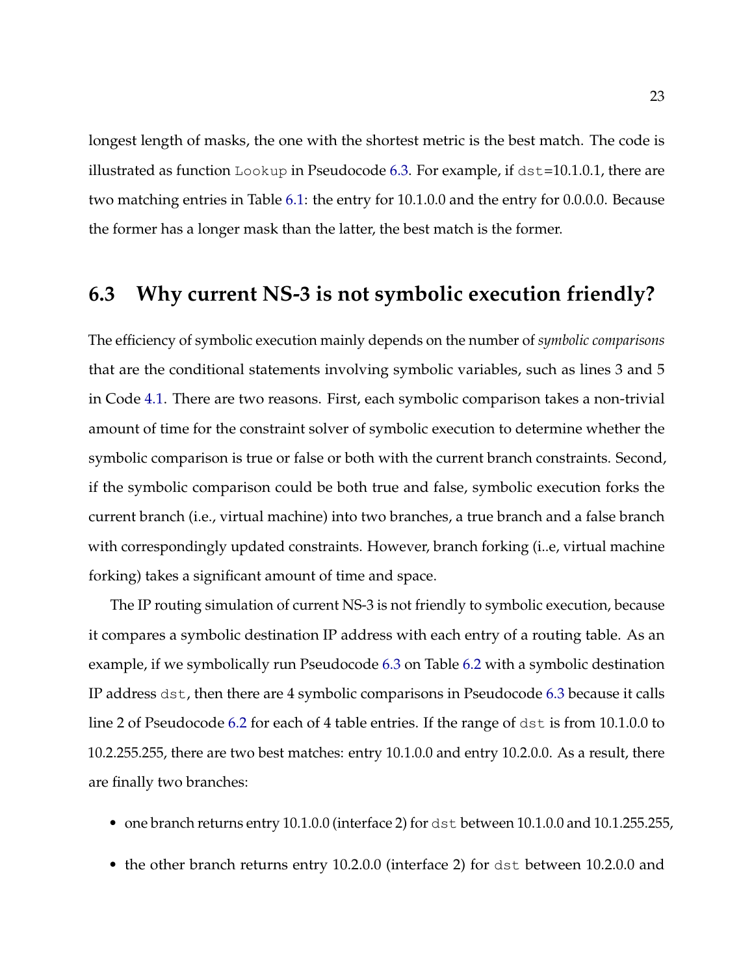longest length of masks, the one with the shortest metric is the best match. The code is illustrated as function  $L \circ \circ k$ up in Pseudocode [6.3.](#page-31-2) For example, if  $dst=10.1.0.1$ , there are two matching entries in Table [6.1:](#page-31-0) the entry for 10.1.0.0 and the entry for 0.0.0.0. Because the former has a longer mask than the latter, the best match is the former.

#### <span id="page-32-0"></span>**6.3 Why current NS-3 is not symbolic execution friendly?**

The efficiency of symbolic execution mainly depends on the number of *symbolic comparisons* that are the conditional statements involving symbolic variables, such as lines 3 and 5 in Code [4.1.](#page-20-1) There are two reasons. First, each symbolic comparison takes a non-trivial amount of time for the constraint solver of symbolic execution to determine whether the symbolic comparison is true or false or both with the current branch constraints. Second, if the symbolic comparison could be both true and false, symbolic execution forks the current branch (i.e., virtual machine) into two branches, a true branch and a false branch with correspondingly updated constraints. However, branch forking (i..e, virtual machine forking) takes a significant amount of time and space.

The IP routing simulation of current NS-3 is not friendly to symbolic execution, because it compares a symbolic destination IP address with each entry of a routing table. As an example, if we symbolically run Pseudocode [6.3](#page-31-2) on Table [6.2](#page-33-1) with a symbolic destination IP address dst, then there are 4 symbolic comparisons in Pseudocode [6.3](#page-31-2) because it calls line 2 of Pseudocode [6.2](#page-31-1) for each of 4 table entries. If the range of dst is from 10.1.0.0 to 10.2.255.255, there are two best matches: entry 10.1.0.0 and entry 10.2.0.0. As a result, there are finally two branches:

- one branch returns entry 10.1.0.0 (interface 2) for dst between 10.1.0.0 and 10.1.255.255,
- the other branch returns entry 10.2.0.0 (interface 2) for dst between 10.2.0.0 and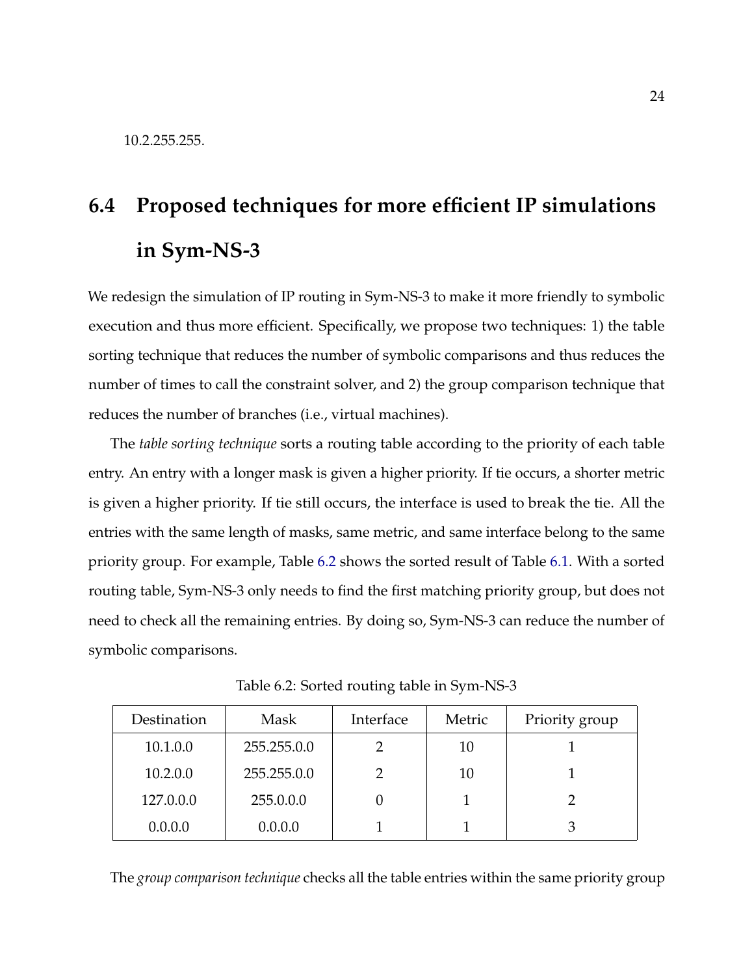# <span id="page-33-0"></span>**6.4 Proposed techniques for more efficient IP simulations in Sym-NS-3**

We redesign the simulation of IP routing in Sym-NS-3 to make it more friendly to symbolic execution and thus more efficient. Specifically, we propose two techniques: 1) the table sorting technique that reduces the number of symbolic comparisons and thus reduces the number of times to call the constraint solver, and 2) the group comparison technique that reduces the number of branches (i.e., virtual machines).

The *table sorting technique* sorts a routing table according to the priority of each table entry. An entry with a longer mask is given a higher priority. If tie occurs, a shorter metric is given a higher priority. If tie still occurs, the interface is used to break the tie. All the entries with the same length of masks, same metric, and same interface belong to the same priority group. For example, Table [6.2](#page-33-1) shows the sorted result of Table [6.1.](#page-31-0) With a sorted routing table, Sym-NS-3 only needs to find the first matching priority group, but does not need to check all the remaining entries. By doing so, Sym-NS-3 can reduce the number of symbolic comparisons.

| Destination | Mask        | Interface | Metric | Priority group |
|-------------|-------------|-----------|--------|----------------|
| 10.1.0.0    | 255.255.0.0 |           | 10     |                |
| 10.2.0.0    | 255.255.0.0 |           | 10     |                |
| 127.0.0.0   | 255.0.0.0   |           |        |                |
| 0.0.0.0     | 0.0.0.0     |           |        |                |

<span id="page-33-1"></span>Table 6.2: Sorted routing table in Sym-NS-3

The *group comparison technique* checks all the table entries within the same priority group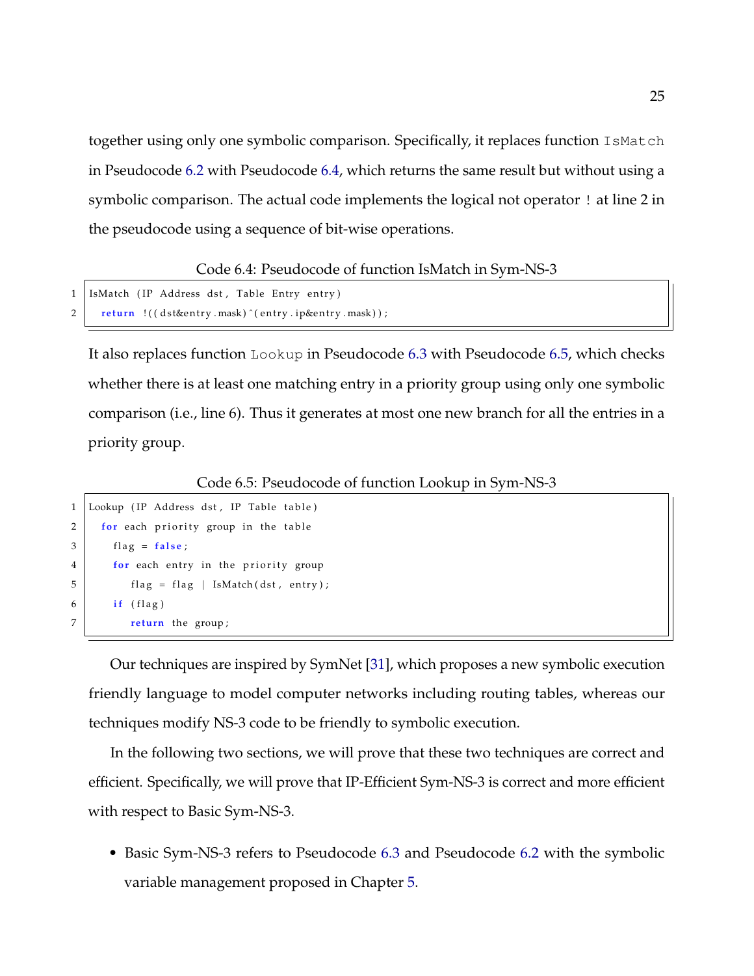together using only one symbolic comparison. Specifically, it replaces function IsMatch in Pseudocode [6.2](#page-31-1) with Pseudocode [6.4,](#page-34-0) which returns the same result but without using a symbolic comparison. The actual code implements the logical not operator ! at line 2 in the pseudocode using a sequence of bit-wise operations.

#### Code 6.4: Pseudocode of function IsMatch in Sym-NS-3

```
1 | IsMatch (IP Address dst, Table Entry entry)
2 return ! ( ( dst&entry . mask ) ^ ( entry . ip&entry . mask ) ) ;
```
It also replaces function Lookup in Pseudocode [6.3](#page-31-2) with Pseudocode [6.5,](#page-34-1) which checks whether there is at least one matching entry in a priority group using only one symbolic comparison (i.e., line 6). Thus it generates at most one new branch for all the entries in a priority group.

Code 6.5: Pseudocode of function Lookup in Sym-NS-3

```
1 Lookup (IP Address dst, IP Table table)
2 for each priority group in the table
3 | flag = false;
4 for each entry in the priority group
5 flag = flag | IsMatch(dst, entry);
6 if (flag)
7 return the group;
```
Our techniques are inspired by SymNet [\[31\]](#page-52-2), which proposes a new symbolic execution friendly language to model computer networks including routing tables, whereas our techniques modify NS-3 code to be friendly to symbolic execution.

In the following two sections, we will prove that these two techniques are correct and efficient. Specifically, we will prove that IP-Efficient Sym-NS-3 is correct and more efficient with respect to Basic Sym-NS-3.

• Basic Sym-NS-3 refers to Pseudocode [6.3](#page-31-2) and Pseudocode [6.2](#page-31-1) with the symbolic variable management proposed in Chapter [5.](#page-22-0)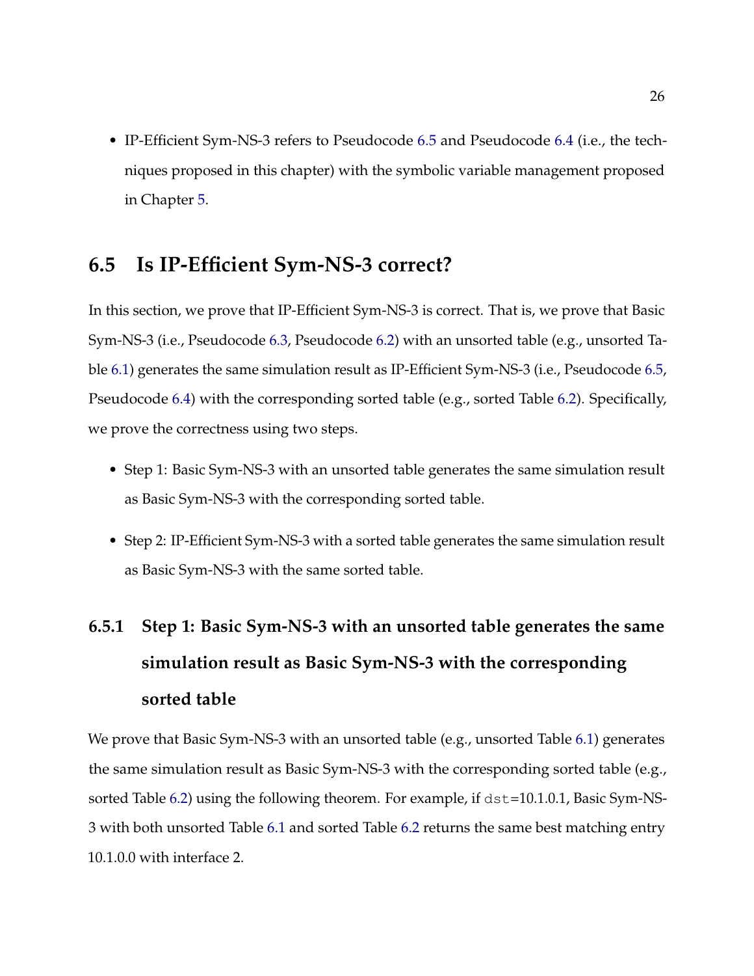• IP-Efficient Sym-NS-3 refers to Pseudocode [6.5](#page-34-1) and Pseudocode [6.4](#page-34-0) (i.e., the techniques proposed in this chapter) with the symbolic variable management proposed in Chapter [5.](#page-22-0)

#### <span id="page-35-0"></span>**6.5 Is IP-Efficient Sym-NS-3 correct?**

In this section, we prove that IP-Efficient Sym-NS-3 is correct. That is, we prove that Basic Sym-NS-3 (i.e., Pseudocode [6.3,](#page-31-2) Pseudocode [6.2\)](#page-31-1) with an unsorted table (e.g., unsorted Table [6.1\)](#page-31-0) generates the same simulation result as IP-Efficient Sym-NS-3 (i.e., Pseudocode [6.5,](#page-34-1) Pseudocode [6.4\)](#page-34-0) with the corresponding sorted table (e.g., sorted Table [6.2\)](#page-33-1). Specifically, we prove the correctness using two steps.

- Step 1: Basic Sym-NS-3 with an unsorted table generates the same simulation result as Basic Sym-NS-3 with the corresponding sorted table.
- Step 2: IP-Efficient Sym-NS-3 with a sorted table generates the same simulation result as Basic Sym-NS-3 with the same sorted table.

## <span id="page-35-1"></span>**6.5.1 Step 1: Basic Sym-NS-3 with an unsorted table generates the same simulation result as Basic Sym-NS-3 with the corresponding sorted table**

We prove that Basic Sym-NS-3 with an unsorted table (e.g., unsorted Table [6.1\)](#page-31-0) generates the same simulation result as Basic Sym-NS-3 with the corresponding sorted table (e.g., sorted Table [6.2\)](#page-33-1) using the following theorem. For example, if dst=10.1.0.1, Basic Sym-NS-3 with both unsorted Table [6.1](#page-31-0) and sorted Table [6.2](#page-33-1) returns the same best matching entry 10.1.0.0 with interface 2.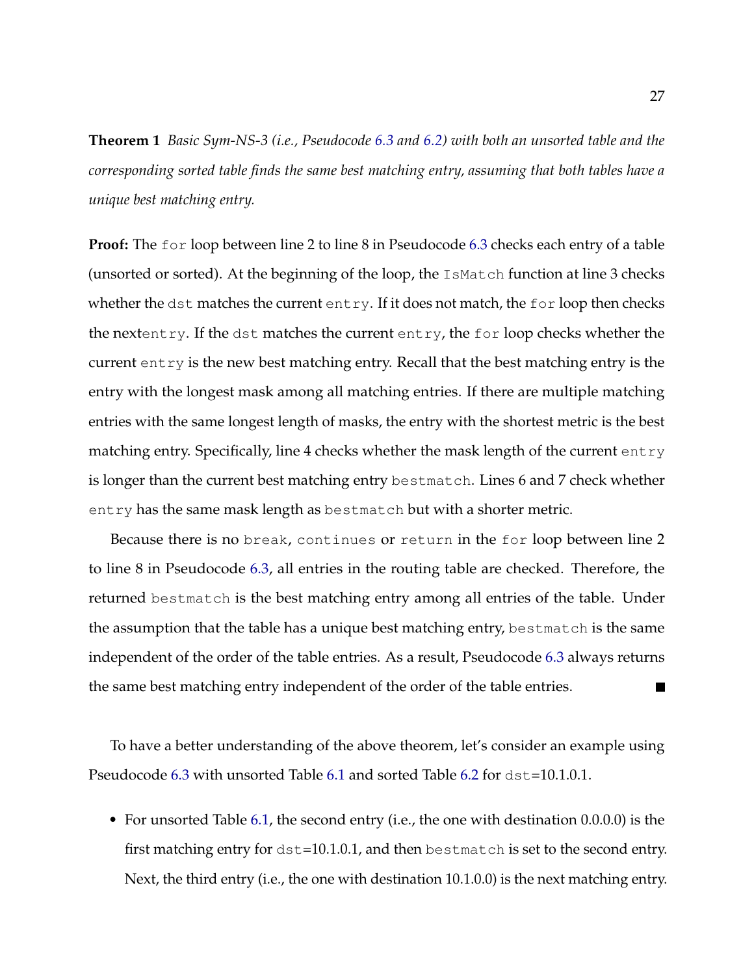**Theorem 1** *Basic Sym-NS-3 (i.e., Pseudocode [6.3](#page-31-0) and [6.2\)](#page-31-1) with both an unsorted table and the corresponding sorted table finds the same best matching entry, assuming that both tables have a unique best matching entry.*

**Proof:** The for loop between line 2 to line 8 in Pseudocode [6.3](#page-31-0) checks each entry of a table (unsorted or sorted). At the beginning of the loop, the IsMatch function at line 3 checks whether the dst matches the current entry. If it does not match, the for loop then checks the nextentry. If the dst matches the current entry, the for loop checks whether the current entry is the new best matching entry. Recall that the best matching entry is the entry with the longest mask among all matching entries. If there are multiple matching entries with the same longest length of masks, the entry with the shortest metric is the best matching entry. Specifically, line 4 checks whether the mask length of the current entry is longer than the current best matching entry bestmatch. Lines 6 and 7 check whether entry has the same mask length as bestmatch but with a shorter metric.

Because there is no break, continues or return in the for loop between line 2 to line 8 in Pseudocode [6.3,](#page-31-0) all entries in the routing table are checked. Therefore, the returned bestmatch is the best matching entry among all entries of the table. Under the assumption that the table has a unique best matching entry, bestmatch is the same independent of the order of the table entries. As a result, Pseudocode [6.3](#page-31-0) always returns the same best matching entry independent of the order of the table entries.  $\blacksquare$ 

To have a better understanding of the above theorem, let's consider an example using Pseudocode [6.3](#page-31-0) with unsorted Table [6.1](#page-31-2) and sorted Table [6.2](#page-33-0) for dst=10.1.0.1.

• For unsorted Table [6.1,](#page-31-2) the second entry (i.e., the one with destination 0.0.0.0) is the first matching entry for dst=10.1.0.1, and then bestmatch is set to the second entry. Next, the third entry (i.e., the one with destination 10.1.0.0) is the next matching entry.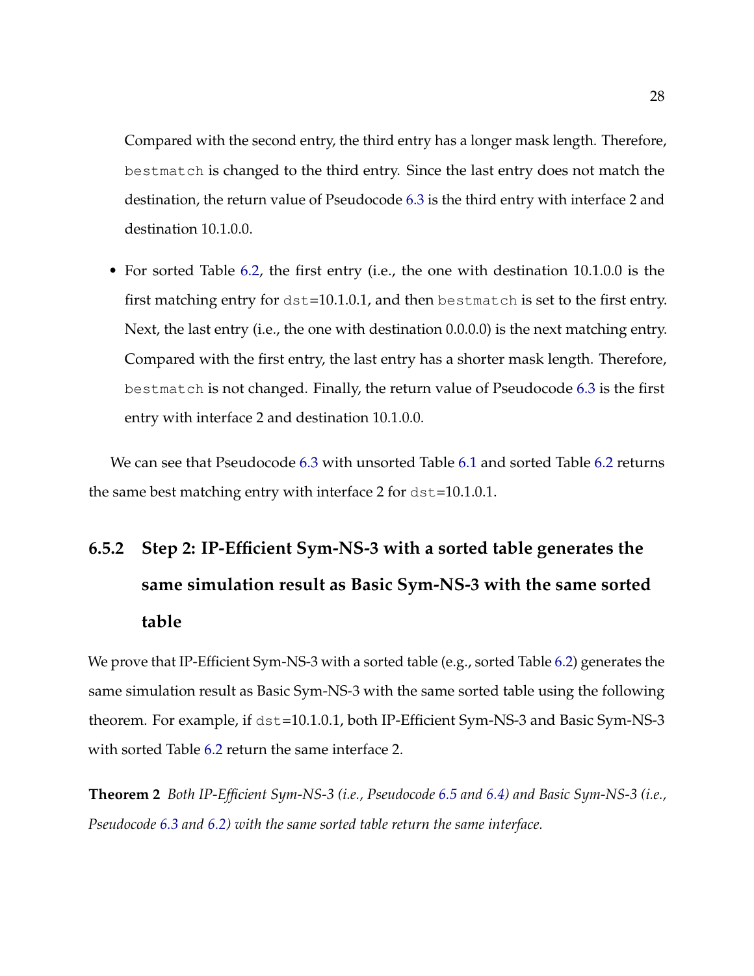Compared with the second entry, the third entry has a longer mask length. Therefore, bestmatch is changed to the third entry. Since the last entry does not match the destination, the return value of Pseudocode [6.3](#page-31-0) is the third entry with interface 2 and destination 10.1.0.0.

• For sorted Table [6.2,](#page-33-0) the first entry (i.e., the one with destination 10.1.0.0 is the first matching entry for dst=10.1.0.1, and then bestmatch is set to the first entry. Next, the last entry (i.e., the one with destination 0.0.0.0) is the next matching entry. Compared with the first entry, the last entry has a shorter mask length. Therefore, bestmatch is not changed. Finally, the return value of Pseudocode [6.3](#page-31-0) is the first entry with interface 2 and destination 10.1.0.0.

We can see that Pseudocode [6.3](#page-31-0) with unsorted Table [6.1](#page-31-2) and sorted Table [6.2](#page-33-0) returns the same best matching entry with interface 2 for dst=10.1.0.1.

## **6.5.2 Step 2: IP-Efficient Sym-NS-3 with a sorted table generates the same simulation result as Basic Sym-NS-3 with the same sorted table**

We prove that IP-Efficient Sym-NS-3 with a sorted table (e.g., sorted Table [6.2\)](#page-33-0) generates the same simulation result as Basic Sym-NS-3 with the same sorted table using the following theorem. For example, if dst=10.1.0.1, both IP-Efficient Sym-NS-3 and Basic Sym-NS-3 with sorted Table [6.2](#page-33-0) return the same interface 2.

**Theorem 2** *Both IP-Efficient Sym-NS-3 (i.e., Pseudocode [6.5](#page-34-0) and [6.4\)](#page-34-1) and Basic Sym-NS-3 (i.e., Pseudocode [6.3](#page-31-0) and [6.2\)](#page-31-1) with the same sorted table return the same interface.*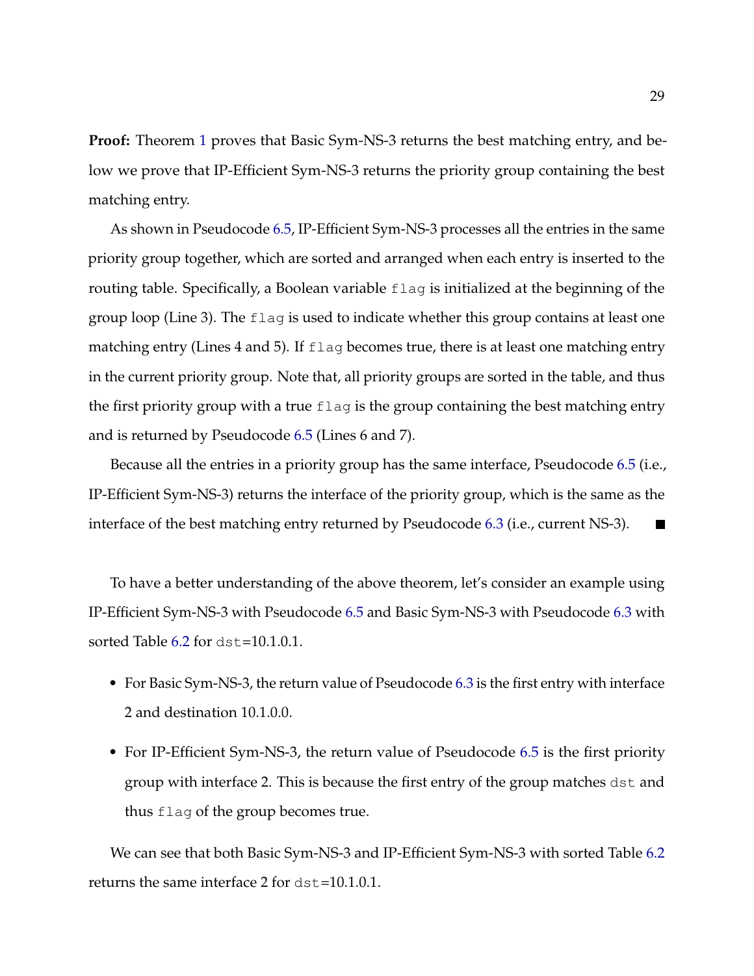**Proof:** Theorem [1](#page-35-0) proves that Basic Sym-NS-3 returns the best matching entry, and below we prove that IP-Efficient Sym-NS-3 returns the priority group containing the best matching entry.

As shown in Pseudocode [6.5,](#page-34-0) IP-Efficient Sym-NS-3 processes all the entries in the same priority group together, which are sorted and arranged when each entry is inserted to the routing table. Specifically, a Boolean variable  $f$ lag is initialized at the beginning of the group loop (Line 3). The flag is used to indicate whether this group contains at least one matching entry (Lines 4 and 5). If flag becomes true, there is at least one matching entry in the current priority group. Note that, all priority groups are sorted in the table, and thus the first priority group with a true flag is the group containing the best matching entry and is returned by Pseudocode [6.5](#page-34-0) (Lines 6 and 7).

Because all the entries in a priority group has the same interface, Pseudocode [6.5](#page-34-0) (i.e., IP-Efficient Sym-NS-3) returns the interface of the priority group, which is the same as the interface of the best matching entry returned by Pseudocode [6.3](#page-31-0) (i.e., current NS-3).  $\blacksquare$ 

To have a better understanding of the above theorem, let's consider an example using IP-Efficient Sym-NS-3 with Pseudocode [6.5](#page-34-0) and Basic Sym-NS-3 with Pseudocode [6.3](#page-31-0) with sorted Table [6.2](#page-33-0) for dst=10.1.0.1.

- For Basic Sym-NS-3, the return value of Pseudocode [6.3](#page-31-0) is the first entry with interface 2 and destination 10.1.0.0.
- For IP-Efficient Sym-NS-3, the return value of Pseudocode [6.5](#page-34-0) is the first priority group with interface 2. This is because the first entry of the group matches dst and thus flag of the group becomes true.

We can see that both Basic Sym-NS-3 and IP-Efficient Sym-NS-3 with sorted Table [6.2](#page-33-0) returns the same interface 2 for dst=10.1.0.1.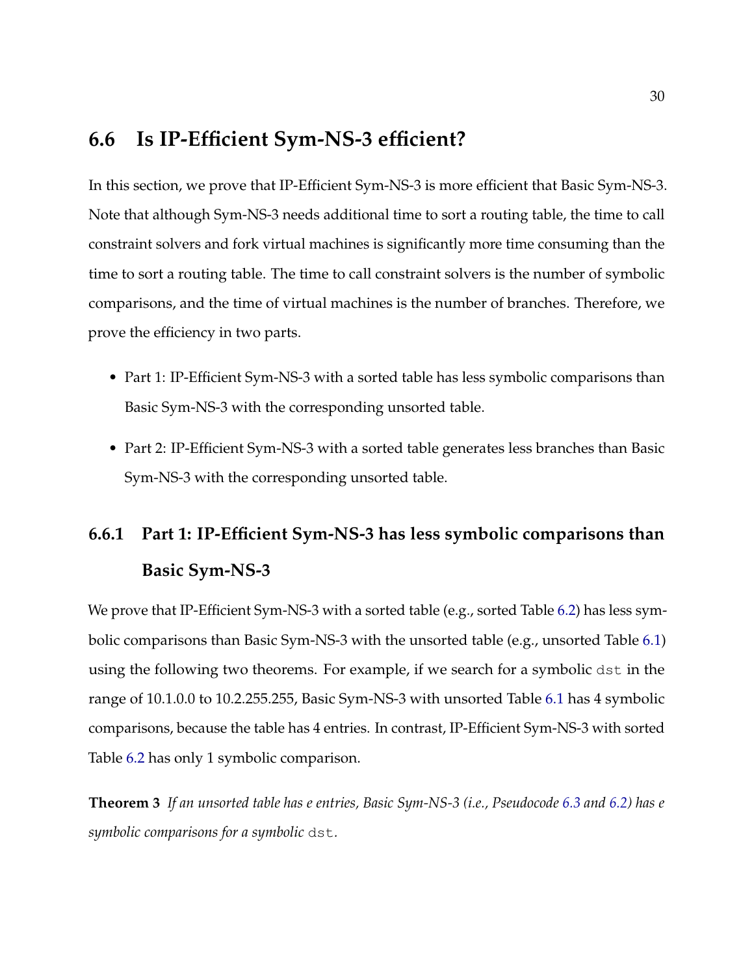#### **6.6 Is IP-Efficient Sym-NS-3 efficient?**

In this section, we prove that IP-Efficient Sym-NS-3 is more efficient that Basic Sym-NS-3. Note that although Sym-NS-3 needs additional time to sort a routing table, the time to call constraint solvers and fork virtual machines is significantly more time consuming than the time to sort a routing table. The time to call constraint solvers is the number of symbolic comparisons, and the time of virtual machines is the number of branches. Therefore, we prove the efficiency in two parts.

- Part 1: IP-Efficient Sym-NS-3 with a sorted table has less symbolic comparisons than Basic Sym-NS-3 with the corresponding unsorted table.
- Part 2: IP-Efficient Sym-NS-3 with a sorted table generates less branches than Basic Sym-NS-3 with the corresponding unsorted table.

### **6.6.1 Part 1: IP-Efficient Sym-NS-3 has less symbolic comparisons than Basic Sym-NS-3**

We prove that IP-Efficient Sym-NS-3 with a sorted table (e.g., sorted Table [6.2\)](#page-33-0) has less symbolic comparisons than Basic Sym-NS-3 with the unsorted table (e.g., unsorted Table [6.1\)](#page-31-2) using the following two theorems. For example, if we search for a symbolic dst in the range of 10.1.0.0 to 10.2.255.255, Basic Sym-NS-3 with unsorted Table [6.1](#page-31-2) has 4 symbolic comparisons, because the table has 4 entries. In contrast, IP-Efficient Sym-NS-3 with sorted Table [6.2](#page-33-0) has only 1 symbolic comparison.

**Theorem 3** *If an unsorted table has e entries, Basic Sym-NS-3 (i.e., Pseudocode [6.3](#page-31-0) and [6.2\)](#page-31-1) has e symbolic comparisons for a symbolic* dst*.*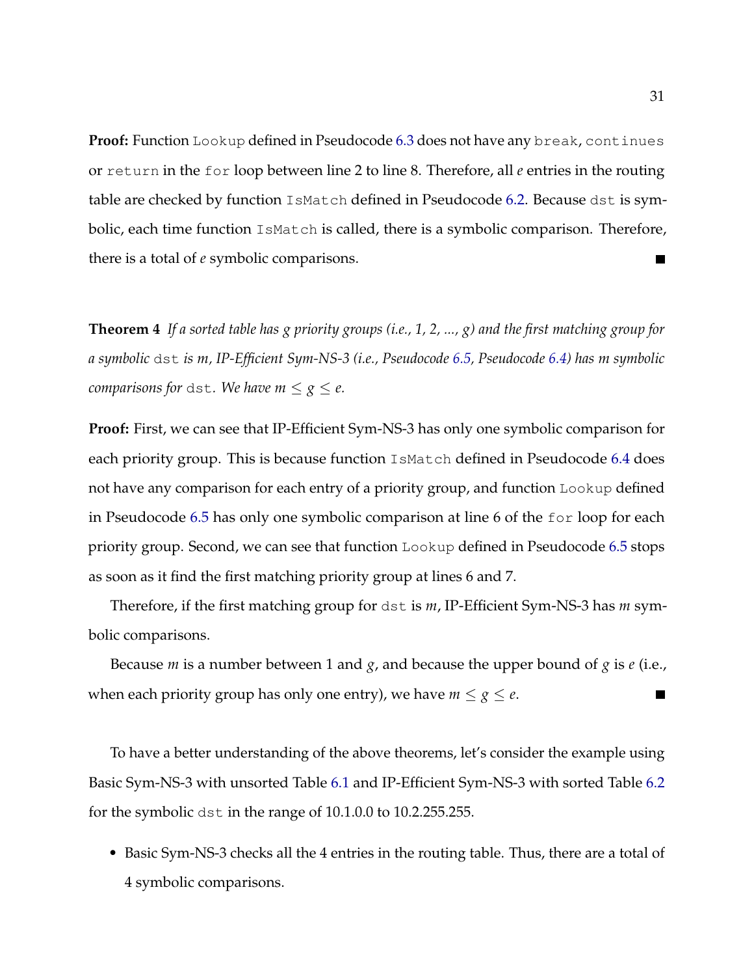**Proof:** Function Lookup defined in Pseudocode [6.3](#page-31-0) does not have any break, continues or return in the for loop between line 2 to line 8. Therefore, all *e* entries in the routing table are checked by function IsMatch defined in Pseudocode [6.2.](#page-31-1) Because dst is symbolic, each time function IsMatch is called, there is a symbolic comparison. Therefore, there is a total of *e* symbolic comparisons.  $\blacksquare$ 

**Theorem 4** *If a sorted table has g priority groups (i.e., 1, 2, ..., g) and the first matching group for a symbolic* dst *is m, IP-Efficient Sym-NS-3 (i.e., Pseudocode [6.5,](#page-34-0) Pseudocode [6.4\)](#page-34-1) has m symbolic comparisons for* dst. We have  $m \leq g \leq e$ .

**Proof:** First, we can see that IP-Efficient Sym-NS-3 has only one symbolic comparison for each priority group. This is because function IsMatch defined in Pseudocode [6.4](#page-34-1) does not have any comparison for each entry of a priority group, and function Lookup defined in Pseudocode [6.5](#page-34-0) has only one symbolic comparison at line 6 of the for loop for each priority group. Second, we can see that function Lookup defined in Pseudocode [6.5](#page-34-0) stops as soon as it find the first matching priority group at lines 6 and 7.

Therefore, if the first matching group for dst is *m*, IP-Efficient Sym-NS-3 has *m* symbolic comparisons.

Because *m* is a number between 1 and *g*, and because the upper bound of *g* is *e* (i.e., when each priority group has only one entry), we have  $m \leq g \leq e$ . ш

To have a better understanding of the above theorems, let's consider the example using Basic Sym-NS-3 with unsorted Table [6.1](#page-31-2) and IP-Efficient Sym-NS-3 with sorted Table [6.2](#page-33-0) for the symbolic dst in the range of 10.1.0.0 to 10.2.255.255.

• Basic Sym-NS-3 checks all the 4 entries in the routing table. Thus, there are a total of 4 symbolic comparisons.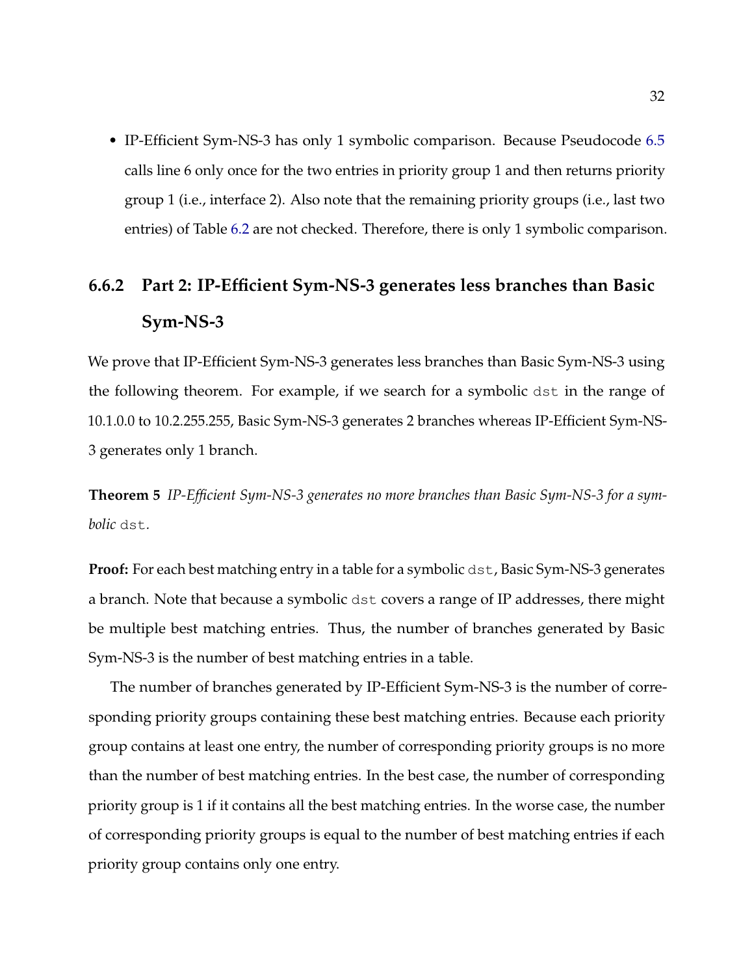• IP-Efficient Sym-NS-3 has only 1 symbolic comparison. Because Pseudocode [6.5](#page-34-0) calls line 6 only once for the two entries in priority group 1 and then returns priority group 1 (i.e., interface 2). Also note that the remaining priority groups (i.e., last two entries) of Table [6.2](#page-33-0) are not checked. Therefore, there is only 1 symbolic comparison.

### **6.6.2 Part 2: IP-Efficient Sym-NS-3 generates less branches than Basic Sym-NS-3**

We prove that IP-Efficient Sym-NS-3 generates less branches than Basic Sym-NS-3 using the following theorem. For example, if we search for a symbolic dst in the range of 10.1.0.0 to 10.2.255.255, Basic Sym-NS-3 generates 2 branches whereas IP-Efficient Sym-NS-3 generates only 1 branch.

**Theorem 5** *IP-Efficient Sym-NS-3 generates no more branches than Basic Sym-NS-3 for a symbolic* dst*.*

**Proof:** For each best matching entry in a table for a symbolic dst, Basic Sym-NS-3 generates a branch. Note that because a symbolic dst covers a range of IP addresses, there might be multiple best matching entries. Thus, the number of branches generated by Basic Sym-NS-3 is the number of best matching entries in a table.

The number of branches generated by IP-Efficient Sym-NS-3 is the number of corresponding priority groups containing these best matching entries. Because each priority group contains at least one entry, the number of corresponding priority groups is no more than the number of best matching entries. In the best case, the number of corresponding priority group is 1 if it contains all the best matching entries. In the worse case, the number of corresponding priority groups is equal to the number of best matching entries if each priority group contains only one entry.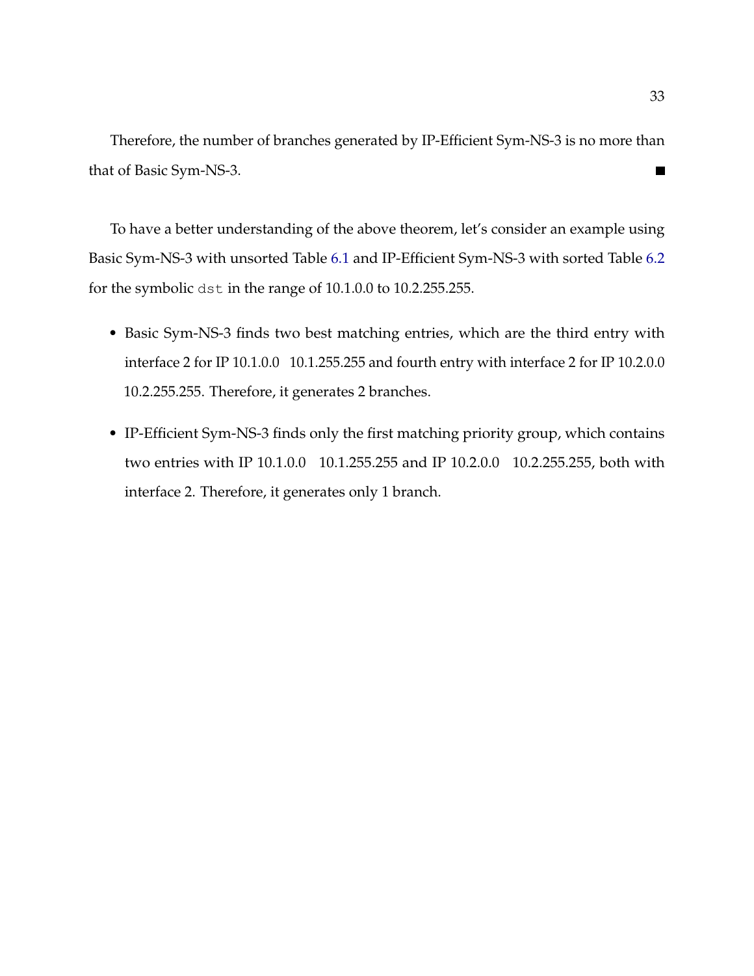Therefore, the number of branches generated by IP-Efficient Sym-NS-3 is no more than that of Basic Sym-NS-3.  $\blacksquare$ 

To have a better understanding of the above theorem, let's consider an example using Basic Sym-NS-3 with unsorted Table [6.1](#page-31-2) and IP-Efficient Sym-NS-3 with sorted Table [6.2](#page-33-0) for the symbolic dst in the range of 10.1.0.0 to 10.2.255.255.

- Basic Sym-NS-3 finds two best matching entries, which are the third entry with interface 2 for IP 10.1.0.0 10.1.255.255 and fourth entry with interface 2 for IP 10.2.0.0 10.2.255.255. Therefore, it generates 2 branches.
- IP-Efficient Sym-NS-3 finds only the first matching priority group, which contains two entries with IP 10.1.0.0 10.1.255.255 and IP 10.2.0.0 10.2.255.255, both with interface 2. Therefore, it generates only 1 branch.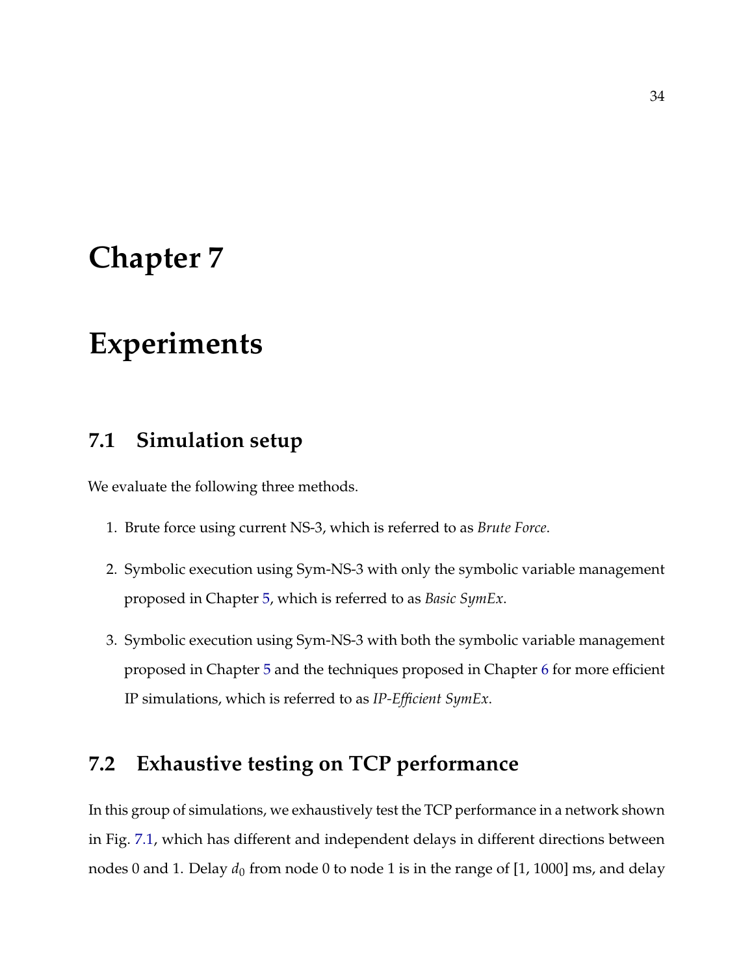## **Chapter 7**

## **Experiments**

#### **7.1 Simulation setup**

We evaluate the following three methods.

- 1. Brute force using current NS-3, which is referred to as *Brute Force*.
- 2. Symbolic execution using Sym-NS-3 with only the symbolic variable management proposed in Chapter [5,](#page-22-0) which is referred to as *Basic SymEx*.
- 3. Symbolic execution using Sym-NS-3 with both the symbolic variable management proposed in Chapter [5](#page-22-0) and the techniques proposed in Chapter [6](#page-29-0) for more efficient IP simulations, which is referred to as *IP-Efficient SymEx*.

#### **7.2 Exhaustive testing on TCP performance**

In this group of simulations, we exhaustively test the TCP performance in a network shown in Fig. [7.1,](#page-44-0) which has different and independent delays in different directions between nodes 0 and 1. Delay  $d_0$  from node 0 to node 1 is in the range of [1, 1000] ms, and delay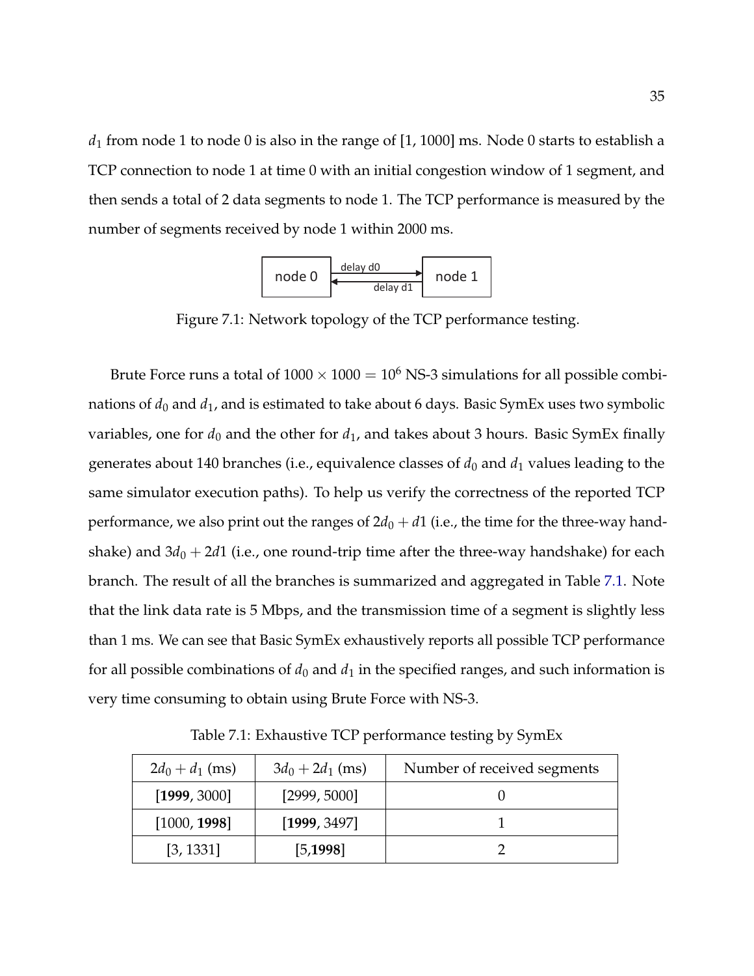*d*<sup>1</sup> from node 1 to node 0 is also in the range of [1, 1000] ms. Node 0 starts to establish a TCP connection to node 1 at time 0 with an initial congestion window of 1 segment, and then sends a total of 2 data segments to node 1. The TCP performance is measured by the number of segments received by node 1 within 2000 ms.

<span id="page-44-0"></span>

Figure 7.1: Network topology of the TCP performance testing.

Brute Force runs a total of  $1000 \times 1000 = 10^6$  NS-3 simulations for all possible combinations of  $d_0$  and  $d_1$ , and is estimated to take about 6 days. Basic SymEx uses two symbolic variables, one for  $d_0$  and the other for  $d_1$ , and takes about 3 hours. Basic SymEx finally generates about 140 branches (i.e., equivalence classes of  $d_0$  and  $d_1$  values leading to the same simulator execution paths). To help us verify the correctness of the reported TCP performance, we also print out the ranges of  $2d_0 + d_1$  (i.e., the time for the three-way handshake) and  $3d_0 + 2d_1$  (i.e., one round-trip time after the three-way handshake) for each branch. The result of all the branches is summarized and aggregated in Table [7.1.](#page-44-1) Note that the link data rate is 5 Mbps, and the transmission time of a segment is slightly less than 1 ms. We can see that Basic SymEx exhaustively reports all possible TCP performance for all possible combinations of  $d_0$  and  $d_1$  in the specified ranges, and such information is very time consuming to obtain using Brute Force with NS-3.

| $2d_0 + d_1$ (ms) | $3d_0 + 2d_1$ (ms) | Number of received segments |
|-------------------|--------------------|-----------------------------|
| [1999, 3000]      | [2999, 5000]       |                             |
| [1000, 1998]      | [1999, 3497]       |                             |
| [3, 1331]         | [5, 1998]          |                             |

<span id="page-44-1"></span>Table 7.1: Exhaustive TCP performance testing by SymEx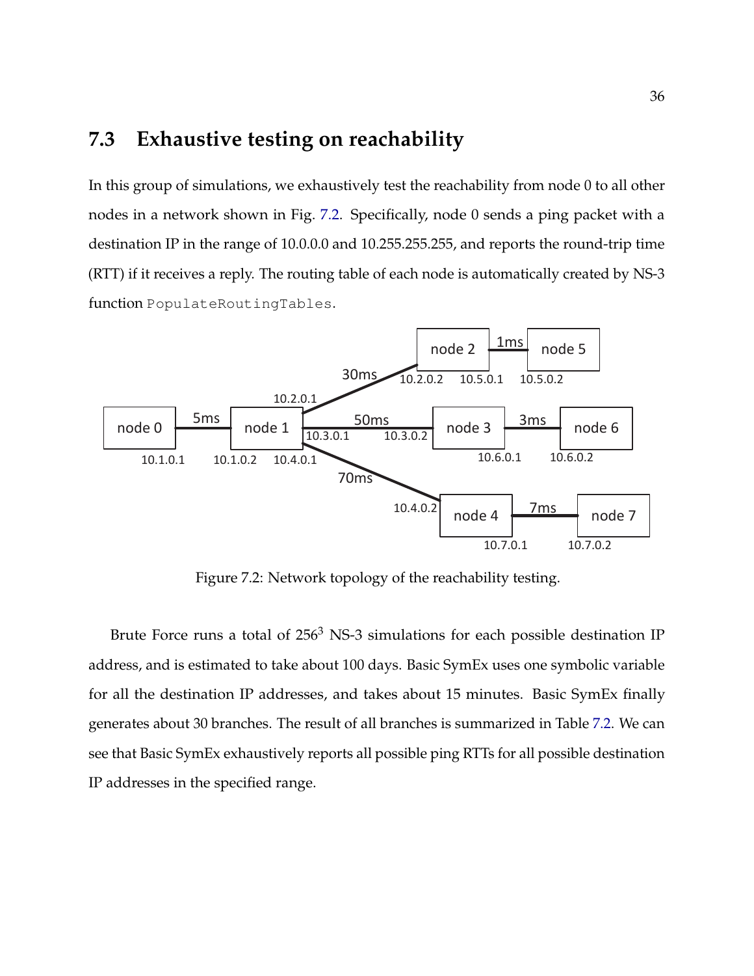#### **7.3 Exhaustive testing on reachability**

In this group of simulations, we exhaustively test the reachability from node 0 to all other nodes in a network shown in Fig. [7.2.](#page-45-0) Specifically, node 0 sends a ping packet with a destination IP in the range of 10.0.0.0 and 10.255.255.255, and reports the round-trip time (RTT) if it receives a reply. The routing table of each node is automatically created by NS-3 function PopulateRoutingTables.



<span id="page-45-0"></span>Figure 7.2: Network topology of the reachability testing.

Brute Force runs a total of  $256<sup>3</sup>$  NS-3 simulations for each possible destination IP address, and is estimated to take about 100 days. Basic SymEx uses one symbolic variable for all the destination IP addresses, and takes about 15 minutes. Basic SymEx finally generates about 30 branches. The result of all branches is summarized in Table [7.2.](#page-46-0) We can see that Basic SymEx exhaustively reports all possible ping RTTs for all possible destination IP addresses in the specified range.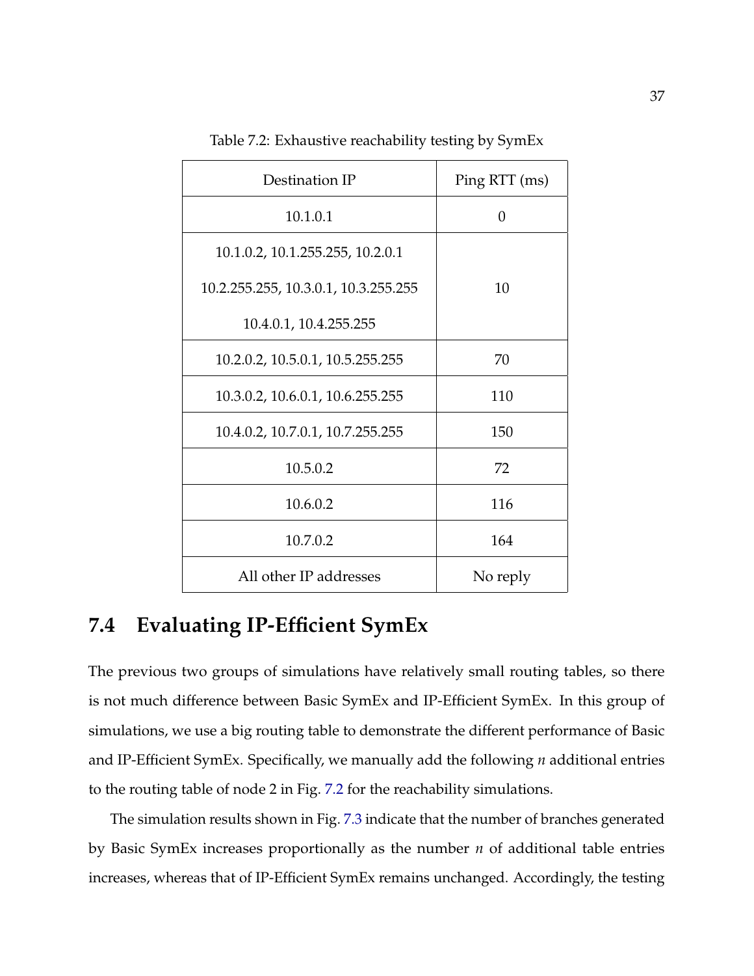| Destination IP                       | Ping RTT (ms) |
|--------------------------------------|---------------|
| 10.1.0.1                             | 0             |
| 10.1.0.2, 10.1.255.255, 10.2.0.1     |               |
| 10.2.255.255, 10.3.0.1, 10.3.255.255 | 10            |
| 10.4.0.1, 10.4.255.255               |               |
| 10.2.0.2, 10.5.0.1, 10.5.255.255     | 70            |
| 10.3.0.2, 10.6.0.1, 10.6.255.255     | 110           |
| 10.4.0.2, 10.7.0.1, 10.7.255.255     | 150           |
| 10.5.0.2                             | 72            |
| 10.6.0.2                             | 116           |
| 10.7.0.2                             | 164           |
| All other IP addresses               | No reply      |

<span id="page-46-0"></span>Table 7.2: Exhaustive reachability testing by SymEx

#### **7.4 Evaluating IP-Efficient SymEx**

The previous two groups of simulations have relatively small routing tables, so there is not much difference between Basic SymEx and IP-Efficient SymEx. In this group of simulations, we use a big routing table to demonstrate the different performance of Basic and IP-Efficient SymEx. Specifically, we manually add the following *n* additional entries to the routing table of node 2 in Fig. [7.2](#page-45-0) for the reachability simulations.

The simulation results shown in Fig. [7.3](#page-47-0) indicate that the number of branches generated by Basic SymEx increases proportionally as the number *n* of additional table entries increases, whereas that of IP-Efficient SymEx remains unchanged. Accordingly, the testing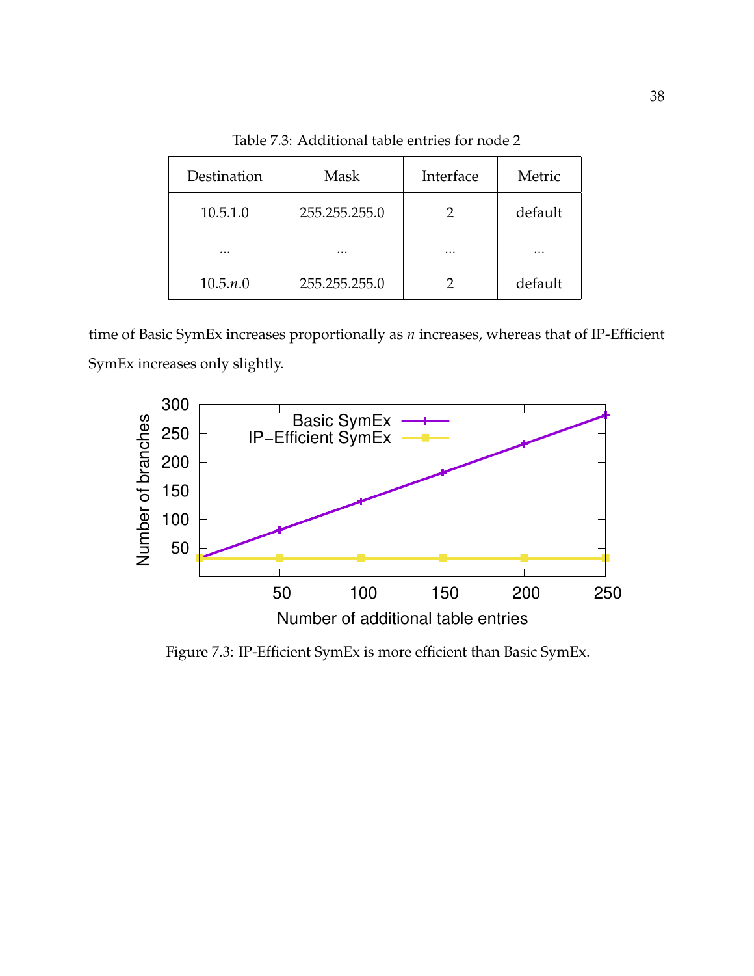| Destination | Mask          | Interface | Metric  |
|-------------|---------------|-----------|---------|
| 10.5.1.0    | 255.255.255.0 |           | default |
| $\cdots$    | $\cdots$      | $\cdots$  |         |
| 10.5.n.0    | 255.255.255.0 |           | default |

Table 7.3: Additional table entries for node 2

time of Basic SymEx increases proportionally as *n* increases, whereas that of IP-Efficient SymEx increases only slightly.



<span id="page-47-0"></span>Figure 7.3: IP-Efficient SymEx is more efficient than Basic SymEx.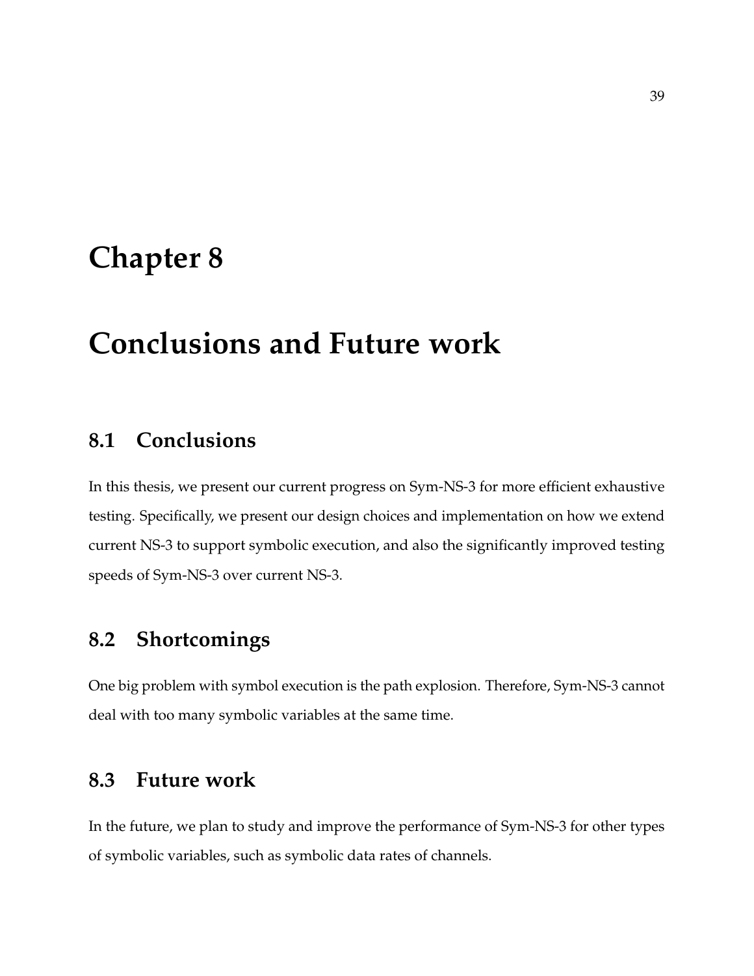## **Chapter 8**

# **Conclusions and Future work**

#### **8.1 Conclusions**

In this thesis, we present our current progress on Sym-NS-3 for more efficient exhaustive testing. Specifically, we present our design choices and implementation on how we extend current NS-3 to support symbolic execution, and also the significantly improved testing speeds of Sym-NS-3 over current NS-3.

#### **8.2 Shortcomings**

One big problem with symbol execution is the path explosion. Therefore, Sym-NS-3 cannot deal with too many symbolic variables at the same time.

#### **8.3 Future work**

In the future, we plan to study and improve the performance of Sym-NS-3 for other types of symbolic variables, such as symbolic data rates of channels.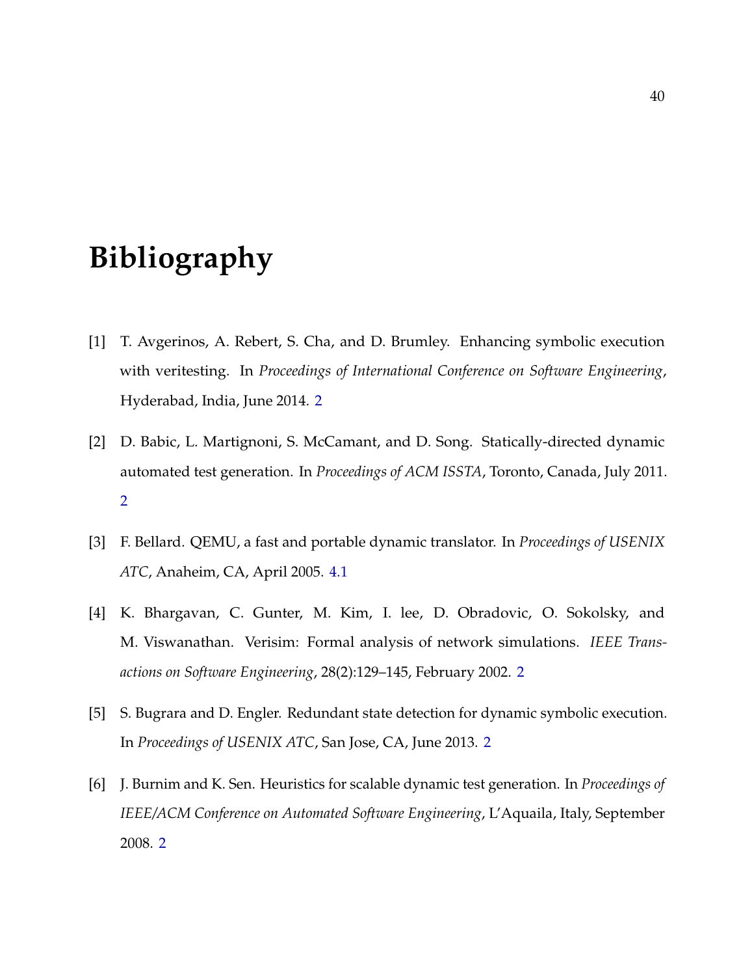# **Bibliography**

- [1] T. Avgerinos, A. Rebert, S. Cha, and D. Brumley. Enhancing symbolic execution with veritesting. In *Proceedings of International Conference on Software Engineering*, Hyderabad, India, June 2014. [2](#page-13-0)
- [2] D. Babic, L. Martignoni, S. McCamant, and D. Song. Statically-directed dynamic automated test generation. In *Proceedings of ACM ISSTA*, Toronto, Canada, July 2011. [2](#page-13-0)
- [3] F. Bellard. QEMU, a fast and portable dynamic translator. In *Proceedings of USENIX ATC*, Anaheim, CA, April 2005. [4.1](#page-18-0)
- [4] K. Bhargavan, C. Gunter, M. Kim, I. lee, D. Obradovic, O. Sokolsky, and M. Viswanathan. Verisim: Formal analysis of network simulations. *IEEE Transactions on Software Engineering*, 28(2):129–145, February 2002. [2](#page-13-0)
- [5] S. Bugrara and D. Engler. Redundant state detection for dynamic symbolic execution. In *Proceedings of USENIX ATC*, San Jose, CA, June 2013. [2](#page-13-0)
- [6] J. Burnim and K. Sen. Heuristics for scalable dynamic test generation. In *Proceedings of IEEE/ACM Conference on Automated Software Engineering*, L'Aquaila, Italy, September 2008. [2](#page-13-0)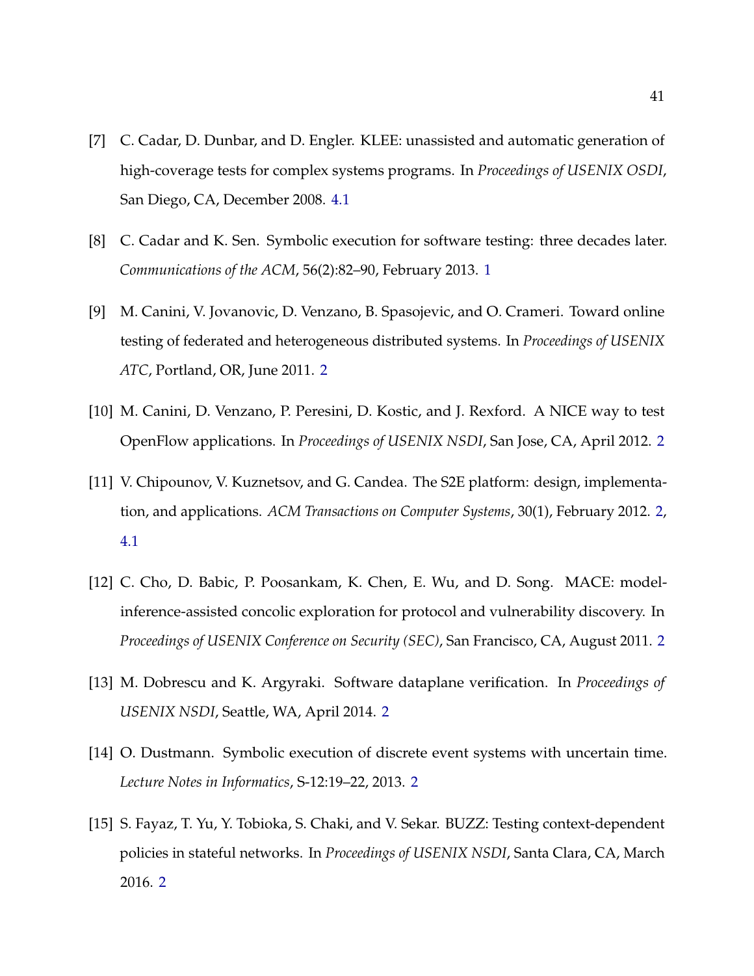- [7] C. Cadar, D. Dunbar, and D. Engler. KLEE: unassisted and automatic generation of high-coverage tests for complex systems programs. In *Proceedings of USENIX OSDI*, San Diego, CA, December 2008. [4.1](#page-18-0)
- [8] C. Cadar and K. Sen. Symbolic execution for software testing: three decades later. *Communications of the ACM*, 56(2):82–90, February 2013. [1](#page-11-0)
- [9] M. Canini, V. Jovanovic, D. Venzano, B. Spasojevic, and O. Crameri. Toward online testing of federated and heterogeneous distributed systems. In *Proceedings of USENIX ATC*, Portland, OR, June 2011. [2](#page-13-0)
- [10] M. Canini, D. Venzano, P. Peresini, D. Kostic, and J. Rexford. A NICE way to test OpenFlow applications. In *Proceedings of USENIX NSDI*, San Jose, CA, April 2012. [2](#page-13-0)
- [11] V. Chipounov, V. Kuznetsov, and G. Candea. The S2E platform: design, implementation, and applications. *ACM Transactions on Computer Systems*, 30(1), February 2012. [2,](#page-13-0) [4.1](#page-18-0)
- [12] C. Cho, D. Babic, P. Poosankam, K. Chen, E. Wu, and D. Song. MACE: modelinference-assisted concolic exploration for protocol and vulnerability discovery. In *Proceedings of USENIX Conference on Security (SEC)*, San Francisco, CA, August 2011. [2](#page-13-0)
- [13] M. Dobrescu and K. Argyraki. Software dataplane verification. In *Proceedings of USENIX NSDI*, Seattle, WA, April 2014. [2](#page-13-0)
- [14] O. Dustmann. Symbolic execution of discrete event systems with uncertain time. *Lecture Notes in Informatics*, S-12:19–22, 2013. [2](#page-13-0)
- [15] S. Fayaz, T. Yu, Y. Tobioka, S. Chaki, and V. Sekar. BUZZ: Testing context-dependent policies in stateful networks. In *Proceedings of USENIX NSDI*, Santa Clara, CA, March 2016. [2](#page-13-0)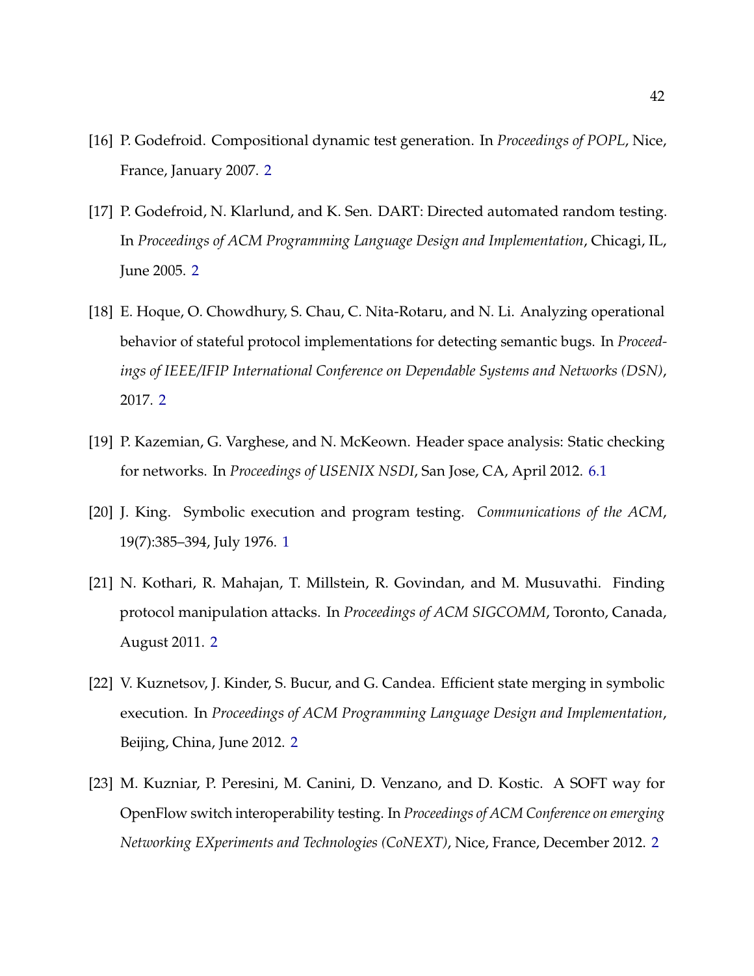- [16] P. Godefroid. Compositional dynamic test generation. In *Proceedings of POPL*, Nice, France, January 2007. [2](#page-13-0)
- [17] P. Godefroid, N. Klarlund, and K. Sen. DART: Directed automated random testing. In *Proceedings of ACM Programming Language Design and Implementation*, Chicagi, IL, June 2005. [2](#page-13-0)
- [18] E. Hoque, O. Chowdhury, S. Chau, C. Nita-Rotaru, and N. Li. Analyzing operational behavior of stateful protocol implementations for detecting semantic bugs. In *Proceedings of IEEE/IFIP International Conference on Dependable Systems and Networks (DSN)*, 2017. [2](#page-13-0)
- [19] P. Kazemian, G. Varghese, and N. McKeown. Header space analysis: Static checking for networks. In *Proceedings of USENIX NSDI*, San Jose, CA, April 2012. [6.1](#page-30-0)
- [20] J. King. Symbolic execution and program testing. *Communications of the ACM*, 19(7):385–394, July 1976. [1](#page-11-0)
- [21] N. Kothari, R. Mahajan, T. Millstein, R. Govindan, and M. Musuvathi. Finding protocol manipulation attacks. In *Proceedings of ACM SIGCOMM*, Toronto, Canada, August 2011. [2](#page-13-0)
- [22] V. Kuznetsov, J. Kinder, S. Bucur, and G. Candea. Efficient state merging in symbolic execution. In *Proceedings of ACM Programming Language Design and Implementation*, Beijing, China, June 2012. [2](#page-13-0)
- [23] M. Kuzniar, P. Peresini, M. Canini, D. Venzano, and D. Kostic. A SOFT way for OpenFlow switch interoperability testing. In *Proceedings of ACM Conference on emerging Networking EXperiments and Technologies (CoNEXT)*, Nice, France, December 2012. [2](#page-13-0)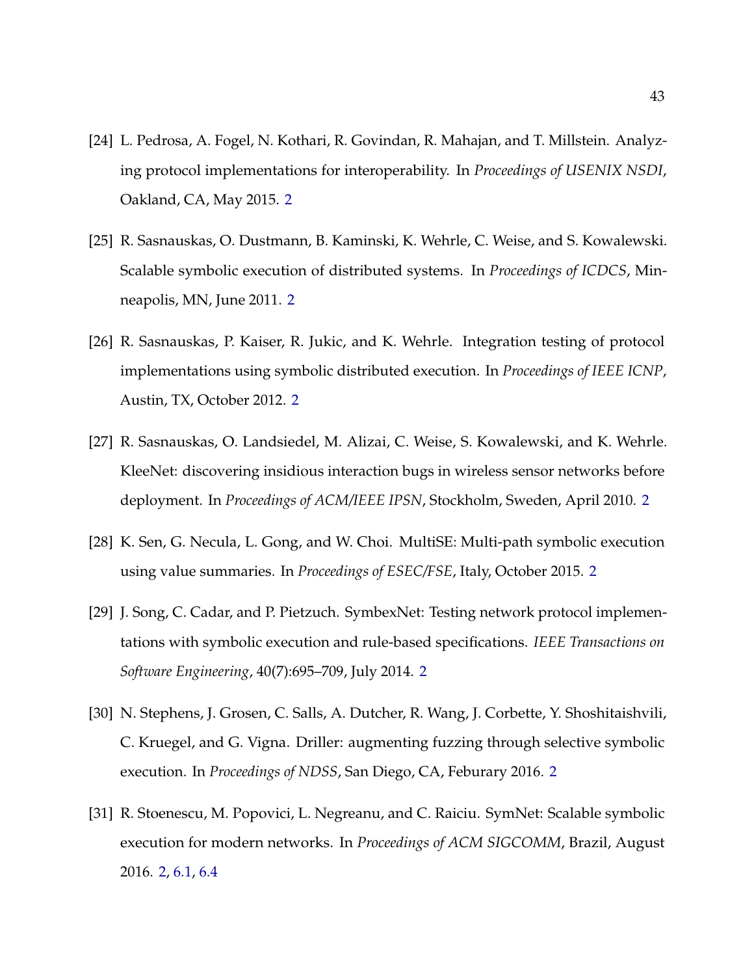- [24] L. Pedrosa, A. Fogel, N. Kothari, R. Govindan, R. Mahajan, and T. Millstein. Analyzing protocol implementations for interoperability. In *Proceedings of USENIX NSDI*, Oakland, CA, May 2015. [2](#page-13-0)
- [25] R. Sasnauskas, O. Dustmann, B. Kaminski, K. Wehrle, C. Weise, and S. Kowalewski. Scalable symbolic execution of distributed systems. In *Proceedings of ICDCS*, Minneapolis, MN, June 2011. [2](#page-13-0)
- [26] R. Sasnauskas, P. Kaiser, R. Jukic, and K. Wehrle. Integration testing of protocol implementations using symbolic distributed execution. In *Proceedings of IEEE ICNP*, Austin, TX, October 2012. [2](#page-13-0)
- [27] R. Sasnauskas, O. Landsiedel, M. Alizai, C. Weise, S. Kowalewski, and K. Wehrle. KleeNet: discovering insidious interaction bugs in wireless sensor networks before deployment. In *Proceedings of ACM/IEEE IPSN*, Stockholm, Sweden, April 2010. [2](#page-13-0)
- [28] K. Sen, G. Necula, L. Gong, and W. Choi. MultiSE: Multi-path symbolic execution using value summaries. In *Proceedings of ESEC/FSE*, Italy, October 2015. [2](#page-13-0)
- [29] J. Song, C. Cadar, and P. Pietzuch. SymbexNet: Testing network protocol implementations with symbolic execution and rule-based specifications. *IEEE Transactions on Software Engineering*, 40(7):695–709, July 2014. [2](#page-13-0)
- [30] N. Stephens, J. Grosen, C. Salls, A. Dutcher, R. Wang, J. Corbette, Y. Shoshitaishvili, C. Kruegel, and G. Vigna. Driller: augmenting fuzzing through selective symbolic execution. In *Proceedings of NDSS*, San Diego, CA, Feburary 2016. [2](#page-13-0)
- [31] R. Stoenescu, M. Popovici, L. Negreanu, and C. Raiciu. SymNet: Scalable symbolic execution for modern networks. In *Proceedings of ACM SIGCOMM*, Brazil, August 2016. [2,](#page-13-0) [6.1,](#page-30-0) [6.4](#page-34-2)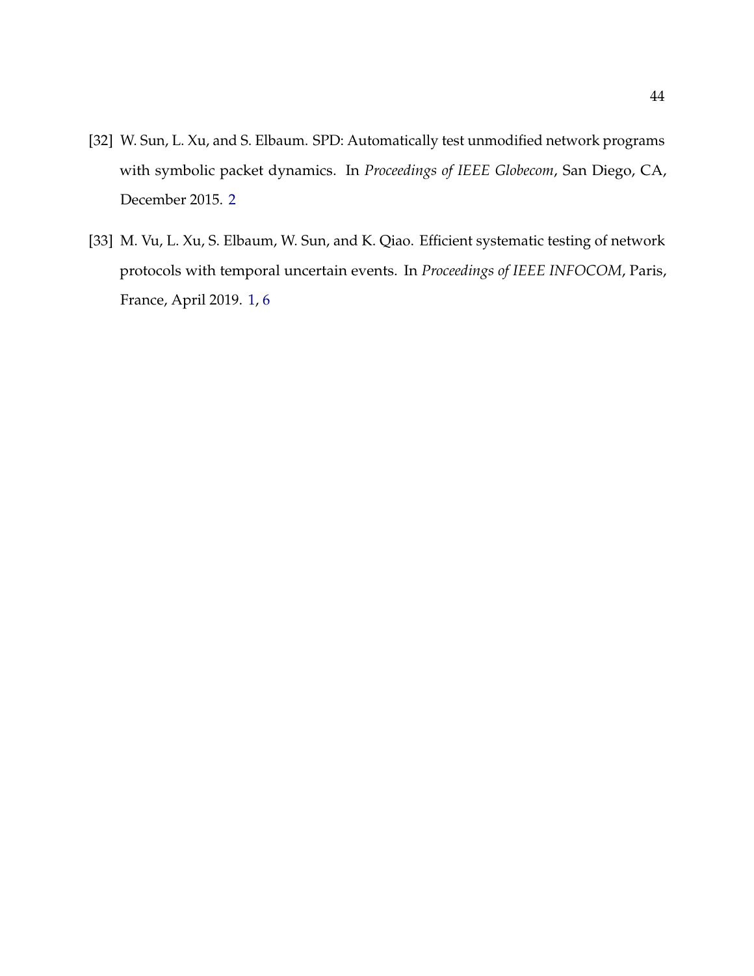- [32] W. Sun, L. Xu, and S. Elbaum. SPD: Automatically test unmodified network programs with symbolic packet dynamics. In *Proceedings of IEEE Globecom*, San Diego, CA, December 2015. [2](#page-13-0)
- [33] M. Vu, L. Xu, S. Elbaum, W. Sun, and K. Qiao. Efficient systematic testing of network protocols with temporal uncertain events. In *Proceedings of IEEE INFOCOM*, Paris, France, April 2019. [1,](#page-11-0) [6](#page-29-0)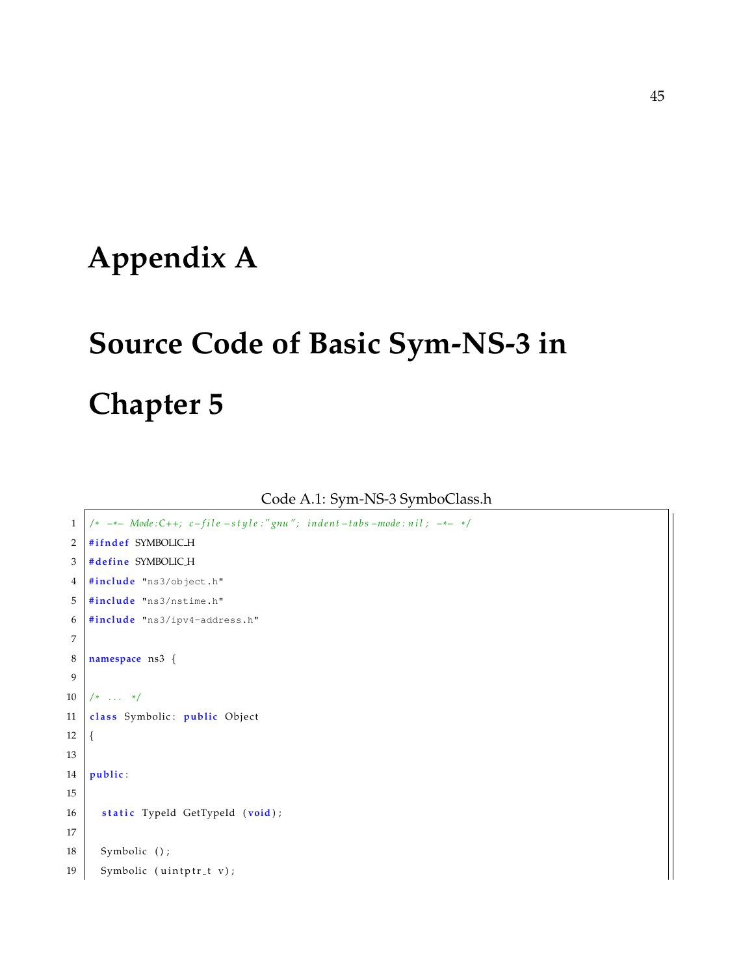# **Appendix A**

# **Source Code of Basic Sym-NS-3 in Chapter 5**

Code A.1: Sym-NS-3 SymboClass.h

```
1 |/* -*- Mode:C++;    c-file-style:"gnu";    indent-tabs-mode:nil;    -*- */
2 # ifndef SYMBOLIC H
3 #define SYMBOLIC H
4 # include "ns3/object.h"
5 # include "ns3/nstime.h"
6 # include "ns3/ipv4-address.h"
7
8 namespace ns3 {
9
10 /*
. . . *
/
11 class Symbolic: public Object
12 \mid \{13
14 public :
15
16 static TypeId GetTypeId (void);
17
18 Symbolic ();
19 Symbolic (uintptr_t v);
```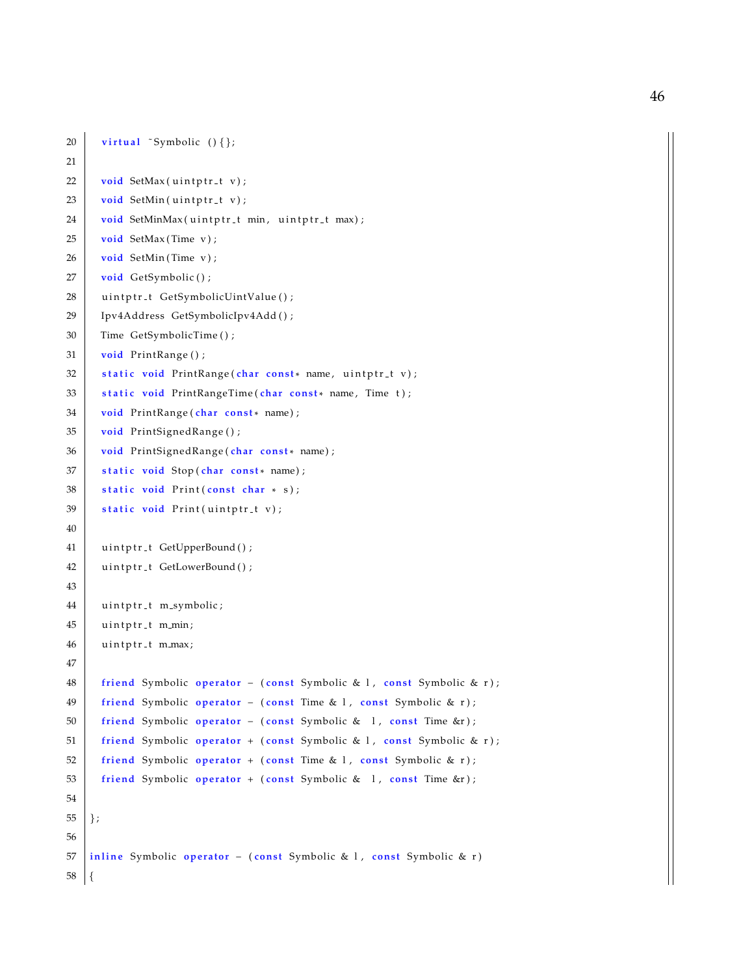```
20 virtual ~Symbolic (){};
21
22 \mid \text{void} SetMax(uintptr_t v);
23 void SetMin(uintptr<sub>-t v);</sub>
24 void SetMinMax (uintptr_t min, uintptr_t max);
25 void SetMax (Time v);
26 void SetMin (Time v);
27 void GetSymbolic ();
28 | uintptr_t GetSymbolicUintValue();
29 | Ipv4Address GetSymbolicIpv4Add();
30 Time GetSymbolicTime ();
31 void PrintRange ( ) ;
32 static void PrintRange (char const* name, uintptr_t v);
33 static void PrintRangeTime ( char  const * name, Time t ) ;
34 void PrintRange ( char const * name) ;
35 void PrintSignedRange();
36 void PrintSignedRange ( char const * name) ;
37 static void Stop (char const* name);
38 s t a t i c void P r i n t ( const char *
s ) ;
39 static void Print (uintptr_t v);
40
41 uintptr_t GetUpperBound();
42 uintptr_t GetLowerBound();
43
44 uintptr_t m_symbolic;
45 uintptr_t m_min;
46 uintptr_t m_max;
47
48 friend Symbolic operator − ( const Symbolic & l , const Symbolic & r ) ;
49 friend Symbolic operator − ( const Time & l , const Symbolic & r ) ;
50 friend Symbolic operator − ( const Symbolic & l , const Time &r ) ;
51 friend Symbolic operator + ( const Symbolic & l , const Symbolic & r ) ;
52 friend Symbolic operator + ( const Time & l , const Symbolic & r ) ;
53 friend Symbolic operator + ( const Symbolic & l , const Time &r ) ;
54
55 };
56
57 i n l i n e Symbolic operator − ( const Symbolic & l , const Symbolic & r )
58 {
```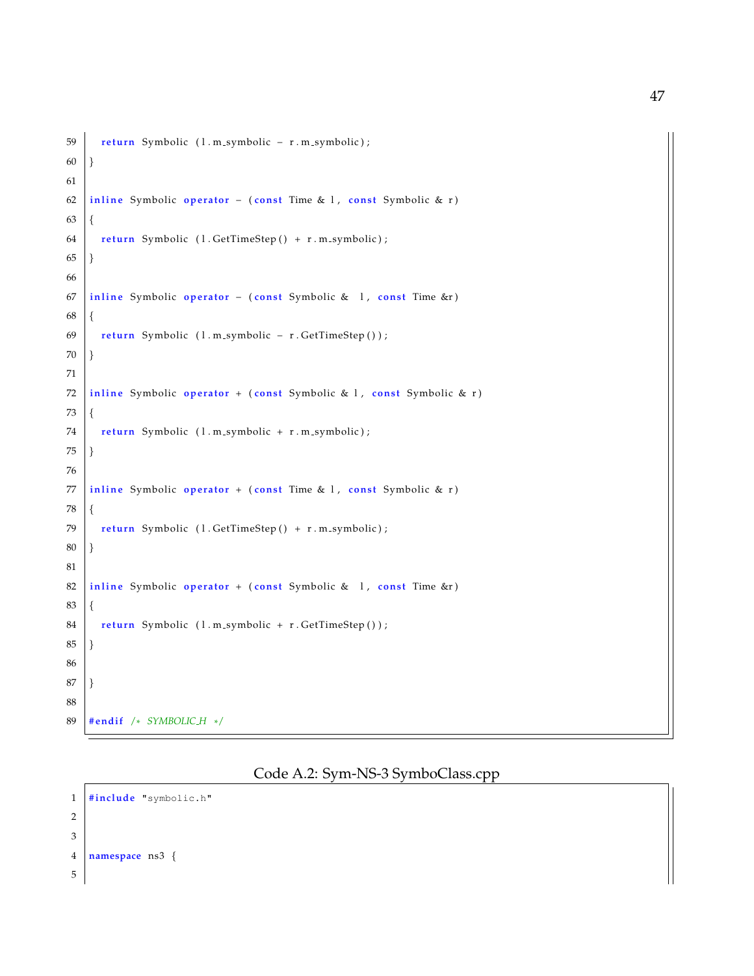```
59 return Symbolic (1.m_symbolic − r.m_symbolic);
60 }
61
62 i n l i n e Symbolic operator − ( const Time & l , const Symbolic & r )
63 \mid \{64 return Symbolic (1. GetTimeStep () + r. m_symbolic);
65 }
66
67 i n l i n e Symbolic operator − ( const Symbolic & l , const Time &r )
68 {
69 return Symbolic ( l . m symbolic − r . GetTimeStep ( ) ) ;
70 }
71
72 i n l i n e Symbolic operator + ( const Symbolic & l , const Symbolic & r )
73 {
74 return Symbolic (1.m_symbolic + r.m_symbolic);
75 }
76
77 i n l i n e Symbolic operator + ( const Time & l , const Symbolic & r )
78 {
79 return Symbolic (1. GetTimeStep () + r. m_symbolic);
80 }
81
82 inline Symbolic operator + (const Symbolic & 1, const Time &r)
83 {
84 return Symbolic (1.m_symbolic + r. GetTimeStep());
85 }
86
87 }
88
89 # endif /* SYMBOLIC H *
/
```
#### Code A.2: Sym-NS-3 SymboClass.cpp

```
1 # include "symbolic.h"
2
3
4 namespace ns3 {
5
```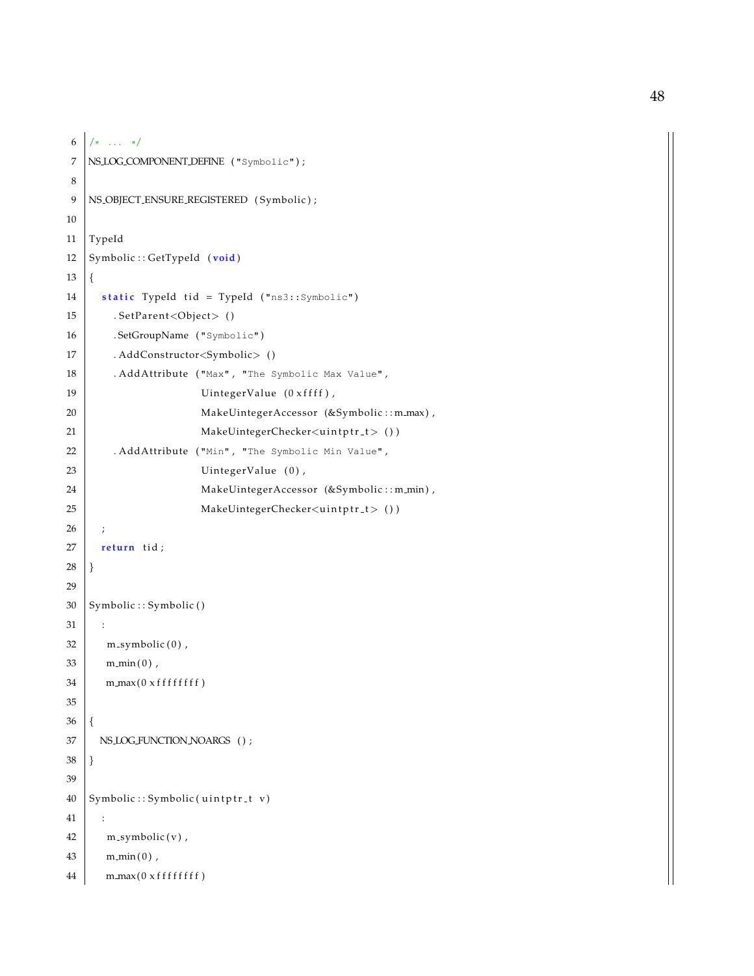```
6 /*
. . . *
/
7 NS LOG COMPONENT DEFINE ("Symbolic") ;
8
9 NS_OBJECT_ENSURE_REGISTERED (Symbolic);
10
11 TypeId
12 Symbolic :: GetTypeId (void)
13 \mid \{14 static TypeId tid = TypeId ("ns3::Symbolic")
15 . SetParent<Object> ()
16 . SetGroupName ("Symbolic")
17 . AddConstructor<Symbolic> ()
18 . AddAttribute ("Max", "The Symbolic Max Value",
19 \vert UintegerValue (0 x f f f f),
20 MakeUintegerAccessor (&Symbolic :: m_max),
21 MakeUintegerChecker<uintptr_t> ())
22 . AddAttribute ("Min", "The Symbolic Min Value",
23 UintegerValue (0),
24 | MakeUintegerAccessor (&Symbolic :: m_min),
25 MakeUintegerChecker<uintptr_t> ())
26 ;
27 return tid;
28 }
29
30 Symbolic : : Symbolic ()
31 :
32 \mid m_symbolic (0),
33 \, \text{m/min} (0),
34 m_max(0 x f f f f f f f f )
35
36 {
37 | NS_LOG_FUNCTION_NOARGS ();
38 }
39
40 Symbolic::Symbolic (uintptr_t v)41 :
42 m-symbolic (v),
43 \mid \text{m-min}(0),
44 m_max(0 \times ff f f f f f f j
```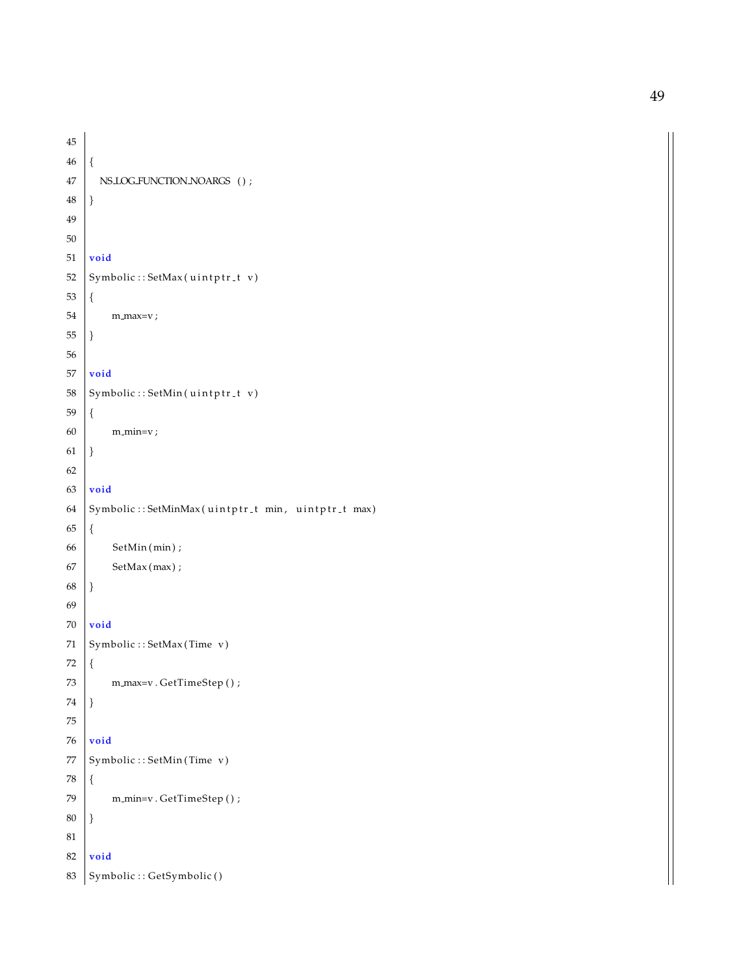```
45
46 {
47 | NS_LOG_FUNCTION_NOARGS ();
48 }
49
50
51 void
52 Symbolic::SetMax(uintptr_t v)53 {
54 m max=v ;
55 }
56
57 void
58 Symbolic :: SetMin (uintptr_t v)59 {
60 m min=v ;
61 }
62
63 void
64 Symbolic::SetMinMax(uintptr_tmin, uintptr_t max)65 {
66 SetMin (min) ;
67 SetMax (max) ;
68 }
69
70 void
71 | Symbolic :: SetMax (Time v)
72 \vert {
73 m.max=v.GetTimeStep();
74 }
75
76 void
77 Symbolic :: SetMin (Time v)78 {
79 m_min=v.GetTimeStep();
80 }
81
82 void
83 Symbolic :: GetSymbolic ()
```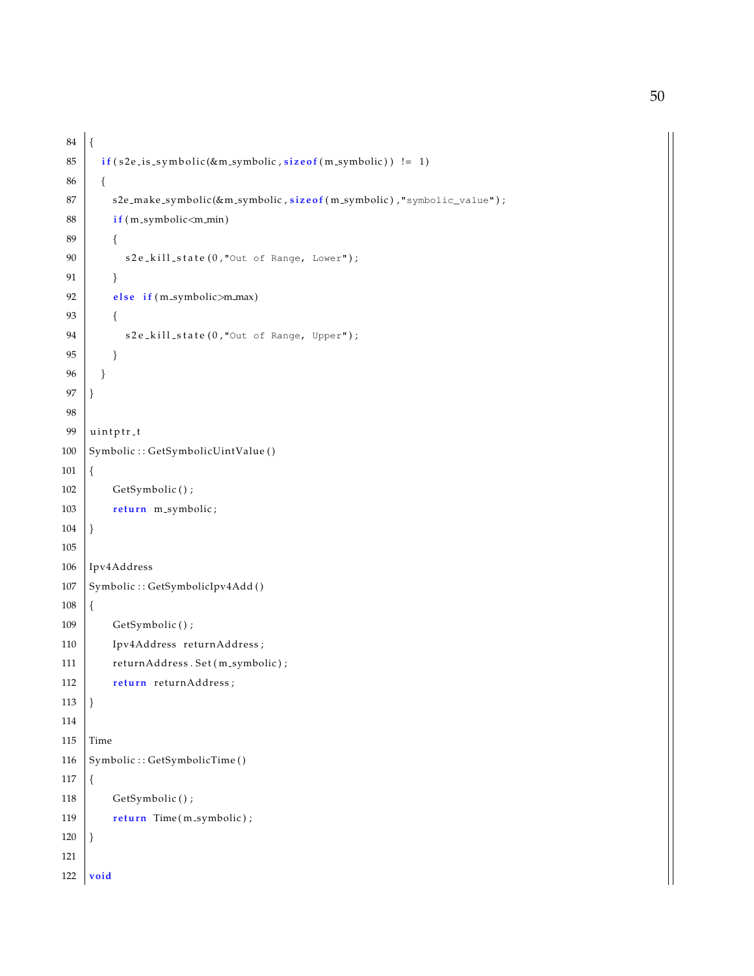```
84 {
85 if (s2e_is_symbolic(&m_symbolic, size of (m_symbolic)) != 1)
86 {
87 s2e_make_symbolic(&m_symbolic, sizeof(m_symbolic),"symbolic_value");
88 if (m \text{symbolic} < m \text{min})89 {
90 s2e-kill-state (0, "Out of Range, Lower");91 }
92 else if (m_symbolic>m_max)
93 {
94 s2e-kill-state (0, 0) vout of Range, Upper");
95 }
96 }
97 }
98
99 uintptr_t
100 Symbolic :: GetSymbolicUintValue ()
101 {
102 GetSymbolic () ;
103 return m_symbolic;
104 }
105
106 Ipv4Address
107 Symbolic :: GetSymbolicIpv4Add ()
108 {
109 GetSymbolic ();
110 | Ipv4Address returnAddress;
111 returnAddress . Set (m_symbolic) ;
112 return returnAddress;
113 }
114
115 Time
116 Symbolic : : GetSymbolicTime ()
117 {
118 GetSymbolic ();
119 return Time (m_symbolic);
120 }
121
122 void
```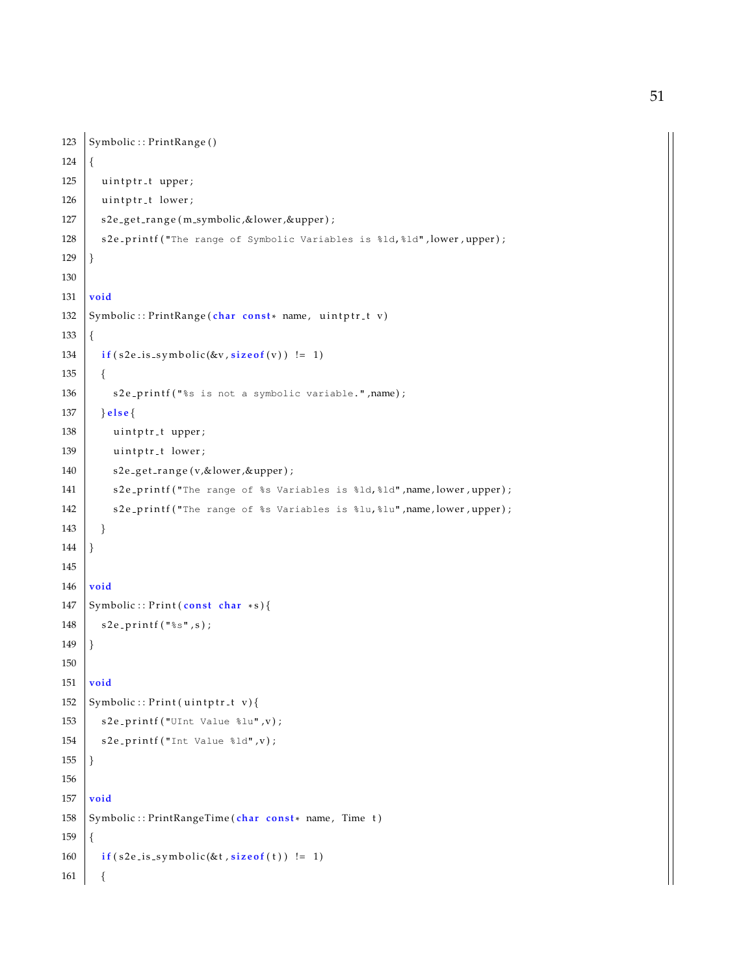```
123 Symbolic :: PrintRange ()
124 {
125 uintptr_t upper;
126 uintptr_t lower;
127 s2e_get_range (m_symbolic, & lower, & upper);
128 s2e_printf ("The range of Symbolic Variables is %ld, %ld", lower, upper);
129 }
130
131 void
132 Symbolic :: PrintRange ( char  const * name, uintptr_t v)
133 {
134 if (s2e_is-symbolic(\&v, sizeof(v)) != 1)
135 {
136 \vert s2e_printf ("%s is not a symbolic variable.", name);
137 } e ls e {
138 uintptr_t upper;
139 uintptr_t lower;
140 s2e<sub>-get-range</sub> (v, & lower, & upper);
141 s 2e printf ("The range of %s Variables is %ld, %ld", name, lower, upper);
142 | s2e_printf ("The range of %s Variables is %lu, %lu", name, lower, upper);
143 }
144 }
145
146 void
147 Symbolic : : Print ( const char *s ) {
148 | s 2 e p r in t f ("|s", s);
149 }
150
151 void
152 Symbolic :: Print (uintptr_t v) {
153 s2e-printf ("UInt Value \text{lu}", v);
154 s2e-printf ("Int Value %ld", v);
155 }
156
157 void
158 Symbolic :: PrintRangeTime ( char const * name, Time t)
159 {
160 if (s2e_is-symbolic(\&t, sizeof(t)) := 1)161 {
```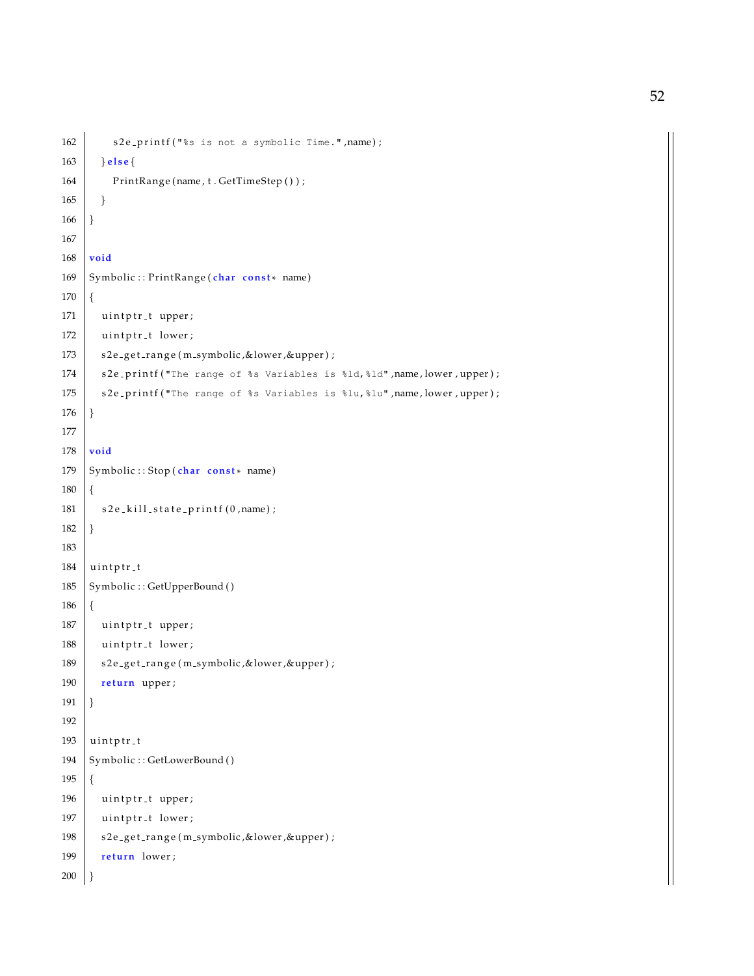```
162 | s 2e p rintf ("%s is not a symbolic Time.", name);
163 } e ls e {
164 PrintRange (name, t. GetTimeStep());
165 }
166 }
167
168 void
169 Symbolic :: PrintRange (char const* name)
170 {
171 uintptr_t upper;
172 uintptr_t lower;
173 s2e<sub>-get-range (m-symbolic, & lower, & upper);</sub>
174 | s2e_printf ("The range of %s Variables is %ld, %ld", name, lower, upper);
175 | s2e_printf ("The range of %s Variables is %lu, %lu", name, lower, upper);
176 }
177
178 void
179 Symbolic : : Stop ( char const * name)
180 {
181 \vert s 2 e _kill_state_printf (0, name);
182 }
183
184 uintptr_t
185 | Symbolic :: GetUpperBound ()
186 {
187 uintptr_t upper;
188 uintptr_t lower;
189 s 2e -get -range (m -symbolic, & lower, & upper) ;
190 return upper ;
191}
192
193 uintptr_t
194 Symbolic :: GetLowerBound ()
195 {
196 uintptr_t upper;
197 uintptr_t lower;
198 s 2e -get -range (m -symbolic, & lower, & upper) ;
199 return lower ;
200 }
```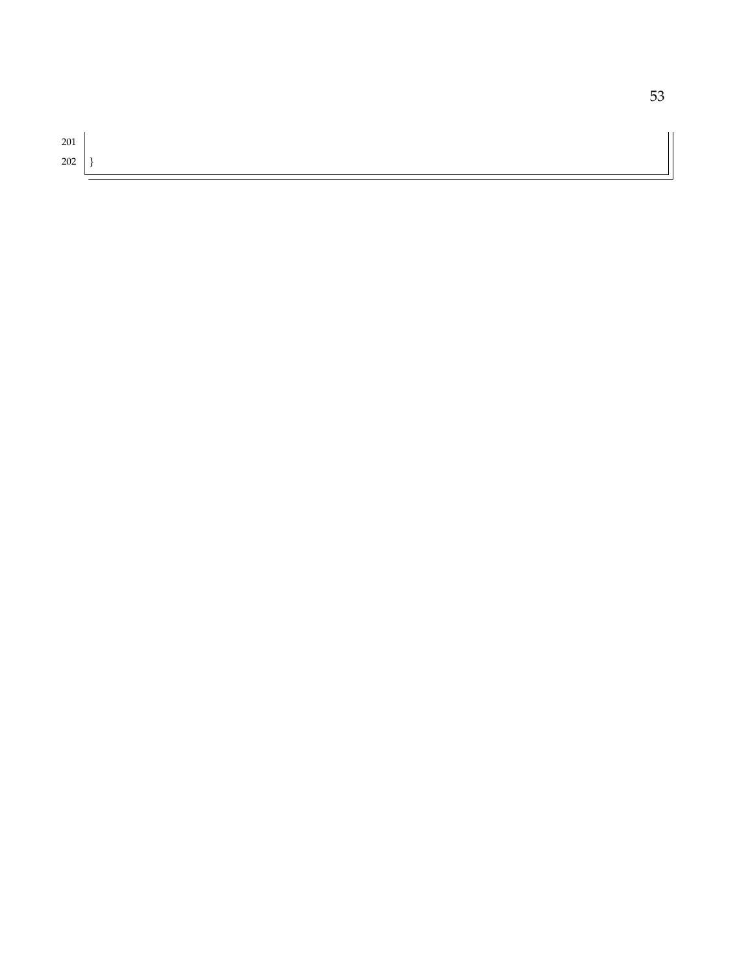

}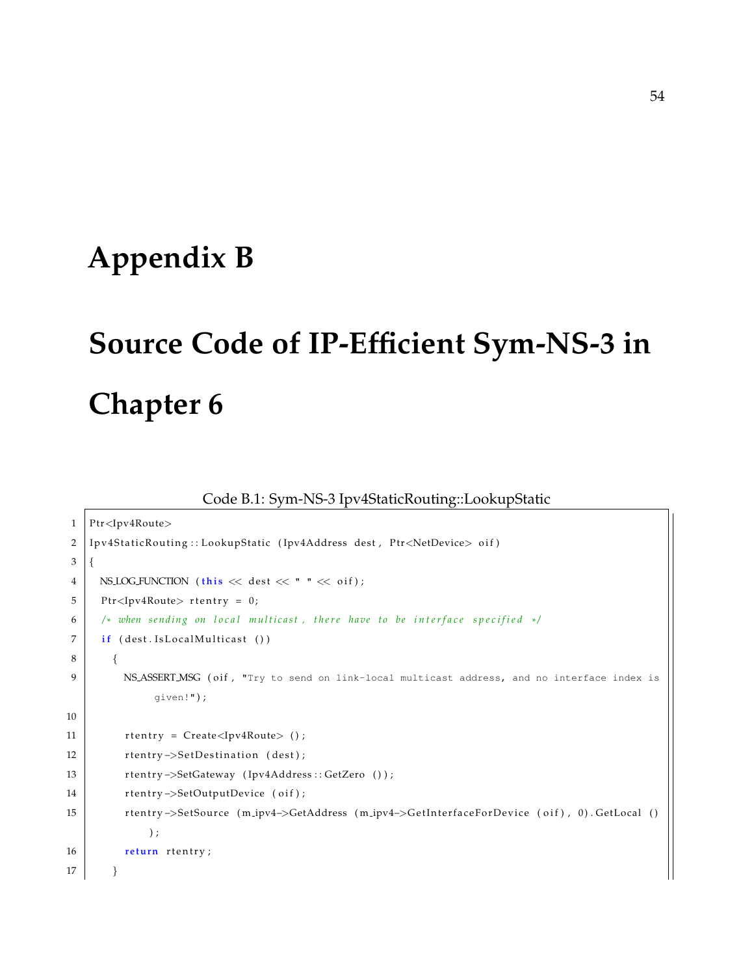# **Appendix B**

# **Source Code of IP-Efficient Sym-NS-3 in Chapter 6**

Code B.1: Sym-NS-3 Ipv4StaticRouting::LookupStatic

```
1 Ptr<Ipv4Route>
2 | Ipv4StaticRouting :: LookupStatic (Ipv4Address dest, Ptr<NetDevice> oif)
3 {
4 | NSLOG FUNCTION (this \ll dest \ll " \ll oil);5 Ptr<Ipv4Route> rtentry = 0;
 6 /* when s e n d i n g on l o c a l m u l t i c a s t , t h e r e have t o be i n t e r f a c e s p e c i f i e d *
/
7 if (dest. Is Local Multicast ())
8 {
9 NS_ASSERT_MSG (oif, "Try to send on link-local multicast address, and no interface index is
              given!") ;
10
11 | r tentry = Create<Ipv4Route> ();
12 rtentry ->SetDestination (dest);
13 rtentry ->SetGateway (Ipv4Address :: GetZero ());
14 r tentry ->SetOutputDevice (oif);
15 rtentry ->SetSource (m_ipv4->GetAddress (m_ipv4->GetInterfaceForDevice (oif), 0). GetLocal ()
              ) ;
16 return r tentry;
17 }
```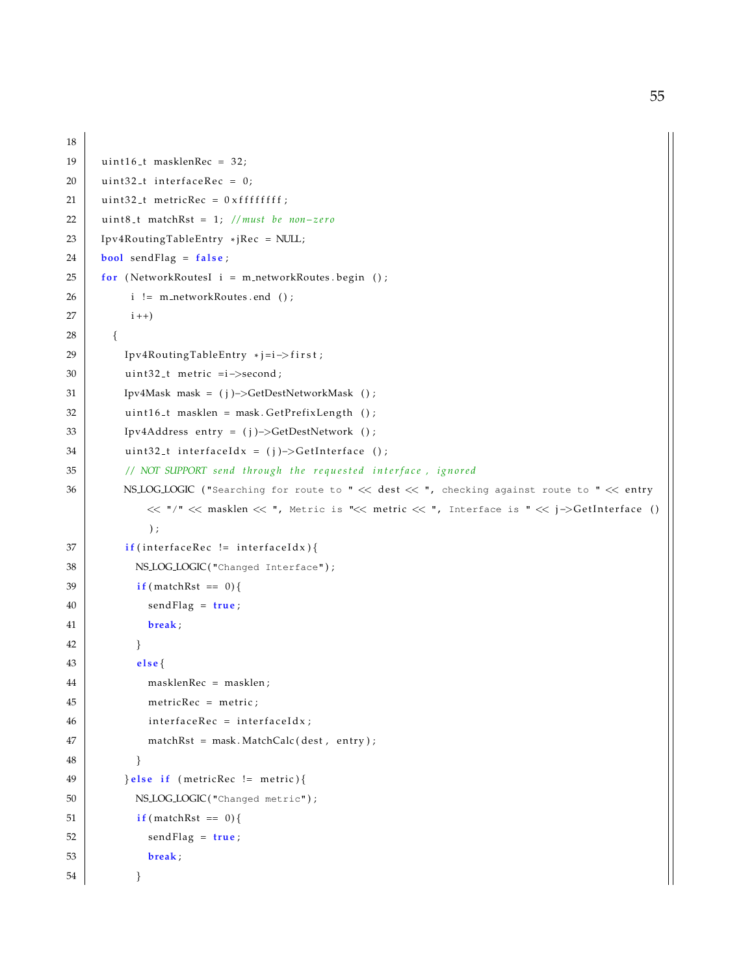```
18
19 uint16<sub>-t</sub> masklenRec = 32;
20 | uint32_t interfaceRec = 0;
21 | uint 32_t metricRec = 0 \times ffffffff;
22 | uint8_t matchRst = 1; //must be non−zero
23 Ipv4RoutingTableEntry *
jRec = NULL;
24 bool sendFlag = false;
25 for (NetworkRoutesI i = m_networkRoutes . begin ();
26 i != m_networkRoutes.end ();
27 i + )28 {
29 | Ipv4RoutingTableEntry *j=i−>first;
30 uint32_t metric =i->second;
31 Ipv4Mask mask = ( j )−>GetDestNetworkMask ( ) ;
32 uint16_t masklen = mask. GetPrefixLength ();
33 | Ipv4Address entry = (j)->GetDestNetwork ();
34 uint 32_t interface Idx = (j) -> Get Interface ();
35 // NOT SUPPORT send through the requested interface, ignored
36 NSLOGLOGIC ("Searching for route to " << dest << ", checking against route to " << entry
            <<< "/" << masklen << ", Metric is "<<< ", Interface is " << j->GetInterface ()
            ) ;
37 if (interfaceRec != interfaceIdx) {
38 NSLOGLOGIC("Changed Interface");
39 if (matchRst == 0) {
40 sendFlag = true ;
41 break ;
42 }
43 e ls e {
44 masklenRec = masklen;
45 metricRec = metric ;
46 interfaceRec = interfaceIdx;
47 \vert matchRst = mask. MatchCalc (dest, entry);
48 }
49 else if (metricRec != metric) {
50 NS_LOG_LOGIC("Changed metric");
51 if (matchRst == 0) {
52 sendFlag = true ;
53 break ;
54 }
```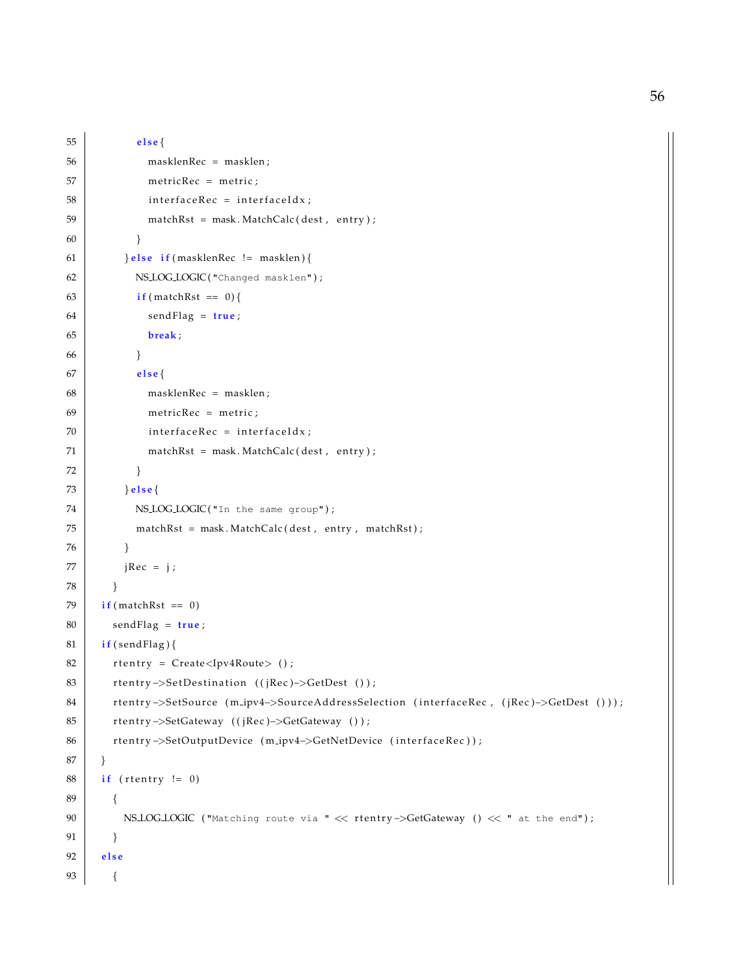```
56 masklenRec = masklen ;
57 metricRec = metric ;
58 interfaceRec = interfaceIdx;
59 matchRst = mask. MatchCalc (dest, entry);
61 } e ls e i f ( masklenRec != masklen ) {
62 NS_LOG_LOGIC("Changed masklen");
63 if (matchRst == 0) {
64 sendFlag = true ;
68 masklenRec = masklen ;
69 metricRec = metric ;
```

```
70 interfaceRec = interfaceIdx;
71 | matchRst = mask. MatchCalc (dest, entry);
72 }
73 } e ls e {
74 NSLOGLOGIC("In the same group");
75 matchRst = mask. MatchCalc (dest, entry, matchRst);
76 }
77 jRec = j;78 }
79 if (matchRst == 0)
80 sendFlag = true ;
81 i f ( sendFlag ) {
82 rtentry = Create < Ipv4Table ();
83 rtentry ->SetDestination ((iRec)->GetDest ());
84 rtentry ->SetSource (m_ipv4->SourceAddressSelection (interfaceRec, (jRec)->GetDest ()));
85 | rtentry –>SetGateway ((jRec) –>GetGateway ());
86 rtentry ->SetOutputDevice (m_ipv4->GetNetDevice (interfaceRec));
87 }
88 if (rtentry != 0)
89 {
90 NSLOGLOGIC ("Matching route via " << rtentry ->SetGateway () << " at the end");
91 }
92 e ls e
```
55 **e ls e** {

60 }

65 **break** ;

66 } 67 **e ls e** {

93 {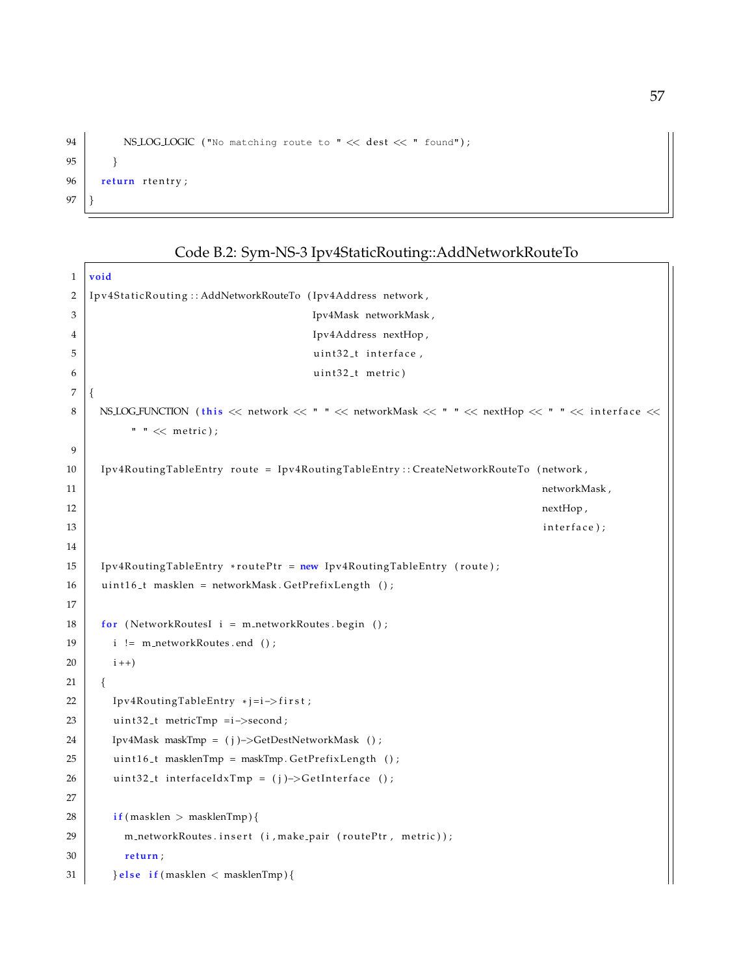```
94 | NS_LOG_LOGIC ("No matching route to " << dest << " found");
95 }
96 return rtentry;
97 }
```
#### Code B.2: Sym-NS-3 Ipv4StaticRouting::AddNetworkRouteTo

```
1 void
2 Ipv4StaticRouting : : AddNetworkRouteTo ( Ipv4Address network ,
3 Ipv4Mask networkMask ,
4 Ipv4Address nextHop ,
5 \mid uint32_t interface,
6 \text{ unit} 32 \text{ t} metric)
7 {
8 NSLOG FUNCTION (this << network << " " << networkMask << " " << nextHop << " " << interface <<
        " " < metric);
9
10 | Ipv4RoutingTableEntry route = Ipv4RoutingTableEntry :: CreateNetworkRouteTo (network,
networkMask,
12 nextHop,
13 interface);
14
15  |  Ipv4RoutingTableEntry  *routePtr  = <mark>new</mark> Ipv4RoutingTableEntry  (route);
16 uint16<sub>-t</sub> masklen = networkMask. GetPrefixLength ();
17
18 for (NetworkRoutesI i = m_networkRoutes . begin ();
19 i != m_networkRoutes.end ();
20 \mid i++)21 \mid \{22 | Ipv4RoutingTableEntry ∗j=i->first;
23 uint 32_t metricTmp =i->second;
24 Ipv4Mask maskTmp = (j)->GetDestNetworkMask ();
25 uint16_t masklenTmp = maskTmp. GetPrefixLength ();
26 | uint 32_t interfaceIdxTmp = (j)->GetInterface ();
27
28 if (masklen > masklenTmp) {
29 m_networkRoutes.insert (i, make_pair (routePtr, metric));
30 return ;
31 else if (masklen < masklenTmp) {
```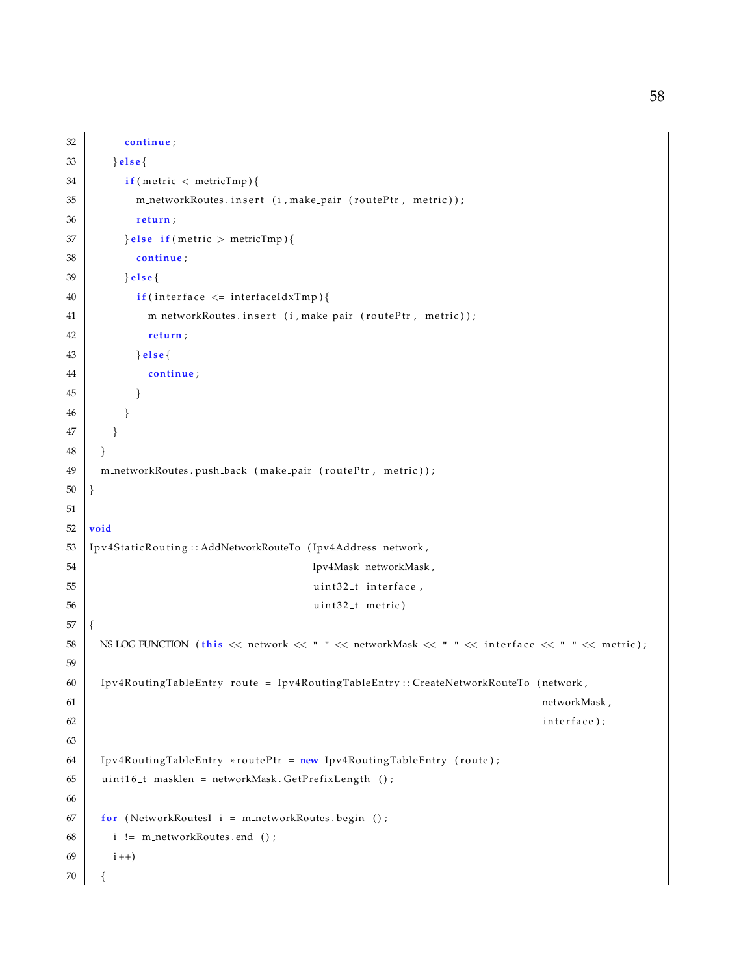```
32 continue ;
33 } e ls e {
34 if (metric < metricTmp) {
35 m_networkRoutes.insert (i, make_pair (routePtr, metric));
36 return ;
37 } e ls e i f ( metric > metricTmp ) {
38 continue ;
39 } e ls e {
40 if (interface \leq interfaceIdxTmp) {
41 | m_networkRoutes.insert (i, make_pair (routePtr, metric));
42 return ;
43 } e ls e {
44 continue ;
45 }
46 }
47 }
48 }
49 m networkRoutes . push back ( make pair ( routePtr , metric ) ) ;
50 |51
52 void
53 | Ipv4StaticRouting :: AddNetworkRouteTo (Ipv4Address network,
54 Ipv4Mask networkMask ,
55 | uint32_t interface,
56 uint32<sub>t</sub> metric)
57 {
58 NSLOG FUNCTION (this \ll network \ll " \ll networkMask \ll " \ll interface \ll " \ll metric);
59
60 Ipv4RoutingTableEntry route = Ipv4RoutingTableEntry : : CreateNetworkRouteTo ( network ,
61 networkMask,
62 interface);
63
64  |  Ipv4RoutingTableEntry *routePtr = <mark>new</mark> Ipv4RoutingTableEntry (route);
65 uint16_t masklen = networkMask.GetPrefixLength ();
66
67 for ( NetworkRoutesI i = m networkRoutes . begin ( ) ;
68 i != m_networkRoutes.end ();
69 i++)
70 {
```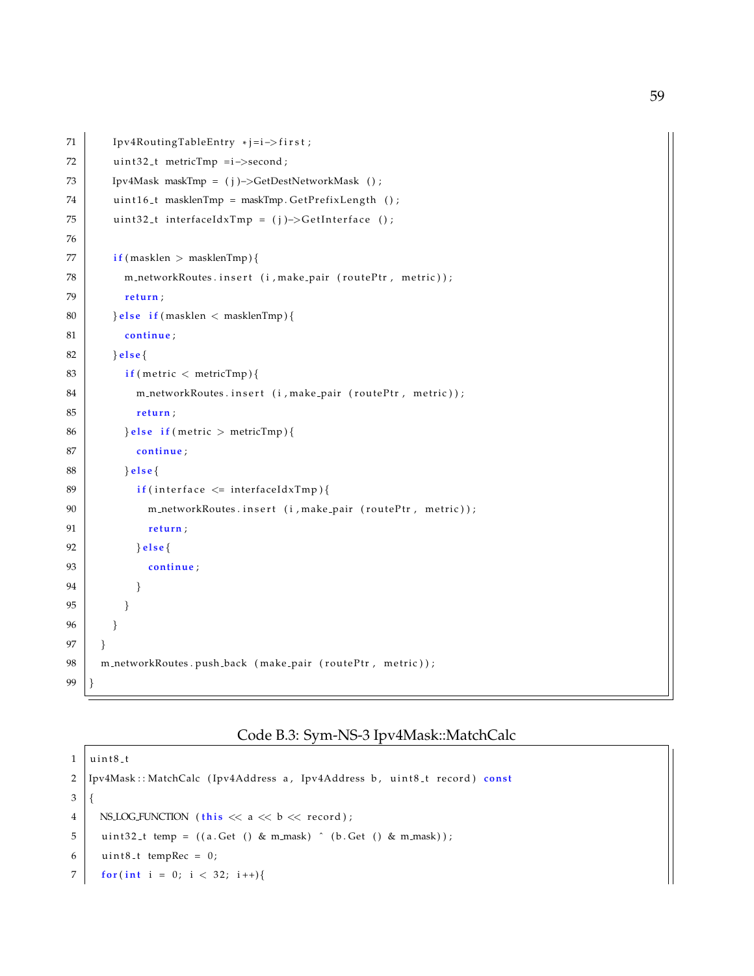```
71 | Ipv4RoutingTableEntry ∗j=i->first;
72 uint 32_t metricTmp =i->second;
73 Ipv4Mask maskTmp = ( j )−>GetDestNetworkMask ( ) ;
74 uint16_t masklenTmp = maskTmp. GetPrefixLength ();
75 uint32_t interfaceIdxTmp = (j)->GetInterface ();
76
77 if (masklen > masklenTmp) {
78 m.networkRoutes.insert (i, make_pair (routePtr, metric));
79 return ;
80 else if (masklen < masklenTmp) {
81 continue ;
82 } e ls e {
83 if (metric \langle metricTmp) {
84 | m_networkRoutes.insert (i, make_pair (routePtr, metric));
85 return ;
86 } else if (metric > metricTmp) {
87 continue ;
88 } e ls e {
89 if (interface \leq interfaceIdxTmp) {
90 | m_networkRoutes.insert (i, make_pair (routePtr, metric));
91 return ;
92 } e ls e {
93 continue ;
94 }
95 }
96 }
97 }
98 m_networkRoutes.push_back (make_pair (routePtr, metric));
99 }
```
#### Code B.3: Sym-NS-3 Ipv4Mask::MatchCalc

```
1 uint8-t2 | Ipv4Mask :: MatchCalc ( Ipv4Address a, Ipv4Address b, uint8<sub>-t record</sub>) const
3 \mid \{4 | NSLOG FUNCTION (this \ll a \ll b \ll record);5 \mid uint 32_t temp = ((a. Get () & m_mask) ^ (b. Get () & m_mask));
6 uint8_t tempRec = 0;
7 \mid \text{for}( \text{int } i = 0; i < 32; i++) \{
```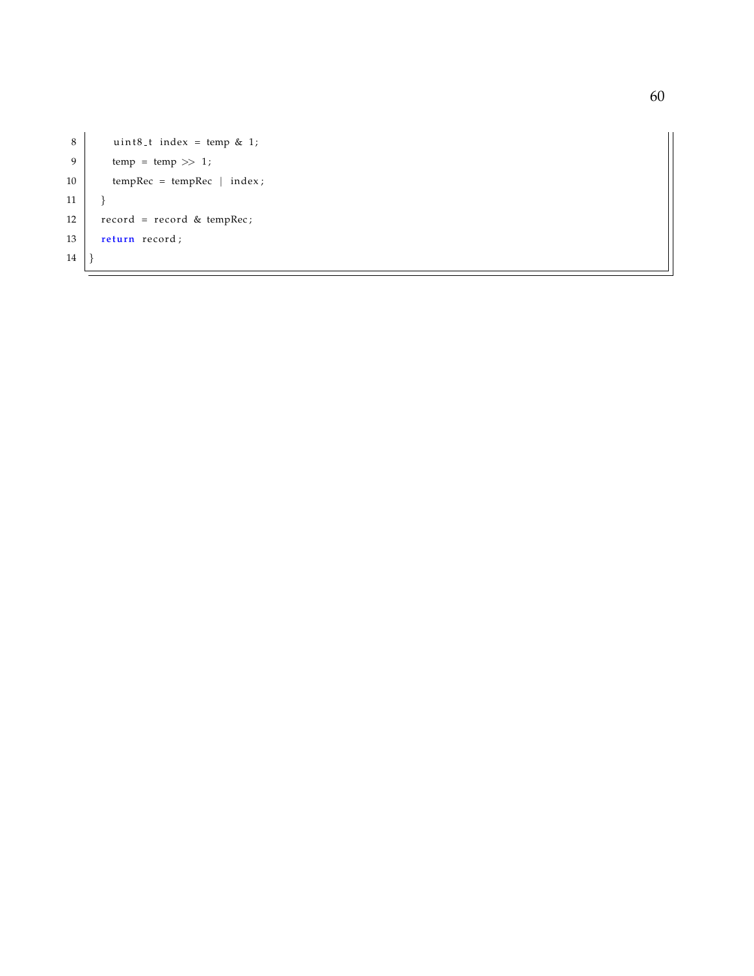```
8 \mid uint8 \cdot t index = temp & 1;
9 temp = temp > 1;
10 tempRec = tempRec | index;
11
     }
12 record = record & tempRec;
13 return record;
14
   }
```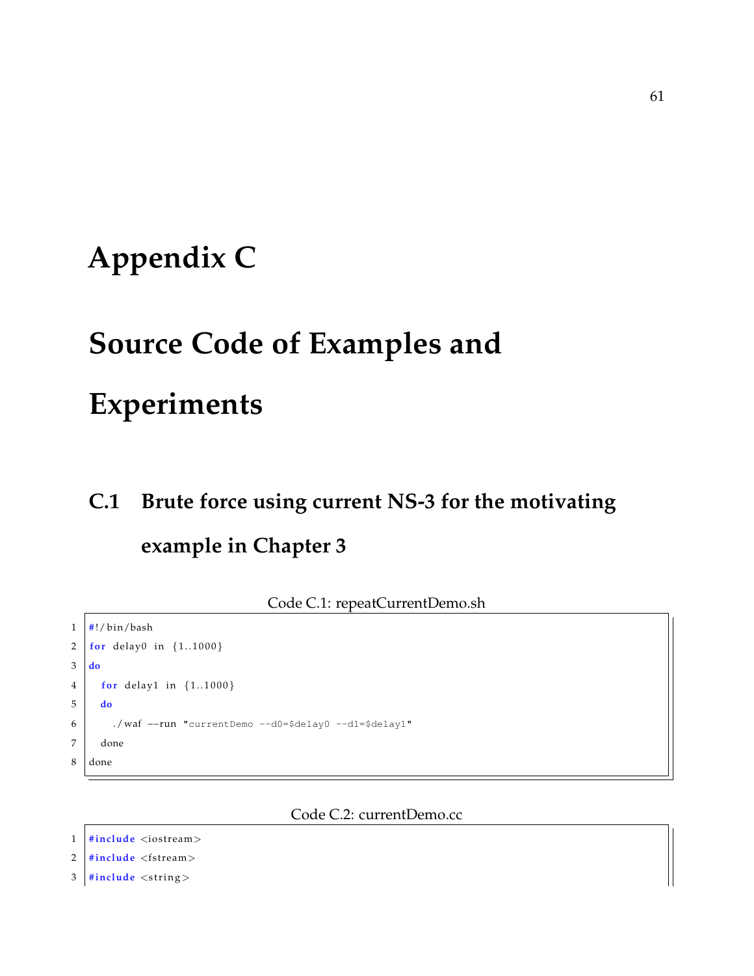# **Appendix C**

# **Source Code of Examples and**

# **Experiments**

# **C.1 Brute force using current NS-3 for the motivating example in Chapter 3**

Code C.1: repeatCurrentDemo.sh

```
1 \mid \#! / \text{bin}/\text{bash}2 for delay0 in {1..1000}
3 do
4 for delay1 in {1..1000}
5 do
6 ./ waf −−run "currentDemo --d0=$delay0 --d1=$delay1"
7 done
8 done
```
Code C.2: currentDemo.cc

- 1 **# include** <iostream>
- 2 **# include** <fstream>
- $3$   $\#$  **include**  $\lt$  string >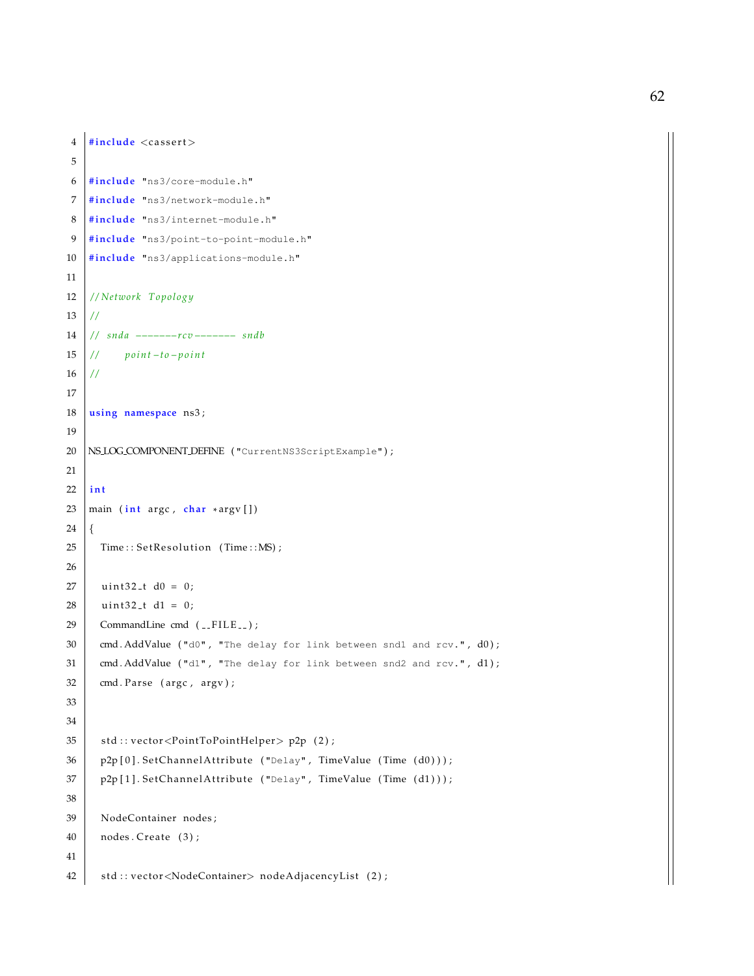```
4 #include <cassert>
5
6 # include "ns3/core-module.h"
7 # include "ns3/network-module.h"
8 # include "ns3/internet-module.h"
9 # include "ns3/point-to-point-module.h"
10 # include "ns3/applications-module.h"
11
12 / / Network Topology
13 //14 / / snda −−−−−−−rcv −−−−−−− sndb
15 / / p o i n t −to −p o i n t
16 / /
17
18 using namespace ns3 ;
19
20 | NSLOG COMPONENT DEFINE ("CurrentNS3ScriptExample");
21
22 i n t
23 | main (i<mark>nt</mark> argc, char *argv[])
24 {
25 Time :: SetResolution (Time :: MS) ;
26
27 uint32_t d0 = 0;
28 uint32_t d1 = 0;
29 CommandLine cmd (-FILE_{-});
30 cmd. AddValue ("d0", "The delay for link between snd1 and rcv.", d0);
31 cmd. AddValue ("d1", "The delay for link between snd2 and rcv.", d1);
32 cmd. Parse (argc, argv);
33
34
35 std :: vector<PointToPointHelper> p2p (2);
36 | p2p [0]. SetChannelAttribute ("Delay", TimeValue (Time (d0)));
37 p2p [1]. SetChannelAttribute ("Delay", TimeValue (Time (d1)));
38
39 NodeContainer nodes ;
40 nodes . Create (3);
41
42 std :: vector<NodeContainer> nodeAdjacencyList (2);
```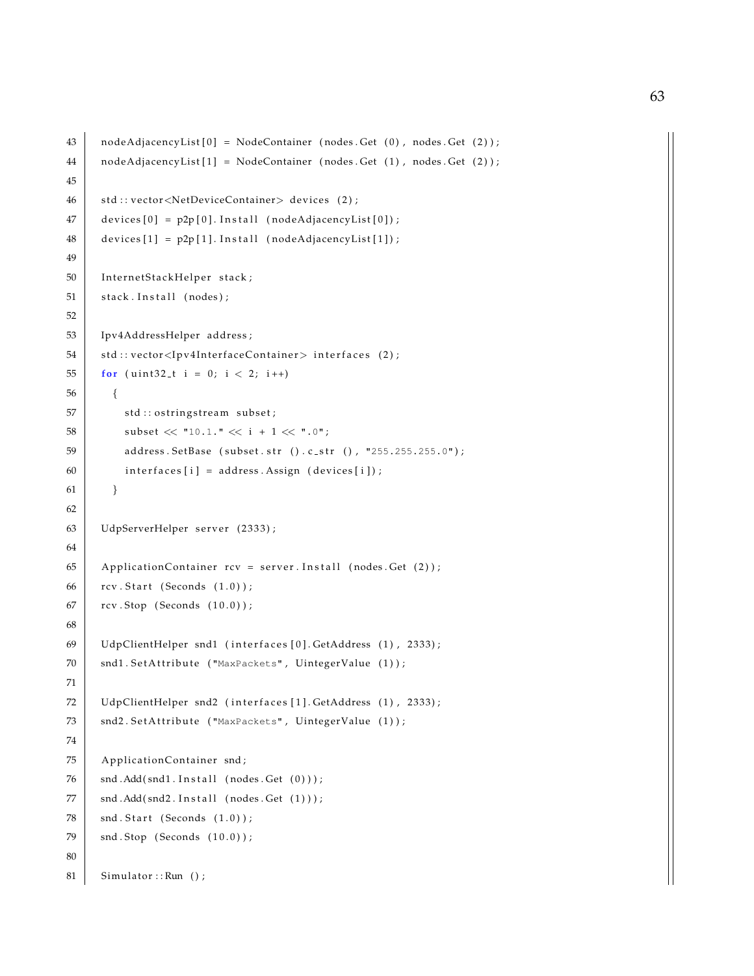```
43 | nodeAdjacencyList [0] = NodeContainer (nodes. Get (0), nodes. Get (2));
44 | nodeAdjacencyList[1] = NodeContainer (nodes.Get (1), nodes.Get (2));
45
46 std :: vector<NetDeviceContainer> devices (2);
47 devices [0] = p2p[0]. Install (nodeAdjacencyList[0]);
48 devices [1] = p2p[1]. Install (nodeAdjacencyList[1]);
49
50 | InternetStackHelper stack;
51 | stack. Install (nodes);
52
53 Ipv4AddressHelper address ;
54 std :: vector<Ipv4InterfaceContainer> interfaces (2);
55 for ( u in t 32 _t i = 0; i < 2; i ++)
56 {
57 std :: ostringstream subset;
58 subset \ll "10.1." \ll i + 1 \ll ".0";
59 address.SetBase ( subset.str ( ) . c _ str ( ) , "255.255.255.0") ;
60 interfaces [i] = address. Assign (devices [i]);
61 }
62
63 UdpServerHelper server (2333);
64
65 | ApplicationContainer rev = server. Install (nodes. Get (2));
66 rcv. Start (Seconds (1.0));
67 rcv . Stop (Seconds (10.0));
68
69 | UdpClientHelper snd1 (interfaces [0]. GetAddress (1), 2333);
70 \parallel snd1. SetAttribute ("MaxPackets", UintegerValue (1));
71
72 UdpClientHelper snd2 (interfaces [1]. GetAddress (1), 2333);
73 | snd2. SetAttribute ("MaxPackets", UintegerValue (1));
74
75 | ApplicationContainer snd;
76  snd . Add(snd1. Install (nodes . Get (0)));
77 \Big| snd. Add(\text{snd2. In stall (nodes. Get (1))});
78  snd . Start (Seconds (1.0));
79 \Big| snd . Stop (Seconds (10.0));
80
81 Simulator :: Run ();
```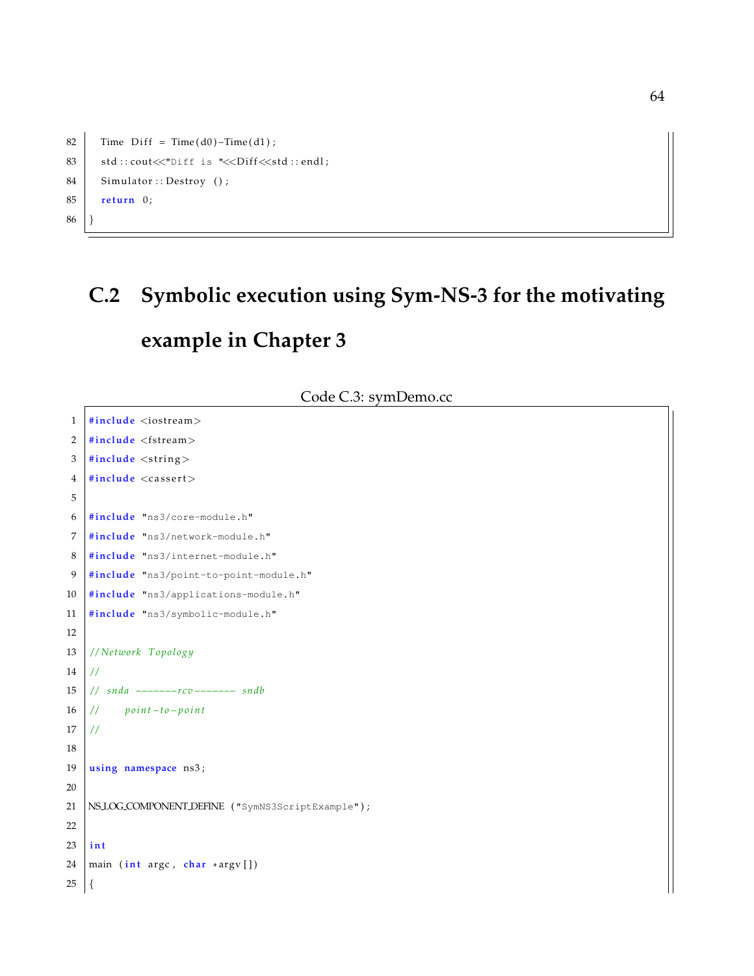```
82 Time Diff = Time (d0) – Time (d1);
83 std :: cout << "Diff is "<< Diff << std :: endl;
84 Simulator :: Destroy ();
85 return 0;
86 }
```
# **C.2 Symbolic execution using Sym-NS-3 for the motivating example in Chapter 3**

Code C.3: symDemo.cc

```
1 # include <iostream>
2 # include <fstream>
3 #include <string>
 4 #include <cassert>
 5
 6 # include "ns3/core-module.h"
7 # include "ns3/network-module.h"
 8 # include "ns3/internet-module.h"
9 # include "ns3/point-to-point-module.h"
10 # include "ns3/applications-module.h"
11 # include "ns3/symbolic-module.h"
12
13 / / Network Topology
14 //
15 / / snda −−−−−−−rcv −−−−−−− sndb
16 / / p o i n t −to −p o i n t
17 //18
19 using namespace ns3 ;
20
21 | NSLOG COMPONENT DEFINE ("SymNS3ScriptExample");
22
23 i n t
24 | main (i<mark>nt</mark> argc, char *argv[])
25 {
```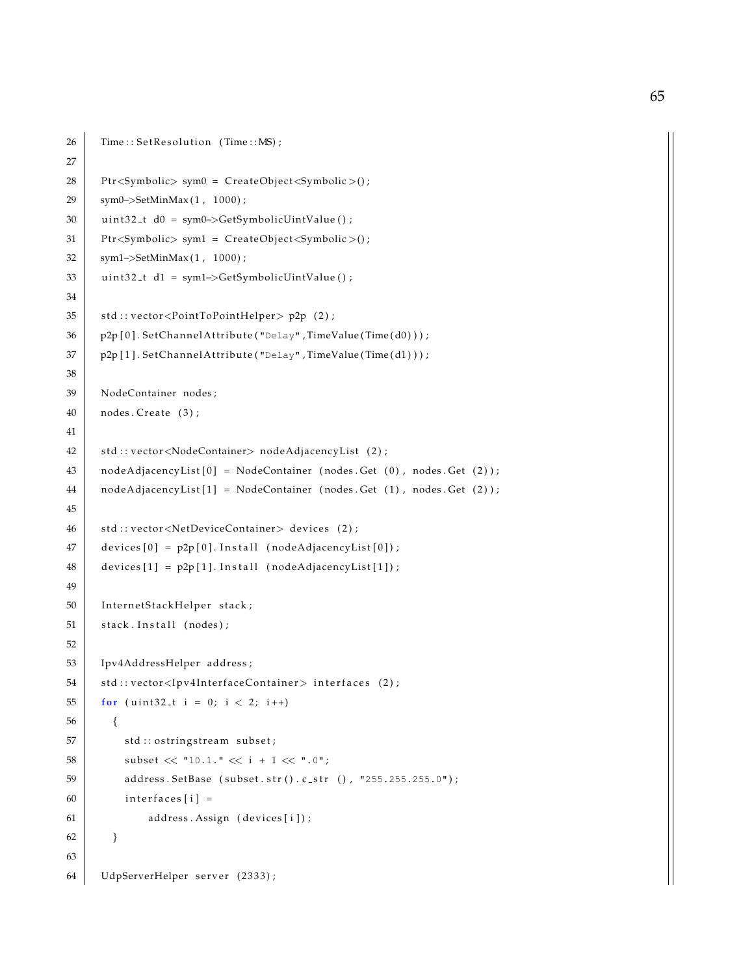```
26 Time:: SetResolution (Time::MS);
27
28 Ptr \langle Symbolic > sym0 = CreateObject \langle Symbolic > ();
29 sym0->SetMinMax (1, 1000);
30 uint 32_t d0 = sym0->GetSymbolicUintValue ();
31 Ptr<Symbolic> sym1 = CreateObject<Symbolic>();
32 sym1->SetMinMax(1, 1000);
33 uint 32_t d1 = sym1->GetSymbolicUintValue ();
34
35 \vert std :: vector<PointToPointHelper> p2p (2);
36 \mid p2p[0]. SetChannelAttribute ("Delay", TimeValue (Time(d0)));
37 \mid p2p[1]. SetChannelAttribute ("Delay", TimeValue (Time(d1)) ;
38
39 NodeContainer nodes ;
40 \vert nodes . Create (3);
41
42 std :: vector<NodeContainer> nodeAdjacencyList (2);
43 | nodeAdjacencyList [0] = NodeContainer (nodes . Get (0), nodes . Get (2));
44 | nodeAdjacencyList [1] = NodeContainer (nodes . Get (1), nodes . Get (2));
45
46 std :: vector<NetDeviceContainer> devices (2);
47 devices [0] = p2p[0]. Install (nodeAdjacencyList[0]);
48 devices [1] = p2p[1]. Install (nodeAdjacencyList[1]);
49
50 InternetStackHelper stack;
51 stack. Install (nodes);
52
53 Ipv4AddressHelper address ;
54 std :: vector<Ipv4InterfaceContainer> interfaces (2);
55 for ( u in t 32 - t i = 0; i < 2; i + +)
56 {
57 std :: ostringstream subset;
58 subset \ll "10.1." \ll i + 1 \ll ".0";
59 address. SetBase ( subset. str ( ) . c_str ( ) , "255.255.255.0" ) ;
60 \vert interfaces [i] =
61 address . Assign (devices [i]);
62 }
63
64 UdpServerHelper server (2333);
```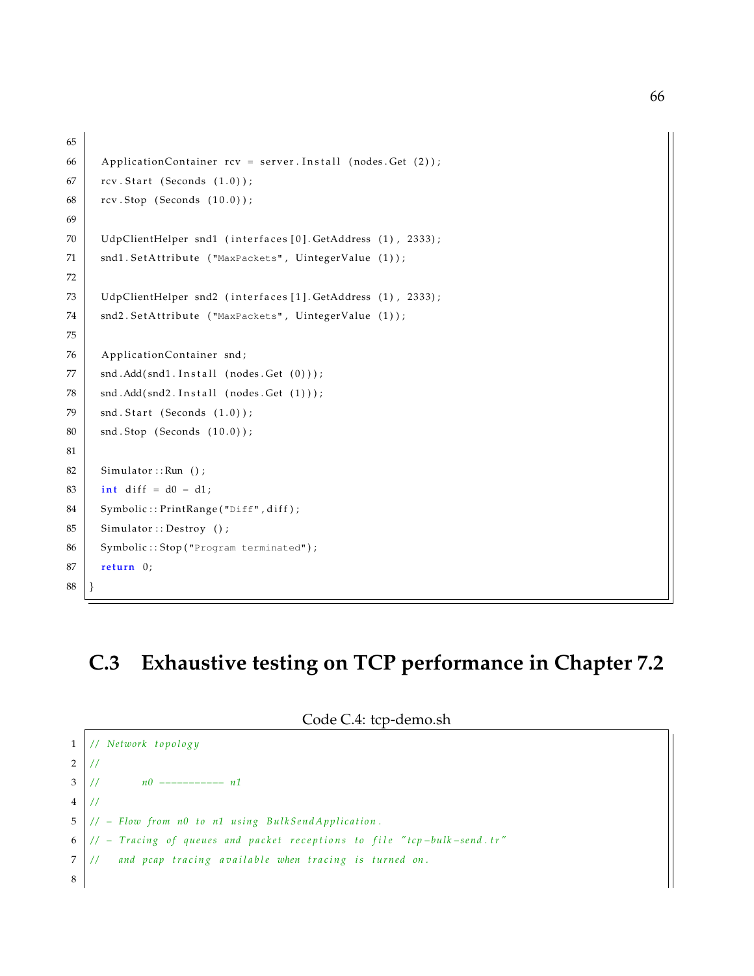```
65
66 ApplicationContainer rev = server. Install (nodes. Get (2));
67 rcv. Start (Seconds (1.0));
68 rcv. Stop (Seconds (10.0));
69
70 UdpClientHelper snd1 (interfaces [0]. GetAddress (1), 2333);
71 | snd1. SetAttribute ("MaxPackets", UintegerValue (1));
72
73 | UdpClientHelper snd2 (interfaces [1]. GetAddress (1), 2333);
74 | snd2. SetAttribute ("MaxPackets", UintegerValue (1));
75
76 ApplicationContainer snd;
77 \Big| snd. Add(\text{snd1. In stall (nodes. Get (0))});
78  snd . Add(snd2. Install (nodes . Get (1)));
79  snd . Start (Seconds (1.0));
80 snd . Stop ( Seconds (10.0) );
81
82 Simulator:: Run ();
83 int diff = d0 - d1;
84 Symbolic :: PrintRange ("Diff", diff);
85 Simulator : : Destroy ();
86 Symbolic :: Stop ("Program terminated");
87 return 0;
88 }
```
## **C.3 Exhaustive testing on TCP performance in Chapter 7.2**

|  | Code C.4: tcp-demo.sh |  |
|--|-----------------------|--|
|--|-----------------------|--|

```
1 / / Network t o p o l o g y
2^{}//3 / / n0 −−−−−−−−−−− n1
4 //
5 \frac{1}{1} // - Flow from n0 to n1 using BulkSendApplication.
6 \left| // - Tracing of queues and packet receptions to file "tcp-bulk-send.tr"
7 | // and pcap tracing available when tracing is turned on.
8
```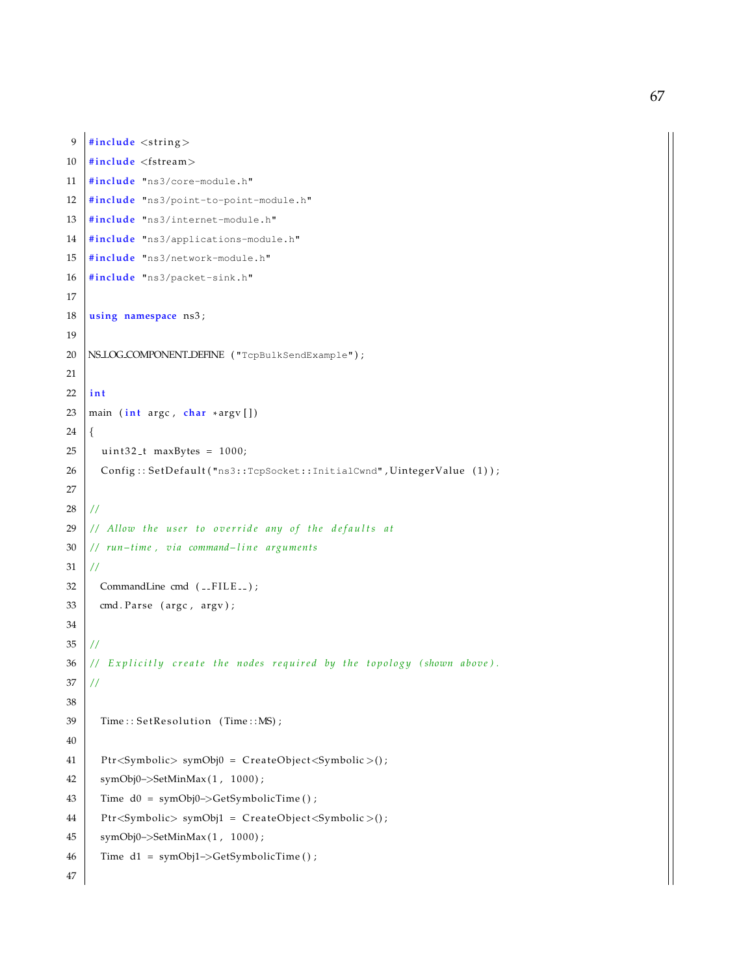```
9 #include <string>
10 # include <fstream>
11 # include "ns3/core-module.h"
12 # include "ns3/point-to-point-module.h"
13 # include "ns3/internet-module.h"
14 # include "ns3/applications-module.h"
15 # include "ns3/network-module.h"
16 # include "ns3/packet-sink.h"
17
18 using namespace ns3 ;
19
20 | NSLOG.COMPONENT.DEFINE ("TcpBulkSendExample");
21
22 i n t
23 | main (i<mark>nt</mark> argc, char *argv[])
24 \mid \{25 uint32<sub>-t</sub> maxBytes = 1000;
26 Config:: SetDefault ("ns3:: TcpSocket:: InitialCwnd", UintegerValue (1));
27
28 //
29 // Allow the user to override any of the defaults at
30 / / run−time , v i a command− l i n e arguments
31 132 CommandLine cmd (-FILE);
33 cmd. Parse (argc, argv);
34
35 / /
36 // Explicitly create the nodes required by the topology (shown above).
37 / /38
39 Time :: SetResolution (Time :: MS) ;
40
41 Ptr<Symbolic> symObj0 = CreateObject<Symbolic >() ;
42 symObj0->SetMinMax(1, 1000);
43 Time d0 = symObj0−>GetSymbolicTime ( ) ;
44 Ptr<Symbolic> symObj1 = CreateObject<Symbolic >() ;
45 symObj0->SetMinMax(1, 1000);
46 Time d1 = symObj1−>GetSymbolicTime ( ) ;
47
```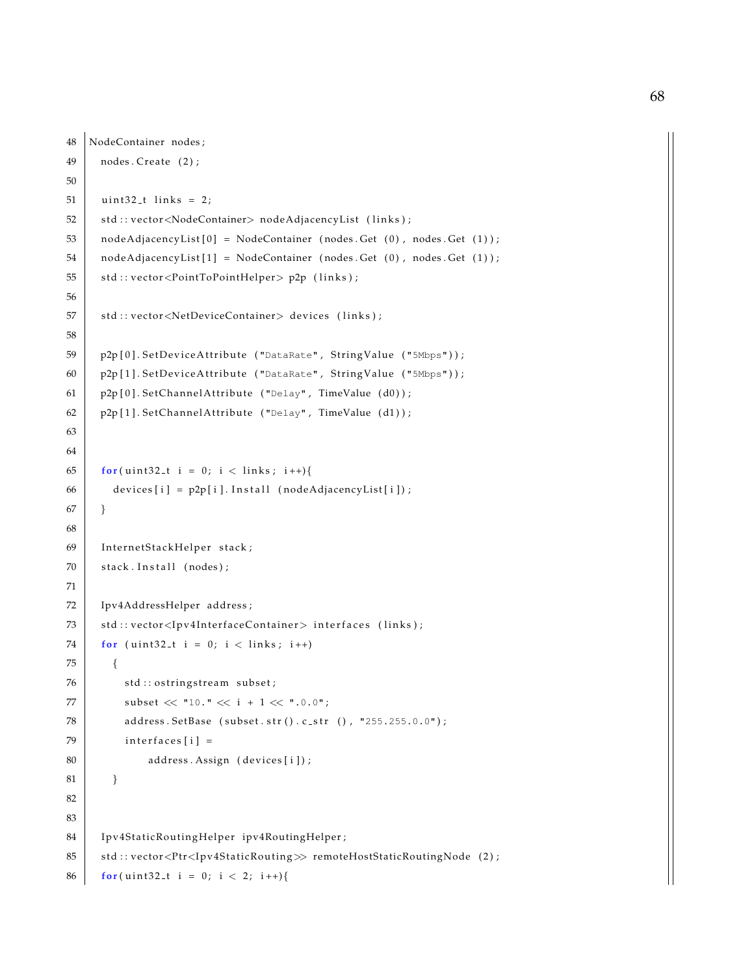```
48 NodeContainer nodes ;
49 nodes . Create (2);
50
51 uint32_t links = 2;
52 std :: vector<NodeContainer> nodeAdjacencyList (links);
53 | nodeAdjacencyList [0] = \text{NodeContainer} (nodes . Get (0), nodes . Get (1));
54 | nodeAdjacencyList[1] = NodeContainer (nodes.Get (0), nodes.Get (1));
55 std :: vector<PointToPointHelper> p2p (links);
56
57 | std :: vector<NetDeviceContainer> devices (links);
58
59 p2p [0]. SetDeviceAttribute ("DataRate", StringValue ("5Mbps"));
60 p2p [1]. SetDeviceAttribute ("DataRate", StringValue ("5Mbps"));
61 | p2p [0]. SetChannelAttribute ("Delay", TimeValue (d0));
62 | p2p [1]. SetChannelAttribute ("Delay", TimeValue (d1));
63
64
65 for ( u in t 32 _t i = 0; i < links; i + + ) {
66 devices [i] = p2p[i]. Install (nodeAdjacencyList[i]);
67 }
68
69 InternetStackHelper stack;
70 stack. Install (nodes);
71
72 Ipv4AddressHelper address ;
73 std :: vector<Ipv4InterfaceContainer> interfaces (links);
74 for ( u in t 32_t i = 0; i < links; i++)
75 {
76 std :: ostringstream subset;
77 | subset \ll "10." \ll i + 1 \ll ".0.0";
78 address. SetBase ( subset. str ( ) . c_str ( ) , "255.255.0.0" ) ;
79 interfaces [i] =
80 address . Assign (devices [i]);
81 }
82
83
84 Ipv4StaticRoutingHelper ipv4RoutingHelper ;
85 std :: vector<Ptr<Ipv4StaticRouting>> remoteHostStaticRoutingNode (2);
86 for ( u in t 32 _t i = 0; i < 2; i ++) {
```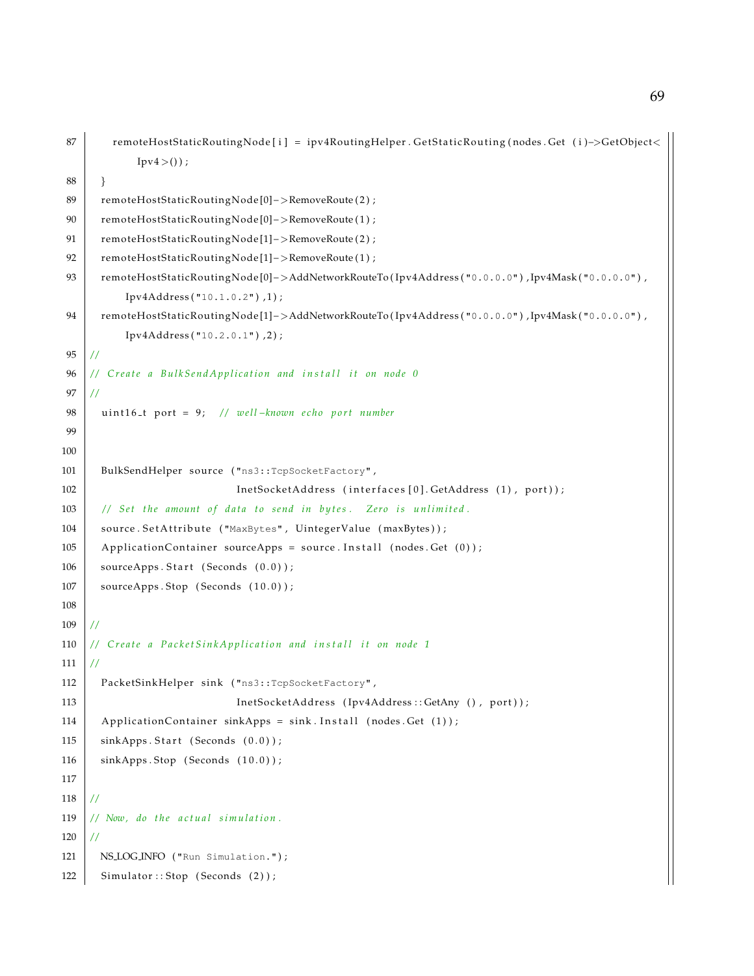```
87 | remoteHostStaticRoutingNode [i] = ipv4RoutingHelper . GetStaticRouting (nodes . Get (i)->GetObject<
             Ipv4 > ());
88 }
89 remoteHostStaticRoutingNode[0]->RemoveRoute(2);
90 remoteHostStaticRoutingNode[0]->RemoveRoute(1);
91 PremoteHostStaticRoutingNode[1]->RemoveRoute(2);
92 | remoteHostStaticRoutingNode[1]->RemoveRoute(1);
93 | remoteHostStaticRoutingNode[0]−>AddNetworkRouteTo (Ipv4Address ("0.0.0.0"), Ipv4Mask ("0.0.0.0"),
           Ipv4Address ("10.1.0.2"), 1);
94 remoteHostStaticRoutingNode [1]−>AddNetworkRouteTo ( Ipv4Address ("0.0.0.0") , Ipv4Mask ("0.0.0.0") ,
           Ipv4Address ("10.2.0.1"), 2);
95 / /
96 / / C r e a t e a B u l k S e n d A p p l i c a t i o n and i n s t a l l i t on node 0
97 / /
98 | uint16_t port = 9; // well −known echo port number
99
100
101 | BulkSendHelper source ("ns3::TcpSocketFactory",
102 | InetSocketAddress (interfaces [0]. GetAddress (1), port));
103 // Set the amount of data to send in bytes. Zero is unlimited.
104 | source . SetAttribute ("MaxBytes", UintegerValue (maxBytes));
105 ApplicationContainer sourceApps = source.Install (nodes.Get (0));
106 sourceApps . Start (Seconds (0.0));
107 | sourceApps . Stop (Seconds (10.0));
108
109 / /
110 | // Create a PacketSinkApplication and install it on node 1
111 \frac{1}{4}112 PacketSinkHelper sink ("ns3::TcpSocketFactory",
113 InetSocketAddress (Ipv4Address :: GetAny (), port));
114 ApplicationContainer sinkApps = sink. Install (nodes. Get (1));
115 \vert sinkApps . Start (Seconds (0.0));
116 sinkApps . Stop (Seconds (10.0));
117
118 / /
119 // Now, do the actual simulation.
120 / /121 | NS_LOG_INFO ("Run Simulation.");
122 Simulator :: Stop (Seconds (2));
```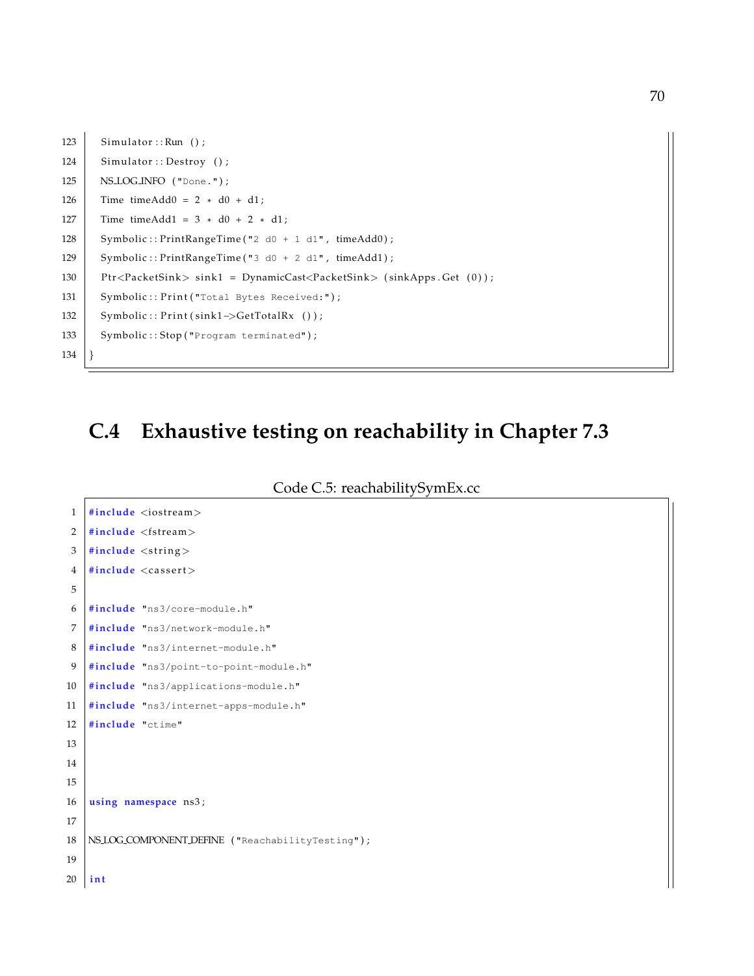```
123 \Big| Simulator :: Run ();
124 Simulator :: Destroy ();
125 | NS_LOG_INFO ("Done.");
126 Time timeAdd0 = 2 * d0 + d1;
127 Time timeAdd1 = 3 * d0 + 2 * d1;
128 Symbolic :: PrintRangeTime ("2 d0 + 1 d1", timeAdd0);
129 Symbolic :: PrintRangeTime ("3 d0 + 2 d1", timeAdd1);
130 Ptr<PacketSink> sink1 = DynamicCast<PacketSink> (sinkApps.Get (0));
131 Symbolic :: Print ("Total Bytes Received:");
132 Symbolic :: Print (sink1 -> GetTotalRx ());
133 Symbolic :: Stop ("Program terminated");
134 }
```
### **C.4 Exhaustive testing on reachability in Chapter 7.3**

#### Code C.5: reachabilitySymEx.cc

```
1 # include <iostream>
2 # include <fstream>
3 \# include <string>
4 #include <cassert>
5
6 # include "ns3/core-module.h"
7 # include "ns3/network-module.h"
8 # include "ns3/internet-module.h"
9 # include "ns3/point-to-point-module.h"
10 # include "ns3/applications-module.h"
11 # include "ns3/internet-apps-module.h"
12 # include "ctime"
13
14
15
16 using namespace ns3 ;
17
18 | NSLOG.COMPONENT.DEFINE ("ReachabilityTesting");
19
20 i n t
```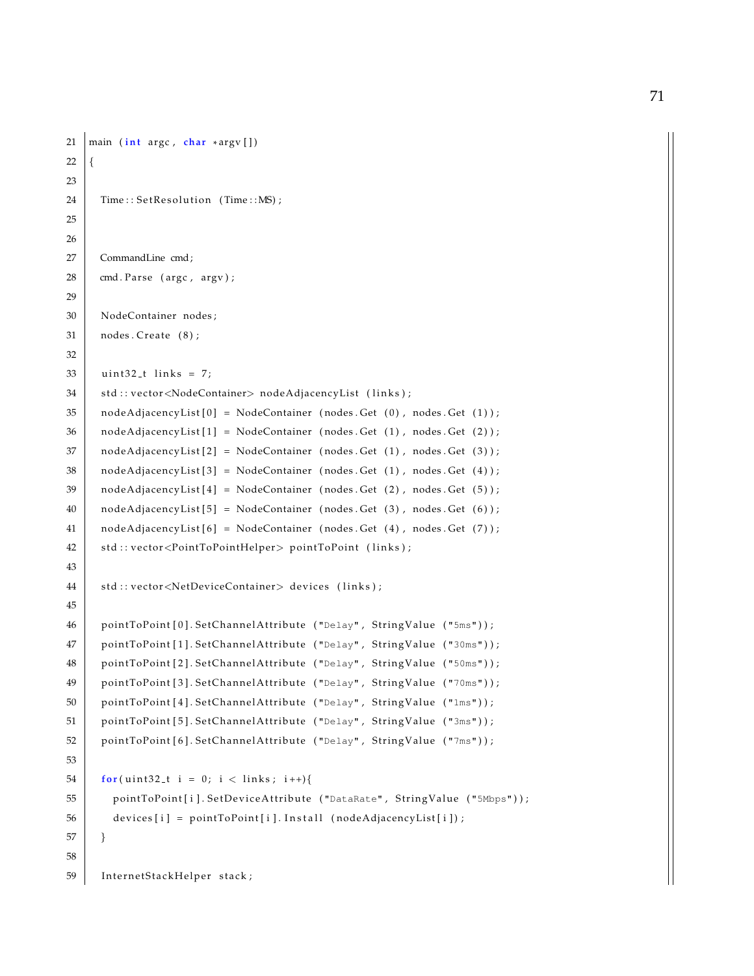```
21 | main (i<mark>nt</mark> argc, char *argv[])
22 | \{23
24 Time:: SetResolution (Time::MS);
25
26
27 CommandLine cmd;
28 cmd. Parse (argc, argv);
29
30 NodeContainer nodes ;
31 nodes . Create (8) ;
32
33 uint 32<sub>-t</sub> links = 7;
34 std :: vector<NodeContainer> nodeAdjacencyList (links);
35 | nodeAdjacencyList[0] = NodeContainer (nodes.Get (0), nodes.Get (1));
36 nodeAdjacencyList [1] = NodeContainer \pmod{6} and [1], nodes . Get (2);
37 nodeAdjacencyList [2] = NodeContainer (nodes . Get (1), nodes . Get (3));
38 | nodeAdjacencyList [3] = NodeContainer (nodes. Get (1), nodes. Get (4);
39 | nodeAdjacencyList [4] = NodeContainer (nodes. Get (2), nodes. Get (5));
40 | nodeAdjacencyList [5] = NodeContainer (nodes. Get (3), nodes. Get (6));
41 | nodeAdjacencyList [6] = NodeContainer (nodes. Get (4), nodes. Get (7));
42 \vert std :: vector<PointToPointHelper> pointToPoint (links);
43
44 std :: vector<NetDeviceContainer> devices (links);
45
46 pointToPoint [0]. SetChannelAttribute ("Delay", StringValue ("5ms"));
47 pointToPoint [1]. SetChannelAttribute ("Delay", StringValue ("30ms"));
48 pointToPoint [2]. SetChannelAttribute ("Delay", StringValue ("50ms"));
49 pointToPoint [3]. SetChannelAttribute ("Delay", StringValue ("70ms"));
50 pointToPoint [4]. SetChannelAttribute ("Delay", StringValue ("1ms"));
51 pointToPoint [5]. SetChannelAttribute ("Delay", StringValue ("3ms"));
52 pointToPoint [6]. SetChannelAttribute ("Delay", StringValue ("7ms"));
53
54 for ( u in t 32 - t i = 0; i < links; i + +) {
55 pointToPoint [i]. SetDeviceAttribute ("DataRate", StringValue ("5Mbps"));
56 devices [i] = pointToPoint[i]. Install (nodeAdjacencyList[i]);
57 }
58
59 InternetStackHelper stack;
```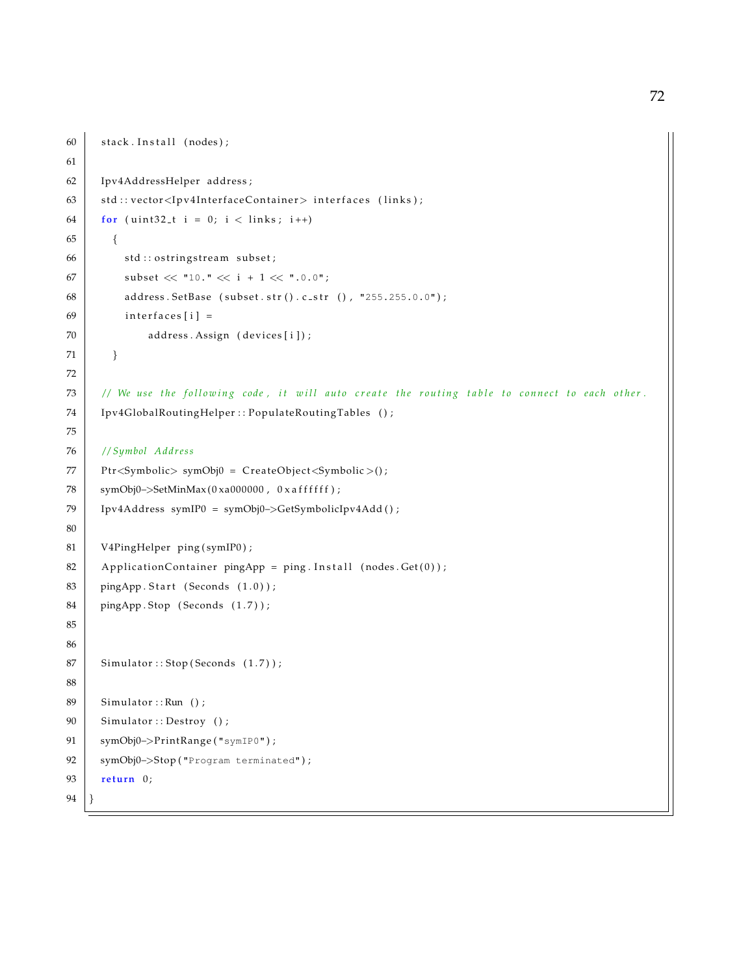```
60 stack. Install (nodes);
61
62 Ipv4AddressHelper address ;
63 std :: vector<Ipv4InterfaceContainer> interfaces (links);
64 for (uint32_t i = 0; i < links; i++)
65 {
66 std :: ostringstream subset;
67 | subset \ll "10." \ll i + 1 \ll ".0.0";
68 address . SetBase ( subset . str ( ) . c _ str ( ) , "255.255.0.0" ) ;
69 \vert interfaces [i] =
70 address . Assign (devices [i]);
71 }
72
73 // We use the following code, it will auto create the routing table to connect to each other.
74 | Ipv4GlobalRoutingHelper :: PopulateRoutingTables ();
75
76 / / Symbol Address
77 Ptr<Symbolic> symObj0 = CreateObject<Symbolic>();
78 | symObj0->SetMinMax(0 xa000000, 0 x a f f f f f j ;
79 Ipv4Address symIP0 = symObj0−>GetSymbolicIpv4Add ( ) ;
80
81 V4PingHelper ping (symIP0);
82 ApplicationContainer pingApp = ping. Install (nodes. Get(0));
83 pingApp . Start (Seconds (1.0));
84 pingApp . Stop (Seconds (1.7));
85
86
87 Simulator :: Stop (Seconds (1.7));
88
89 Simulator:: Run ();
90 Simulator :: Destroy ();
91 symObj0->PrintRange ("symIP0");
92 | symObj0->Stop ("Program terminated");
93 return 0;
94 }
```
72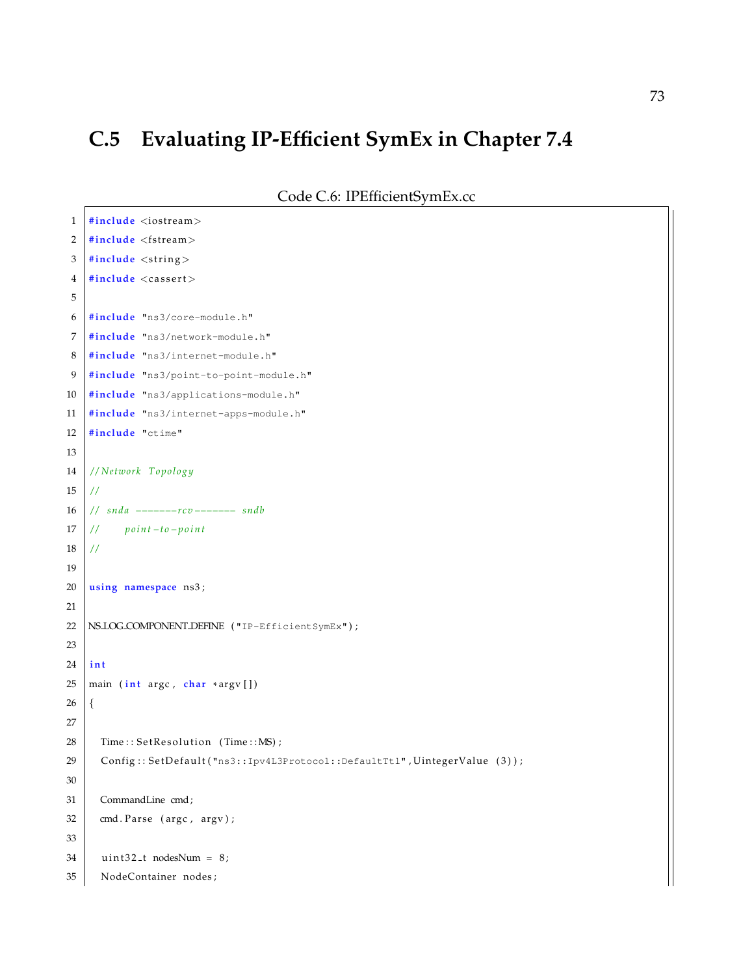#### **C.5 Evaluating IP-Efficient SymEx in Chapter 7.4**

Code C.6: IPEfficientSymEx.cc

```
1 # include <iostream>
 2 # include <fstream>
 3 #include <string>
 4 #include <cassert>
 5
 6 # include "ns3/core-module.h"
 7 # include "ns3/network-module.h"
 8 # include "ns3/internet-module.h"
 9 # include "ns3/point-to-point-module.h"
10 # include "ns3/applications-module.h"
11 # include "ns3/internet-apps-module.h"
12 # include "ctime"
13
14 / / Network Topology
15 //
16 / / snda −−−−−−−rcv −−−−−−− sndb
17 / / p o i n t −to −p o i n t
18 //
19
20 using namespace ns3 ;
21
22 | NSLOG COMPONENT DEFINE ("IP-EfficientSymEx");
23
24 i n t
25 | main (i<mark>nt</mark> argc, char *argv[])
26 \mid \{27
28 Time:: SetResolution (Time::MS);
29 Config:: SetDefault ("ns3:: Ipv4L3Protocol:: DefaultTtl", UintegerValue (3));
30
31 CommandLine cmd;
32 cmd. Parse (argc, argv);
33
34 uint32<sub>-t</sub> nodesNum = 8;
35 NodeContainer nodes ;
```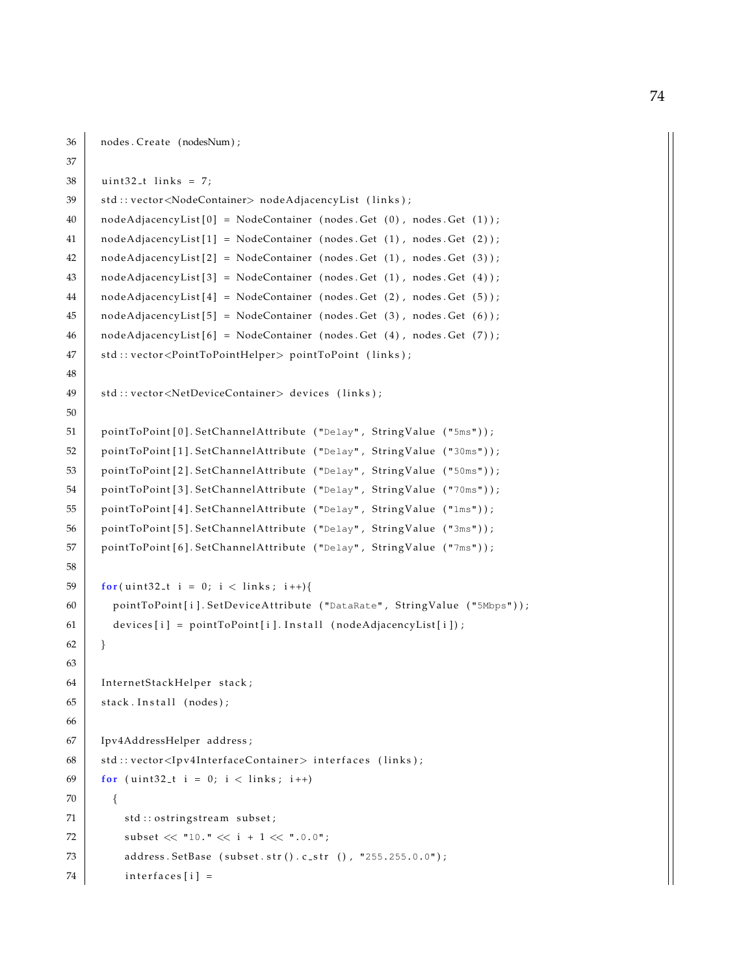```
37
38 uint 32_t links = 7;
39 std :: vector<NodeContainer> nodeAdjacencyList (links);
48
50
58
62 }
63
66
70 {
```
36 nodes . Create (nodesNum) ;

74

```
40 | nodeAdjacencyList[0] = NodeContainer (nodes.Get (0), nodes.Get (1));
41 | nodeAdjacencyList[1] = NodeContainer (nodes Get (1), nodes Get (2));
42 | nodeAdjacencyList [2] = NodeContainer (nodes. Get (1), nodes. Get (3));
43 | nodeAdjacencyList [3] = NodeContainer (nodes. Get (1), nodes. Get (4));
44 | nodeAdjacencyList [4] = NodeContainer (nodes . Get (2), nodes . Get (5));
45 | nodeAdjacencyList [5] = NodeContainer (nodes . Get (3), nodes . Get (6);
46 nodeAdjacencyList [6] = NodeContainer (nodes . Get (4), nodes . Get (7));
47 std :: vector<PointToPointHelper> pointToPoint (links);
49 | std :: vector<NetDeviceContainer> devices (links);
51 pointToPoint [0]. SetChannelAttribute ("Delay", StringValue ("5ms"));
52 pointToPoint [1]. SetChannelAttribute ("Delay", StringValue ("30ms"));
53 pointToPoint [2]. SetChannelAttribute ("Delay", StringValue ("50ms"));
54 pointToPoint [ 3 ] . SetChannelAttribute ("Delay" , StringValue ("70ms") ) ;
55 pointToPoint [4]. SetChannelAttribute ("Delay", StringValue ("1ms"));
56 pointToPoint [5]. SetChannelAttribute ("Delay", StringValue ("3ms"));
57 pointToPoint [6]. SetChannelAttribute ("Delay", StringValue ("7ms"));
59 for ( u in t 32 _t i = 0; i < links; i ++){
60 pointToPoint [i]. SetDeviceAttribute ("DataRate", StringValue ("5Mbps"));
61 devices [i] = pointToPoint[i]. Install (nodeAdjacencyList[i]);
64 InternetStackHelper stack;
65 stack . Install (nodes);
67 Ipv4AddressHelper address ;
68 std :: vector<Ipv4InterfaceContainer> interfaces (links);
69 for ( u in t 32 - t i = 0; i < links; i ++)
71 std :: ostringstream subset;
72 subset \ll "10." \ll i + 1 \ll ".0.0";
73 address . SetBase (subset . str () . c _str (), "255.255.0.0");
74 interfaces [i] =
```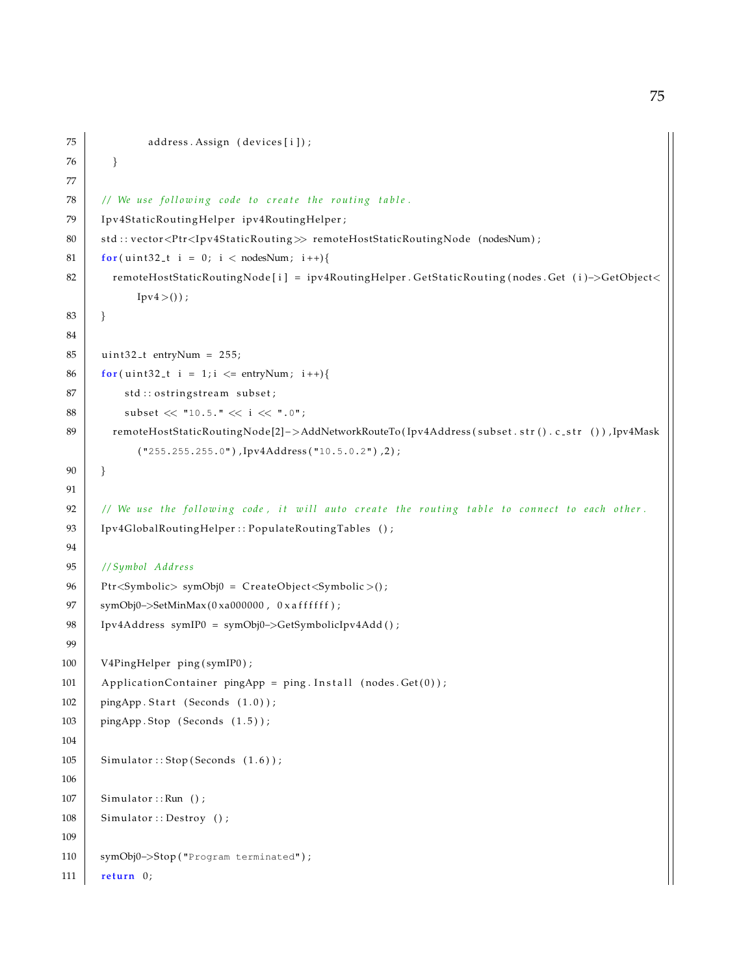```
75 | address . Assign (devices [i]);
76 }
77
78 // We use following code to create the routing table.
79 Ipv4StaticRoutingHelper ipv4RoutingHelper ;
80 std :: vector<Ptr<Ipv4StaticRouting>> remoteHostStaticRoutingNode (nodesNum) ;
81 for ( u in t 32 _t i = 0; i < nodesNum; i ++){
82 | remoteHostStaticRoutingNode [i] = ipv4RoutingHelper . GetStaticRouting (nodes . Get (i)->GetObject<
            Ipv4 >());
83 }
84
85 uint 32_t entryNum = 255;
86 for ( u in t 32_t i = 1; i <= entryNum; i + +) {
87 std :: ostringstream subset;
88 subset \ll "10.5." \ll i \ll ".0";
89 remoteHostStaticRoutingNode [2]−>AddNetworkRouteTo (Ipv4Address (subset . str () . c_str ()), Ipv4Mask
            ("255.255.255.0") , Ipv4Address ("10.5.0.2") , 2 ) ;
90 }
91
92 // We use the following code, it will auto create the routing table to connect to each other.
93 | Ipv4GlobalRoutingHelper :: PopulateRoutingTables ();
94
95 / / Symbol Address
96 Ptr<Symbolic> symObj0 = CreateObject<Symbolic >() ;
97 | symObj0–>SetMinMax(0 xa000000, 0 x a f f f f f j ;
98 | Ipv4Address symIP0 = symObj0->GetSymbolicIpv4Add();
99
100 V4PingHelper ping (symIP0);
101 ApplicationContainer pingApp = ping. Install (nodes. Get(0));
102 pingApp Start (Seconds (1.0));
103 pingApp . Stop (Seconds (1.5));
104
105 Simulator :: Stop (Seconds (1.6));
106
107 Simulator::Run ();
108 | Simulator :: Destroy () ;
109
110 | symObj0->Stop ("Program terminated");
111 return 0;
```